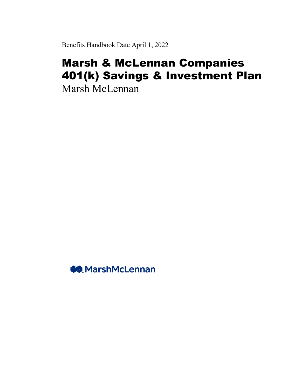Benefits Handbook Date April 1, 2022

# Marsh & McLennan Companies 401(k) Savings & Investment Plan

Marsh McLennan

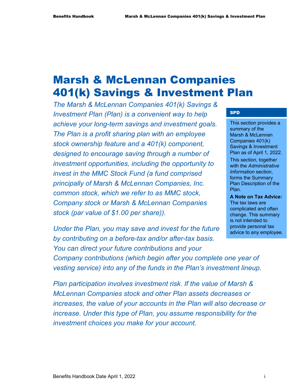# Marsh & McLennan Companies 401(k) Savings & Investment Plan

*The Marsh & McLennan Companies 401(k) Savings & Investment Plan (Plan) is a convenient way to help achieve your long-term savings and investment goals. The Plan is a profit sharing plan with an employee stock ownership feature and a 401(k) component, designed to encourage saving through a number of investment opportunities, including the opportunity to invest in the MMC Stock Fund (a fund comprised principally of Marsh & McLennan Companies, Inc. common stock, which we refer to as MMC stock, Company stock or Marsh & McLennan Companies stock (par value of \$1.00 per share)).* 

#### SPD

This section provides a summary of the Marsh & McLennan Companies 401(k) Savings & Investment Plan as of April 1, 2022.

This section, together with the *Administrative Information* section, forms the Summary Plan Description of the Plan.

**A Note on Tax Advice:**  The tax laws are complicated and often change. This summary is not intended to provide personal tax advice to any employee.

*Under the Plan, you may save and invest for the future by contributing on a before-tax and/or after-tax basis. You can direct your future contributions and your* 

*Company contributions (which begin after you complete one year of vesting service) into any of the funds in the Plan's investment lineup.* 

*Plan participation involves investment risk. If the value of Marsh & McLennan Companies stock and other Plan assets decreases or increases, the value of your accounts in the Plan will also decrease or increase. Under this type of Plan, you assume responsibility for the investment choices you make for your account.*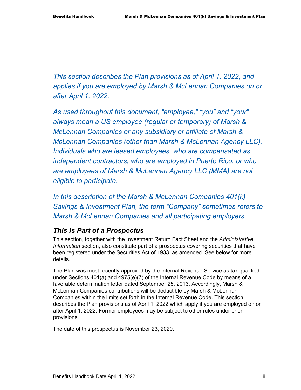*This section describes the Plan provisions as of April 1, 2022, and applies if you are employed by Marsh & McLennan Companies on or after April 1, 2022.* 

*As used throughout this document, "employee," "you" and "your" always mean a US employee (regular or temporary) of Marsh & McLennan Companies or any subsidiary or affiliate of Marsh & McLennan Companies (other than Marsh & McLennan Agency LLC). Individuals who are leased employees, who are compensated as independent contractors, who are employed in Puerto Rico, or who are employees of Marsh & McLennan Agency LLC (MMA) are not eligible to participate.* 

*In this description of the Marsh & McLennan Companies 401(k) Savings & Investment Plan, the term "Company" sometimes refers to Marsh & McLennan Companies and all participating employers.* 

#### *This Is Part of a Prospectus*

This section, together with the Investment Return Fact Sheet and the *Administrative Information* section, also constitute part of a prospectus covering securities that have been registered under the Securities Act of 1933, as amended. See below for more details.

The Plan was most recently approved by the Internal Revenue Service as tax qualified under Sections 401(a) and 4975(e)(7) of the Internal Revenue Code by means of a favorable determination letter dated September 25, 2013. Accordingly, Marsh & McLennan Companies contributions will be deductible by Marsh & McLennan Companies within the limits set forth in the Internal Revenue Code. This section describes the Plan provisions as of April 1, 2022 which apply if you are employed on or after April 1, 2022. Former employees may be subject to other rules under prior provisions.

The date of this prospectus is November 23, 2020.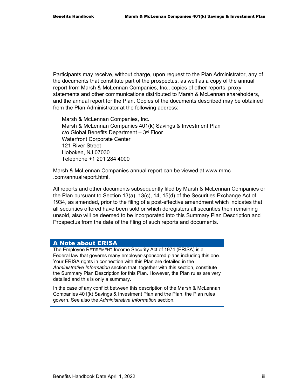Participants may receive, without charge, upon request to the Plan Administrator, any of the documents that constitute part of the prospectus, as well as a copy of the annual report from Marsh & McLennan Companies, Inc., copies of other reports, proxy statements and other communications distributed to Marsh & McLennan shareholders, and the annual report for the Plan. Copies of the documents described may be obtained from the Plan Administrator at the following address:

Marsh & McLennan Companies, Inc. Marsh & McLennan Companies 401(k) Savings & Investment Plan  $c/o$  Global Benefits Department  $-3<sup>rd</sup>$  Floor Waterfront Corporate Center 121 River Street Hoboken, NJ 07030 Telephone +1 201 284 4000

Marsh & McLennan Companies annual report can be viewed at www.mmc .com/annualreport.html.

All reports and other documents subsequently filed by Marsh & McLennan Companies or the Plan pursuant to Section 13(a), 13(c), 14, 15(d) of the Securities Exchange Act of 1934, as amended, prior to the filing of a post-effective amendment which indicates that all securities offered have been sold or which deregisters all securities then remaining unsold, also will be deemed to be incorporated into this Summary Plan Description and Prospectus from the date of the filing of such reports and documents.

#### A Note about ERISA

The Employee RETIREMENT Income Security Act of 1974 (ERISA) is a Federal law that governs many employer-sponsored plans including this one. Your ERISA rights in connection with this Plan are detailed in the *Administrative Information* section that, together with this section, constitute the Summary Plan Description for this Plan. However, the Plan rules are very detailed and this is only a summary.

In the case of any conflict between this description of the Marsh & McLennan Companies 401(k) Savings & Investment Plan and the Plan, the Plan rules govern. See also the *Administrative Information* section.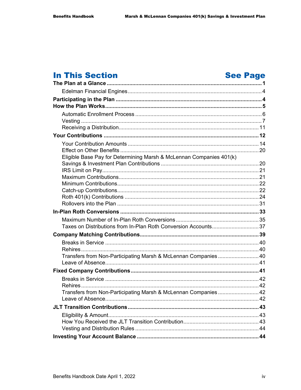# **In This Section**

# **See Page**

| Eligible Base Pay for Determining Marsh & McLennan Companies 401(k) |  |
|---------------------------------------------------------------------|--|
|                                                                     |  |
|                                                                     |  |
|                                                                     |  |
|                                                                     |  |
|                                                                     |  |
|                                                                     |  |
|                                                                     |  |
|                                                                     |  |
| Taxes on Distributions from In-Plan Roth Conversion Accounts37      |  |
|                                                                     |  |
|                                                                     |  |
|                                                                     |  |
| Transfers from Non-Participating Marsh & McLennan Companies  40     |  |
|                                                                     |  |
|                                                                     |  |
|                                                                     |  |
|                                                                     |  |
| Transfers from Non-Participating Marsh & McLennan Companies  42     |  |
|                                                                     |  |
|                                                                     |  |
|                                                                     |  |
|                                                                     |  |
|                                                                     |  |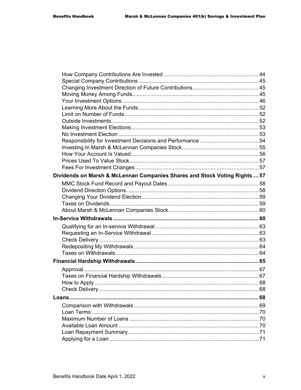| Dividends on Marsh & McLennan Companies Shares and Stock Voting Rights 57 |  |
|---------------------------------------------------------------------------|--|
|                                                                           |  |
|                                                                           |  |
|                                                                           |  |
|                                                                           |  |
|                                                                           |  |
|                                                                           |  |
|                                                                           |  |
|                                                                           |  |
|                                                                           |  |
|                                                                           |  |
|                                                                           |  |
|                                                                           |  |
|                                                                           |  |
|                                                                           |  |
|                                                                           |  |
|                                                                           |  |
|                                                                           |  |
|                                                                           |  |
|                                                                           |  |
|                                                                           |  |
|                                                                           |  |
|                                                                           |  |
|                                                                           |  |
|                                                                           |  |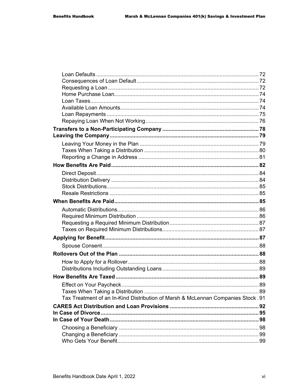| 89                                                                               |  |
|----------------------------------------------------------------------------------|--|
| Tax Treatment of an In-Kind Distribution of Marsh & McLennan Companies Stock. 91 |  |
|                                                                                  |  |
|                                                                                  |  |
|                                                                                  |  |
|                                                                                  |  |
|                                                                                  |  |
|                                                                                  |  |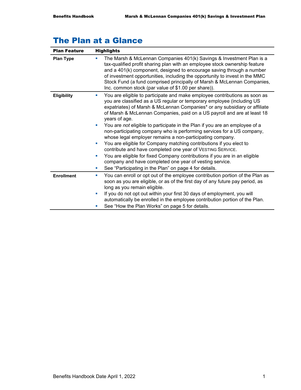# The Plan at a Glance

| <b>Plan Feature</b> | <b>Highlights</b>                                                                                                                                                                                                                                                                                                                                                                                                                                                                                                                                                                                                                                                                                                                                                                                                                                                                                                                        |  |
|---------------------|------------------------------------------------------------------------------------------------------------------------------------------------------------------------------------------------------------------------------------------------------------------------------------------------------------------------------------------------------------------------------------------------------------------------------------------------------------------------------------------------------------------------------------------------------------------------------------------------------------------------------------------------------------------------------------------------------------------------------------------------------------------------------------------------------------------------------------------------------------------------------------------------------------------------------------------|--|
| <b>Plan Type</b>    | The Marsh & McLennan Companies 401(k) Savings & Investment Plan is a<br>$\mathcal{L}_{\mathcal{A}}$<br>tax-qualified profit sharing plan with an employee stock ownership feature<br>and a 401(k) component, designed to encourage saving through a number<br>of investment opportunities, including the opportunity to invest in the MMC<br>Stock Fund (a fund comprised principally of Marsh & McLennan Companies,<br>Inc. common stock (par value of \$1.00 per share)).                                                                                                                                                                                                                                                                                                                                                                                                                                                              |  |
| <b>Eligibility</b>  | You are eligible to participate and make employee contributions as soon as<br>a.<br>you are classified as a US regular or temporary employee (including US<br>expatriates) of Marsh & McLennan Companies* or any subsidiary or affiliate<br>of Marsh & McLennan Companies, paid on a US payroll and are at least 18<br>years of age.<br>You are not eligible to participate in the Plan if you are an employee of a<br>u,<br>non-participating company who is performing services for a US company,<br>whose legal employer remains a non-participating company.<br>You are eligible for Company matching contributions if you elect to<br>×.<br>contribute and have completed one year of VESTING SERVICE.<br>You are eligible for fixed Company contributions if you are in an eligible<br>ш<br>company and have completed one year of vesting service.<br>See "Participating in the Plan" on page 4 for details.<br><b>CONTRACTOR</b> |  |
| <b>Enrollment</b>   | You can enroll or opt out of the employee contribution portion of the Plan as<br>×<br>soon as you are eligible, or as of the first day of any future pay period, as<br>long as you remain eligible.<br>If you do not opt out within your first 30 days of employment, you will<br>×,<br>automatically be enrolled in the employee contribution portion of the Plan.<br>See "How the Plan Works" on page 5 for details.                                                                                                                                                                                                                                                                                                                                                                                                                                                                                                                   |  |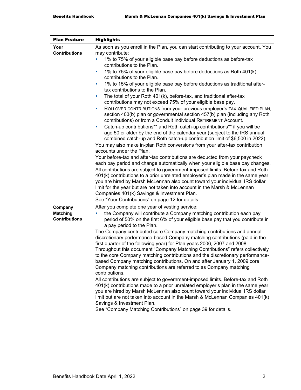| <b>Plan Feature</b>                                | <b>Highlights</b>                                                                                                                                                                                                                                                                                                                                                                                                                                                                                                                                                                                                                                                                                                                                                                                                                                                                                                                                                                                                                                                                                                                                                                                                                                                                                                                                                                                                                                                                                                                                                                                                                                                                                                                                                                            |
|----------------------------------------------------|----------------------------------------------------------------------------------------------------------------------------------------------------------------------------------------------------------------------------------------------------------------------------------------------------------------------------------------------------------------------------------------------------------------------------------------------------------------------------------------------------------------------------------------------------------------------------------------------------------------------------------------------------------------------------------------------------------------------------------------------------------------------------------------------------------------------------------------------------------------------------------------------------------------------------------------------------------------------------------------------------------------------------------------------------------------------------------------------------------------------------------------------------------------------------------------------------------------------------------------------------------------------------------------------------------------------------------------------------------------------------------------------------------------------------------------------------------------------------------------------------------------------------------------------------------------------------------------------------------------------------------------------------------------------------------------------------------------------------------------------------------------------------------------------|
| Your<br><b>Contributions</b>                       | As soon as you enroll in the Plan, you can start contributing to your account. You<br>may contribute:<br>1% to 75% of your eligible base pay before deductions as before-tax<br>contributions to the Plan.<br>1% to 75% of your eligible base pay before deductions as Roth 401(k)<br>ш<br>contributions to the Plan.<br>1% to 15% of your eligible base pay before deductions as traditional after-<br>L.<br>tax contributions to the Plan.<br>The total of your Roth 401(k), before-tax, and traditional after-tax<br>ш<br>contributions may not exceed 75% of your eligible base pay.<br>ROLLOVER CONTRIBUTIONS from your previous employer's TAX-QUALIFIED PLAN,<br>ш<br>section 403(b) plan or governmental section 457(b) plan (including any Roth<br>contributions) or from a Conduit Individual RETIREMENT Account.<br>Catch-up contributions** and Roth catch-up contributions** if you will be<br>L.<br>age 50 or older by the end of the calendar year (subject to the IRS annual<br>combined catch-up and Roth catch-up contribution limit of \$6,500 in 2022).<br>You may also make in-plan Roth conversions from your after-tax contribution<br>accounts under the Plan.<br>Your before-tax and after-tax contributions are deducted from your paycheck<br>each pay period and change automatically when your eligible base pay changes.<br>All contributions are subject to government-imposed limits. Before-tax and Roth<br>401(k) contributions to a prior unrelated employer's plan made in the same year<br>you are hired by Marsh McLennan also count toward your individual IRS dollar<br>limit for the year but are not taken into account in the Marsh & McLennan<br>Companies 401(k) Savings & Investment Plan.<br>See "Your Contributions" on page 12 for details. |
| Company<br><b>Matching</b><br><b>Contributions</b> | After you complete one year of vesting service:<br>the Company will contribute a Company matching contribution each pay<br>×,<br>period of 50% on the first 6% of your eligible base pay that you contribute in<br>a pay period to the Plan.<br>The Company contributed core Company matching contributions and annual<br>discretionary performance-based Company matching contributions (paid in the<br>first quarter of the following year) for Plan years 2006, 2007 and 2008.<br>Throughout this document "Company Matching Contributions" refers collectively<br>to the core Company matching contributions and the discretionary performance-<br>based Company matching contributions. On and after January 1, 2009 core<br>Company matching contributions are referred to as Company matching<br>contributions.<br>All contributions are subject to government-imposed limits. Before-tax and Roth<br>401(k) contributions made to a prior unrelated employer's plan in the same year<br>you are hired by Marsh McLennan also count toward your individual IRS dollar<br>limit but are not taken into account in the Marsh & McLennan Companies 401(k)<br>Savings & Investment Plan.<br>See "Company Matching Contributions" on page 39 for details.                                                                                                                                                                                                                                                                                                                                                                                                                                                                                                                                  |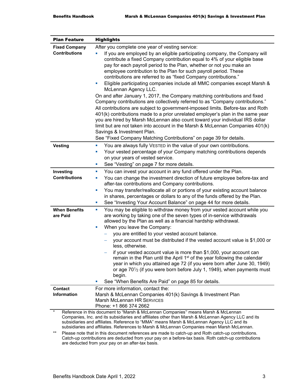| <b>Plan Feature</b>                                                                                                                                                                                                                                                                                                                                                                                                                                                                               | <b>Highlights</b>                                                                                                                                                                                                                                                                                                                                                                                                                                                                                                                                                                                                                                                                                                                                                                                                                                                                                                                                                                                                                                                       |  |
|---------------------------------------------------------------------------------------------------------------------------------------------------------------------------------------------------------------------------------------------------------------------------------------------------------------------------------------------------------------------------------------------------------------------------------------------------------------------------------------------------|-------------------------------------------------------------------------------------------------------------------------------------------------------------------------------------------------------------------------------------------------------------------------------------------------------------------------------------------------------------------------------------------------------------------------------------------------------------------------------------------------------------------------------------------------------------------------------------------------------------------------------------------------------------------------------------------------------------------------------------------------------------------------------------------------------------------------------------------------------------------------------------------------------------------------------------------------------------------------------------------------------------------------------------------------------------------------|--|
|                                                                                                                                                                                                                                                                                                                                                                                                                                                                                                   |                                                                                                                                                                                                                                                                                                                                                                                                                                                                                                                                                                                                                                                                                                                                                                                                                                                                                                                                                                                                                                                                         |  |
| <b>Fixed Company</b><br><b>Contributions</b>                                                                                                                                                                                                                                                                                                                                                                                                                                                      | After you complete one year of vesting service:<br>If you are employed by an eligible participating company, the Company will<br>contribute a fixed Company contribution equal to 4% of your eligible base<br>pay for each payroll period to the Plan, whether or not you make an<br>employee contribution to the Plan for such payroll period. These<br>contributions are referred to as "fixed Company contributions."<br>Eligible participating companies include all MMC companies except Marsh &<br>ш<br>McLennan Agency LLC.<br>On and after January 1, 2017, the Company matching contributions and fixed<br>Company contributions are collectively referred to as "Company contributions."<br>All contributions are subject to government-imposed limits. Before-tax and Roth<br>401(k) contributions made to a prior unrelated employer's plan in the same year<br>you are hired by Marsh McLennan also count toward your individual IRS dollar<br>limit but are not taken into account in the Marsh & McLennan Companies 401(k)<br>Savings & Investment Plan. |  |
|                                                                                                                                                                                                                                                                                                                                                                                                                                                                                                   | See "Fixed Company Matching Contributions" on page 39 for details.                                                                                                                                                                                                                                                                                                                                                                                                                                                                                                                                                                                                                                                                                                                                                                                                                                                                                                                                                                                                      |  |
| <b>Vesting</b>                                                                                                                                                                                                                                                                                                                                                                                                                                                                                    | You are always fully VESTED in the value of your own contributions.<br>ш<br>Your vested percentage of your Company matching contributions depends<br>ш<br>on your years of vested service.<br>See "Vesting" on page 7 for more details.<br>ш                                                                                                                                                                                                                                                                                                                                                                                                                                                                                                                                                                                                                                                                                                                                                                                                                            |  |
| Investing                                                                                                                                                                                                                                                                                                                                                                                                                                                                                         | You can invest your account in any fund offered under the Plan.<br>ш                                                                                                                                                                                                                                                                                                                                                                                                                                                                                                                                                                                                                                                                                                                                                                                                                                                                                                                                                                                                    |  |
| <b>Contributions</b>                                                                                                                                                                                                                                                                                                                                                                                                                                                                              | You can change the investment direction of future employee before-tax and<br>ш<br>after-tax contributions and Company contributions.<br>You may transfer/reallocate all or portions of your existing account balance<br>L.<br>in shares, percentages or dollars to any of the funds offered by the Plan.<br>See "Investing Your Account Balance" on page 44 for more details.<br>u.                                                                                                                                                                                                                                                                                                                                                                                                                                                                                                                                                                                                                                                                                     |  |
| <b>When Benefits</b>                                                                                                                                                                                                                                                                                                                                                                                                                                                                              | You may be eligible to withdraw money from your vested account while you<br>ш                                                                                                                                                                                                                                                                                                                                                                                                                                                                                                                                                                                                                                                                                                                                                                                                                                                                                                                                                                                           |  |
| are Paid                                                                                                                                                                                                                                                                                                                                                                                                                                                                                          | are working by taking one of the seven types of in-service withdrawals<br>allowed by the Plan as well as a financial hardship withdrawal.<br>When you leave the Company:<br>ш<br>you are entitled to your vested account balance.<br>your account must be distributed if the vested account value is \$1,000 or<br>less, otherwise.<br>if your vested account value is more than \$1,000, your account can<br>remain in the Plan until the April 1 <sup>st</sup> of the year following the calendar<br>year in which you attained age 72 (if you were born after June 30, 1949)<br>or age $70\frac{1}{2}$ (if you were born before July 1, 1949), when payments must<br>begin.<br>See "When Benefits Are Paid" on page 85 for details.                                                                                                                                                                                                                                                                                                                                  |  |
| For more information, contact the:<br><b>Contact</b>                                                                                                                                                                                                                                                                                                                                                                                                                                              |                                                                                                                                                                                                                                                                                                                                                                                                                                                                                                                                                                                                                                                                                                                                                                                                                                                                                                                                                                                                                                                                         |  |
| Information                                                                                                                                                                                                                                                                                                                                                                                                                                                                                       | Marsh & McLennan Companies 401(k) Savings & Investment Plan<br><b>Marsh McLennan HR SERVICES</b><br>Phone: +1 866 374 2662                                                                                                                                                                                                                                                                                                                                                                                                                                                                                                                                                                                                                                                                                                                                                                                                                                                                                                                                              |  |
| Reference in this document to "Marsh & McLennan Companies" means Marsh & McLennan<br>Companies, Inc. and its subsidiaries and affiliates other than Marsh & McLennan Agency LLC and its<br>subsidiaries and affiliates. Reference to "MMA" means Marsh & McLennan Agency LLC and its<br>subsidiaries and affiliates. References to Marsh & McLennan Companies mean Marsh McLennan.<br>$***$<br>Please note that in this document references are made to catch-up and Roth catch-up contributions. |                                                                                                                                                                                                                                                                                                                                                                                                                                                                                                                                                                                                                                                                                                                                                                                                                                                                                                                                                                                                                                                                         |  |

Catch-up contributions are deducted from your pay on a before-tax basis. Roth catch-up contributions are deducted from your pay on an after-tax basis.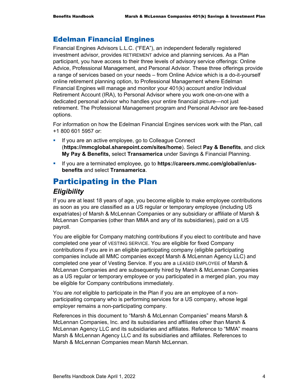#### Edelman Financial Engines

Financial Engines Advisors L.L.C. ("FEA"), an independent federally registered investment advisor, provides RETIREMENT advice and planning services. As a Plan participant, you have access to their three levels of advisory service offerings: Online Advice, Professional Management, and Personal Advisor. These three offerings provide a range of services based on your needs – from Online Advice which is a do-it-yourself online retirement planning option, to Professional Management where Edelman Financial Engines will manage and monitor your 401(k) account and/or Individual Retirement Account (IRA), to Personal Advisor where you work one-on-one with a dedicated personal advisor who handles your entire financial picture—not just retirement. The Professional Management program and Personal Advisor are fee-based options.

For information on how the Edelman Financial Engines services work with the Plan, call +1 800 601 5957 or:

- **If you are an active employee, go to Colleague Connect** (**https://mmcglobal.sharepoint.com/sites/home**). Select **Pay & Benefits**, and click **My Pay & Benefits,** select **Transamerica** under Savings & Financial Planning.
- If you are a terminated employee, go to **https://careers.mmc.com/global/en/usbenefits** and select **Transamerica**.

## Participating in the Plan

#### *Eligibility*

If you are at least 18 years of age, you become eligible to make employee contributions as soon as you are classified as a US regular or temporary employee (including US expatriates) of Marsh & McLennan Companies or any subsidiary or affiliate of Marsh & McLennan Companies (other than MMA and any of its subsidiaries), paid on a US payroll.

You are eligible for Company matching contributions if you elect to contribute and have completed one year of VESTING SERVICE. You are eligible for fixed Company contributions if you are in an eligible participating company (eligible participating companies include all MMC companies except Marsh & McLennan Agency LLC) and completed one year of Vesting Service. If you are a LEASED EMPLOYEE of Marsh & McLennan Companies and are subsequently hired by Marsh & McLennan Companies as a US regular or temporary employee or you participated in a merged plan, you may be eligible for Company contributions immediately.

You are *not* eligible to participate in the Plan if you are an employee of a nonparticipating company who is performing services for a US company, whose legal employer remains a non-participating company.

References in this document to "Marsh & McLennan Companies" means Marsh & McLennan Companies, Inc. and its subsidiaries and affiliates other than Marsh & McLennan Agency LLC and its subsidiaries and affiliates. Reference to "MMA" means Marsh & McLennan Agency LLC and its subsidiaries and affiliates. References to Marsh & McLennan Companies mean Marsh McLennan.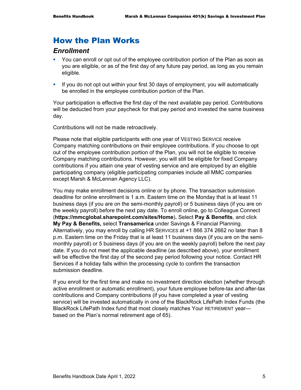# How the Plan Works

#### *Enrollment*

- You can enroll or opt out of the employee contribution portion of the Plan as soon as you are eligible, or as of the first day of any future pay period, as long as you remain eligible.
- If you do not opt out within your first 30 days of employment, you will automatically be enrolled in the employee contribution portion of the Plan.

Your participation is effective the first day of the next available pay period. Contributions will be deducted from your paycheck for that pay period and invested the same business day.

Contributions will not be made retroactively.

Please note that eligible participants with one year of VESTING SERVICE receive Company matching contributions on their employee contributions. If you choose to opt out of the employee contribution portion of the Plan, you will not be eligible to receive Company matching contributions. However, you will still be eligible for fixed Company contributions if you attain one year of vesting service and are employed by an eligible participating company (eligible participating companies include all MMC companies except Marsh & McLennan Agency LLC).

You may make enrollment decisions online or by phone. The transaction submission deadline for online enrollment is 1 a.m. Eastern time on the Monday that is at least 11 business days (if you are on the semi-monthly payroll) or 5 business days (if you are on the weekly payroll) before the next pay date. To enroll online, go to Colleague Connect (**https://mmcglobal.sharepoint.com/sites/Home**)**.** Select **Pay & Benefits**, and click **My Pay & Benefits,** select **Transamerica** under Savings & Financial Planning. Alternatively, you may enroll by calling HR SERVICES at +1 866 374 2662 no later than 8 p.m. Eastern time on the Friday that is at least 11 business days (if you are on the semimonthly payroll) or 5 business days (if you are on the weekly payroll) before the next pay date. If you do not meet the applicable deadline (as described above), your enrollment will be effective the first day of the second pay period following your notice. Contact HR Services if a holiday falls within the processing cycle to confirm the transaction submission deadline.

If you enroll for the first time and make no investment direction election (whether through active enrollment or automatic enrollment), your future employee before-tax and after-tax contributions and Company contributions (if you have completed a year of vesting service) will be invested automatically in one of the BlackRock LifePath Index Funds (the BlackRock LifePath Index fund that most closely matches Your RETIREMENT year based on the Plan's normal retirement age of 65).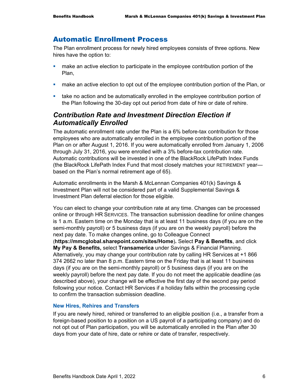#### Automatic Enrollment Process

The Plan enrollment process for newly hired employees consists of three options. New hires have the option to:

- make an active election to participate in the employee contribution portion of the Plan,
- make an active election to opt out of the employee contribution portion of the Plan, or
- take no action and be automatically enrolled in the employee contribution portion of the Plan following the 30-day opt out period from date of hire or date of rehire.

#### *Contribution Rate and Investment Direction Election if Automatically Enrolled*

The automatic enrollment rate under the Plan is a 6% before-tax contribution for those employees who are automatically enrolled in the employee contribution portion of the Plan on or after August 1, 2016. If you were automatically enrolled from January 1, 2006 through July 31, 2016, you were enrolled with a 3% before-tax contribution rate. Automatic contributions will be invested in one of the BlackRock LifePath Index Funds (the BlackRock LifePath Index Fund that most closely matches your RETIREMENT year based on the Plan's normal retirement age of 65).

Automatic enrollments in the Marsh & McLennan Companies 401(k) Savings & Investment Plan will not be considered part of a valid Supplemental Savings & Investment Plan deferral election for those eligible.

You can elect to change your contribution rate at any time. Changes can be processed online or through HR SERVICES. The transaction submission deadline for online changes is 1 a.m. Eastern time on the Monday that is at least 11 business days (if you are on the semi-monthly payroll) or 5 business days (if you are on the weekly payroll) before the next pay date. To make changes online, go to Colleague Connect (**https://mmcglobal.sharepoint.com/sites/Home**)**.** Select **Pay & Benefits**, and click **My Pay & Benefits,** select **Transamerica** under Savings & Financial Planning. Alternatively, you may change your contribution rate by calling HR Services at +1 866 374 2662 no later than 8 p.m. Eastern time on the Friday that is at least 11 business days (if you are on the semi-monthly payroll) or 5 business days (if you are on the weekly payroll) before the next pay date. If you do not meet the applicable deadline (as described above), your change will be effective the first day of the second pay period following your notice. Contact HR Services if a holiday falls within the processing cycle to confirm the transaction submission deadline.

#### **New Hires, Rehires and Transfers**

If you are newly hired, rehired or transferred to an eligible position (i.e., a transfer from a foreign-based position to a position on a US payroll of a participating company) and do not opt out of Plan participation, you will be automatically enrolled in the Plan after 30 days from your date of hire, date or rehire or date of transfer, respectively.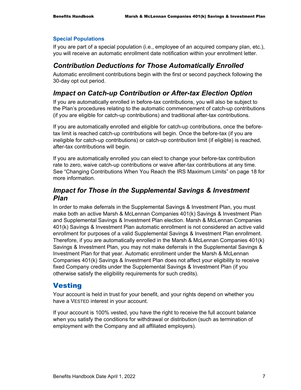#### **Special Populations**

If you are part of a special population (i.e., employee of an acquired company plan, etc.), you will receive an automatic enrollment date notification within your enrollment letter.

## *Contribution Deductions for Those Automatically Enrolled*

Automatic enrollment contributions begin with the first or second paycheck following the 30-day opt out period.

## *Impact on Catch-up Contribution or After-tax Election Option*

If you are automatically enrolled in before-tax contributions, you will also be subject to the Plan's procedures relating to the automatic commencement of catch-up contributions (if you are eligible for catch-up contributions) and traditional after-tax contributions.

If you are automatically enrolled and eligible for catch-up contributions, once the beforetax limit is reached catch-up contributions will begin. Once the before-tax (if you are ineligible for catch-up contributions) or catch-up contribution limit (if eligible) is reached, after-tax contributions will begin.

If you are automatically enrolled you can elect to change your before-tax contribution rate to zero, waive catch-up contributions or waive after-tax contributions at any time. See "Changing Contributions When You Reach the IRS Maximum Limits" on page 18 for more information.

#### *Impact for Those in the Supplemental Savings & Investment Plan*

In order to make deferrals in the Supplemental Savings & Investment Plan, you must make both an active Marsh & McLennan Companies 401(k) Savings & Investment Plan and Supplemental Savings & Investment Plan election. Marsh & McLennan Companies 401(k) Savings & Investment Plan automatic enrollment is not considered an active valid enrollment for purposes of a valid Supplemental Savings & Investment Plan enrollment. Therefore, if you are automatically enrolled in the Marsh & McLennan Companies 401(k) Savings & Investment Plan, you may not make deferrals in the Supplemental Savings & Investment Plan for that year. Automatic enrollment under the Marsh & McLennan Companies 401(k) Savings & Investment Plan does not affect your eligibility to receive fixed Company credits under the Supplemental Savings & Investment Plan (if you otherwise satisfy the eligibility requirements for such credits).

## **Vesting**

Your account is held in trust for your benefit, and your rights depend on whether you have a VESTED interest in your account.

If your account is 100% vested, you have the right to receive the full account balance when you satisfy the conditions for withdrawal or distribution (such as termination of employment with the Company and all affiliated employers).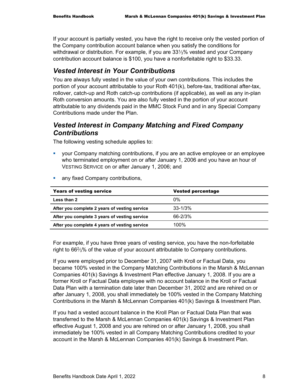If your account is partially vested, you have the right to receive only the vested portion of the Company contribution account balance when you satisfy the conditions for withdrawal or distribution. For example, if you are  $33\frac{1}{3}$ % vested and your Company contribution account balance is \$100, you have a nonforfeitable right to \$33.33.

#### *Vested Interest in Your Contributions*

You are always fully vested in the value of your own contributions. This includes the portion of your account attributable to your Roth 401(k), before-tax, traditional after-tax, rollover, catch-up and Roth catch-up contributions (if applicable), as well as any in-plan Roth conversion amounts. You are also fully vested in the portion of your account attributable to any dividends paid in the MMC Stock Fund and in any Special Company Contributions made under the Plan.

#### *Vested Interest in Company Matching and Fixed Company Contributions*

The following vesting schedule applies to:

 your Company matching contributions, if you are an active employee or an employee who terminated employment on or after January 1, 2006 and you have an hour of VESTING SERVICE on or after January 1, 2006; and

| <b>Years of vesting service</b>               | <b>Vested percentage</b> |  |
|-----------------------------------------------|--------------------------|--|
| Less than 2                                   | $0\%$                    |  |
| After you complete 2 years of vesting service | $33 - 1/3%$              |  |
| After you complete 3 years of vesting service | $66 - 2/3%$              |  |
| After you complete 4 years of vesting service | 100%                     |  |

**any fixed Company contributions,** 

For example, if you have three years of vesting service, you have the non-forfeitable right to 662⁄3% of the value of your account attributable to Company contributions.

If you were employed prior to December 31, 2007 with Kroll or Factual Data, you became 100% vested in the Company Matching Contributions in the Marsh & McLennan Companies 401(k) Savings & Investment Plan effective January 1, 2008. If you are a former Kroll or Factual Data employee with no account balance in the Kroll or Factual Data Plan with a termination date later than December 31, 2002 and are rehired on or after January 1, 2008, you shall immediately be 100% vested in the Company Matching Contributions in the Marsh & McLennan Companies 401(k) Savings & Investment Plan.

If you had a vested account balance in the Kroll Plan or Factual Data Plan that was transferred to the Marsh & McLennan Companies 401(k) Savings & Investment Plan effective August 1, 2008 and you are rehired on or after January 1, 2008, you shall immediately be 100% vested in all Company Matching Contributions credited to your account in the Marsh & McLennan Companies 401(k) Savings & Investment Plan.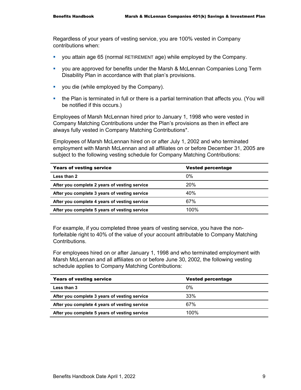Regardless of your years of vesting service, you are 100% vested in Company contributions when:

- you attain age 65 (normal RETIREMENT age) while employed by the Company.
- you are approved for benefits under the Marsh & McLennan Companies Long Term Disability Plan in accordance with that plan's provisions.
- **v** you die (while employed by the Company).
- the Plan is terminated in full or there is a partial termination that affects you. (You will be notified if this occurs.)

Employees of Marsh McLennan hired prior to January 1, 1998 who were vested in Company Matching Contributions under the Plan's provisions as then in effect are always fully vested in Company Matching Contributions\*.

Employees of Marsh McLennan hired on or after July 1, 2002 and who terminated employment with Marsh McLennan and all affiliates on or before December 31, 2005 are subject to the following vesting schedule for Company Matching Contributions:

| <b>Years of vesting service</b>               | <b>Vested percentage</b> |
|-----------------------------------------------|--------------------------|
| Less than 2                                   | $0\%$                    |
| After you complete 2 years of vesting service | <b>20%</b>               |
| After you complete 3 years of vesting service | 40%                      |
| After you complete 4 years of vesting service | 67%                      |
| After you complete 5 years of vesting service | $100\%$                  |

For example, if you completed three years of vesting service, you have the nonforfeitable right to 40% of the value of your account attributable to Company Matching Contributions.

For employees hired on or after January 1, 1998 and who terminated employment with Marsh McLennan and all affiliates on or before June 30, 2002, the following vesting schedule applies to Company Matching Contributions: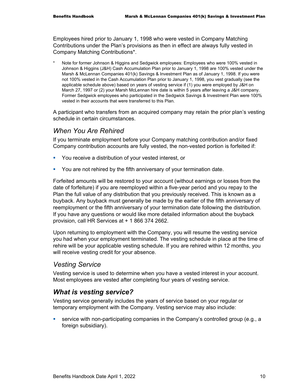Employees hired prior to January 1, 1998 who were vested in Company Matching Contributions under the Plan's provisions as then in effect are always fully vested in Company Matching Contributions\*.

Note for former Johnson & Higgins and Sedgwick employees: Employees who were 100% vested in Johnson & Higgins (J&H) Cash Accumulation Plan prior to January 1, 1998 are 100% vested under the Marsh & McLennan Companies 401(k) Savings & Investment Plan as of January 1, 1998. If you were not 100% vested in the Cash Accumulation Plan prior to January 1, 1998, you vest gradually (see the applicable schedule above) based on years of vesting service if (1) you were employed by J&H on March 27, 1997 or (2) your Marsh McLennan hire date is within 5 years after leaving a J&H company. Former Sedgwick employees who participated in the Sedgwick Savings & Investment Plan were 100% vested in their accounts that were transferred to this Plan.

A participant who transfers from an acquired company may retain the prior plan's vesting schedule in certain circumstances.

#### *When You Are Rehired*

If you terminate employment before your Company matching contribution and/or fixed Company contribution accounts are fully vested, the non-vested portion is forfeited if:

- You receive a distribution of your vested interest, or
- **•** You are not rehired by the fifth anniversary of your termination date.

Forfeited amounts will be restored to your account (without earnings or losses from the date of forfeiture) if you are reemployed within a five-year period and you repay to the Plan the full value of any distribution that you previously received. This is known as a buyback. Any buyback must generally be made by the earlier of the fifth anniversary of reemployment or the fifth anniversary of your termination date following the distribution. If you have any questions or would like more detailed information about the buyback provision, call HR Services at + 1 866 374 2662.

Upon returning to employment with the Company, you will resume the vesting service you had when your employment terminated. The vesting schedule in place at the time of rehire will be your applicable vesting schedule. If you are rehired within 12 months, you will receive vesting credit for your absence.

#### *Vesting Service*

Vesting service is used to determine when you have a vested interest in your account. Most employees are vested after completing four years of vesting service.

#### *What is vesting service?*

Vesting service generally includes the years of service based on your regular or temporary employment with the Company. Vesting service may also include:

 service with non-participating companies in the Company's controlled group (e.g., a foreign subsidiary).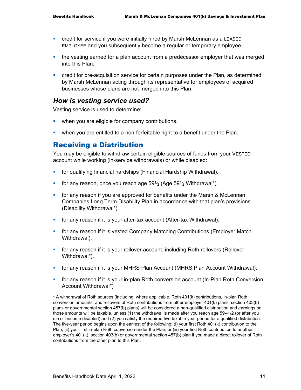- credit for service if you were initially hired by Marsh McLennan as a LEASED EMPLOYEE and you subsequently become a regular or temporary employee.
- the vesting earned for a plan account from a predecessor employer that was merged into this Plan.
- credit for pre-acquisition service for certain purposes under the Plan, as determined by Marsh McLennan acting through its representative for employees of acquired businesses whose plans are not merged into this Plan.

#### *How is vesting service used?*

Vesting service is used to determine:

- when you are eligible for company contributions.
- when you are entitled to a non-forfeitable right to a benefit under the Plan.

#### Receiving a Distribution

You may be eligible to withdraw certain eligible sources of funds from your VESTED account while working (in-service withdrawals) or while disabled:

- for qualifying financial hardships (Financial Hardship Withdrawal).
- for any reason, once you reach age  $59\frac{1}{2}$  (Age  $59\frac{1}{2}$  Withdrawal\*).
- **for any reason if you are approved for benefits under the Marsh & McLennan** Companies Long Term Disability Plan in accordance with that plan's provisions (Disability Withdrawal\*).
- for any reason if it is your after-tax account (After-tax Withdrawal).
- **Fact and reason if it is vested Company Matching Contributions (Employer Match)** Withdrawal).
- **for any reason if it is your rollover account, including Roth rollovers (Rollover**) Withdrawal\*).
- for any reason if it is your MHRS Plan Account (MHRS Plan Account Withdrawal).
- **F** for any reason if it is your in-plan Roth conversion account (In-Plan Roth Conversion Account Withdrawal\*)

\* A withdrawal of Roth sources (including, where applicable, Roth 401(k) contributions, in-plan Roth conversion amounts, and rollovers of Roth contributions from other employer 401(k) plans, section 403(b) plans or governmental section 457(b) plans) will be considered a non-qualified distribution and earnings on those amounts will be taxable, unless (1) the withdrawal is made after you reach age 59--1/2 (or after you die or become disabled) and (2) you satisfy the required five taxable year period for a qualified distribution. The five-year period begins upon the earliest of the following: (i) your first Roth 401(k) contribution to the Plan, (ii) your first in-plan Roth conversion under the Plan, or (iii) your first Roth contribution to another employer's 401(k), section 403(b) or governmental section 457(b) plan if you made a direct rollover of Roth contributions from the other plan to this Plan.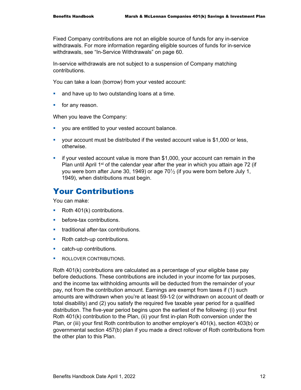Fixed Company contributions are not an eligible source of funds for any in-service withdrawals. For more information regarding eligible sources of funds for in-service withdrawals, see "In-Service Withdrawals" on page 60.

In-service withdrawals are not subject to a suspension of Company matching contributions.

You can take a loan (borrow) from your vested account:

- and have up to two outstanding loans at a time.
- **for any reason.**

When you leave the Company:

- you are entitled to your vested account balance.
- your account must be distributed if the vested account value is \$1,000 or less, otherwise.
- $\blacksquare$  if your vested account value is more than \$1,000, your account can remain in the Plan until April 1<sup>st</sup> of the calendar year after the year in which you attain age 72 (if you were born after June 30, 1949) or age 701⁄2 (if you were born before July 1, 1949), when distributions must begin.

# Your Contributions

You can make:

- Roth 401(k) contributions.
- **•** before-tax contributions.
- **traditional after-tax contributions.**
- Roth catch-up contributions.
- **Catch-up contributions.**
- **ROLLOVER CONTRIBUTIONS.**

Roth 401(k) contributions are calculated as a percentage of your eligible base pay before deductions. These contributions are included in your income for tax purposes, and the income tax withholding amounts will be deducted from the remainder of your pay, not from the contribution amount. Earnings are exempt from taxes if (1) such amounts are withdrawn when you're at least 59-1⁄2 (or withdrawn on account of death or total disability) and (2) you satisfy the required five taxable year period for a qualified distribution. The five-year period begins upon the earliest of the following: (i) your first Roth 401(k) contribution to the Plan, (ii) your first in-plan Roth conversion under the Plan, or (iii) your first Roth contribution to another employer's 401(k), section 403(b) or governmental section 457(b) plan if you made a direct rollover of Roth contributions from the other plan to this Plan.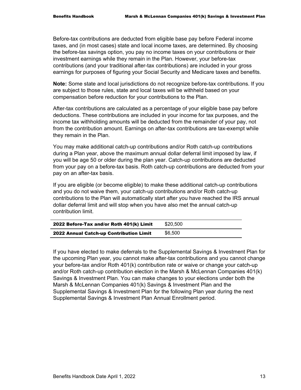Before-tax contributions are deducted from eligible base pay before Federal income taxes, and (in most cases) state and local income taxes, are determined. By choosing the before-tax savings option, you pay no income taxes on your contributions or their investment earnings while they remain in the Plan. However, your before-tax contributions (and your traditional after-tax contributions) are included in your gross earnings for purposes of figuring your Social Security and Medicare taxes and benefits.

**Note:** Some state and local jurisdictions do not recognize before-tax contributions. If you are subject to those rules, state and local taxes will be withheld based on your compensation before reduction for your contributions to the Plan.

After-tax contributions are calculated as a percentage of your eligible base pay before deductions. These contributions are included in your income for tax purposes, and the income tax withholding amounts will be deducted from the remainder of your pay, not from the contribution amount. Earnings on after-tax contributions are tax-exempt while they remain in the Plan.

You may make additional catch-up contributions and/or Roth catch-up contributions during a Plan year, above the maximum annual dollar deferral limit imposed by law, if you will be age 50 or older during the plan year. Catch-up contributions are deducted from your pay on a before-tax basis. Roth catch-up contributions are deducted from your pay on an after-tax basis.

If you are eligible (or become eligible) to make these additional catch-up contributions and you do not waive them, your catch-up contributions and/or Roth catch-up contributions to the Plan will automatically start after you have reached the IRS annual dollar deferral limit and will stop when you have also met the annual catch-up contribution limit.

| 2022 Before-Tax and/or Roth 401(k) Limit       | \$20,500 |
|------------------------------------------------|----------|
| <b>2022 Annual Catch-up Contribution Limit</b> | \$6,500  |

If you have elected to make deferrals to the Supplemental Savings & Investment Plan for the upcoming Plan year, you cannot make after-tax contributions and you cannot change your before-tax and/or Roth 401(k) contribution rate or waive or change your catch-up and/or Roth catch-up contribution election in the Marsh & McLennan Companies 401(k) Savings & Investment Plan. You can make changes to your elections under both the Marsh & McLennan Companies 401(k) Savings & Investment Plan and the Supplemental Savings & Investment Plan for the following Plan year during the next Supplemental Savings & Investment Plan Annual Enrollment period.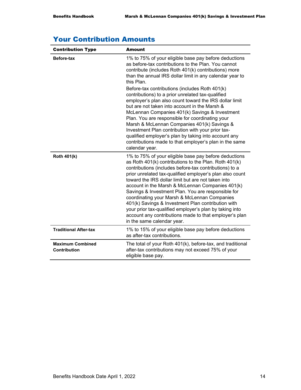## Your Contribution Amounts

| <b>Contribution Type</b>                       | <b>Amount</b>                                                                                                                                                                                                                                                                                                                                                                                                                                                                                                                                                                                                                                                                                                                                                                               |
|------------------------------------------------|---------------------------------------------------------------------------------------------------------------------------------------------------------------------------------------------------------------------------------------------------------------------------------------------------------------------------------------------------------------------------------------------------------------------------------------------------------------------------------------------------------------------------------------------------------------------------------------------------------------------------------------------------------------------------------------------------------------------------------------------------------------------------------------------|
| <b>Before-tax</b>                              | 1% to 75% of your eligible base pay before deductions<br>as before-tax contributions to the Plan. You cannot<br>contribute (includes Roth 401(k) contributions) more<br>than the annual IRS dollar limit in any calendar year to<br>this Plan.<br>Before-tax contributions (includes Roth 401(k)<br>contributions) to a prior unrelated tax-qualified<br>employer's plan also count toward the IRS dollar limit<br>but are not taken into account in the Marsh &<br>McLennan Companies 401(k) Savings & Investment<br>Plan. You are responsible for coordinating your<br>Marsh & McLennan Companies 401(k) Savings &<br>Investment Plan contribution with your prior tax-<br>qualified employer's plan by taking into account any<br>contributions made to that employer's plan in the same |
|                                                | calendar year.                                                                                                                                                                                                                                                                                                                                                                                                                                                                                                                                                                                                                                                                                                                                                                              |
| Roth 401(k)                                    | 1% to 75% of your eligible base pay before deductions<br>as Roth 401(k) contributions to the Plan. Roth 401(k)<br>contributions (includes before-tax contributions) to a<br>prior unrelated tax-qualified employer's plan also count<br>toward the IRS dollar limit but are not taken into<br>account in the Marsh & McLennan Companies 401(k)<br>Savings & Investment Plan. You are responsible for<br>coordinating your Marsh & McLennan Companies<br>401(k) Savings & Investment Plan contribution with<br>your prior tax-qualified employer's plan by taking into<br>account any contributions made to that employer's plan<br>in the same calendar year.                                                                                                                               |
| <b>Traditional After-tax</b>                   | 1% to 15% of your eligible base pay before deductions<br>as after-tax contributions.                                                                                                                                                                                                                                                                                                                                                                                                                                                                                                                                                                                                                                                                                                        |
| <b>Maximum Combined</b><br><b>Contribution</b> | The total of your Roth 401(k), before-tax, and traditional<br>after-tax contributions may not exceed 75% of your<br>eligible base pay.                                                                                                                                                                                                                                                                                                                                                                                                                                                                                                                                                                                                                                                      |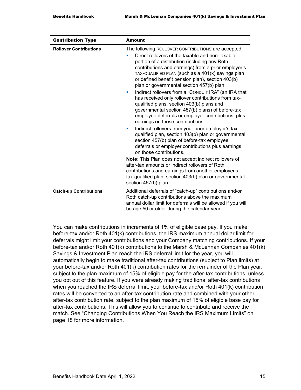| <b>Contribution Type</b>      | <b>Amount</b>                                                                                                                                                                                                                                                                                                                                                                                                                                                                                                                                                                                                                                                                                                                                                                                                                                                                                                                                                                                                                                                                                                                                                       |
|-------------------------------|---------------------------------------------------------------------------------------------------------------------------------------------------------------------------------------------------------------------------------------------------------------------------------------------------------------------------------------------------------------------------------------------------------------------------------------------------------------------------------------------------------------------------------------------------------------------------------------------------------------------------------------------------------------------------------------------------------------------------------------------------------------------------------------------------------------------------------------------------------------------------------------------------------------------------------------------------------------------------------------------------------------------------------------------------------------------------------------------------------------------------------------------------------------------|
| <b>Rollover Contributions</b> | The following ROLLOVER CONTRIBUTIONS are accepted.<br>Direct rollovers of the taxable and non-taxable<br>п<br>portion of a distribution (including any Roth<br>contributions and earnings) from a prior employer's<br>TAX-QUALIFIED PLAN (such as a 401(k) savings plan<br>or defined benefit pension plan), section 403(b)<br>plan or governmental section 457(b) plan.<br>Indirect rollovers from a "CONDUIT IRA" (an IRA that<br>ш<br>has received only rollover contributions from tax-<br>qualified plans, section 403(b) plans and<br>governmental section 457(b) plans) of before-tax<br>employee deferrals or employer contributions, plus<br>earnings on those contributions.<br>Indirect rollovers from your prior employer's tax-<br>ш<br>qualified plan, section 403(b) plan or governmental<br>section 457(b) plan of before-tax employee<br>deferrals or employer contributions plus earnings<br>on those contributions.<br>Note: This Plan does not accept indirect rollovers of<br>after-tax amounts or indirect rollovers of Roth<br>contributions and earnings from another employer's<br>tax-qualified plan, section 403(b) plan or governmental |
|                               | section 457(b) plan.                                                                                                                                                                                                                                                                                                                                                                                                                                                                                                                                                                                                                                                                                                                                                                                                                                                                                                                                                                                                                                                                                                                                                |
| <b>Catch-up Contributions</b> | Additional deferrals of "catch-up" contributions and/or<br>Roth catch-up contributions above the maximum<br>annual dollar limit for deferrals will be allowed if you will<br>be age 50 or older during the calendar year.                                                                                                                                                                                                                                                                                                                                                                                                                                                                                                                                                                                                                                                                                                                                                                                                                                                                                                                                           |

You can make contributions in increments of 1% of eligible base pay. If you make before-tax and/or Roth 401(k) contributions, the IRS maximum annual dollar limit for deferrals might limit your contributions and your Company matching contributions. If your before-tax and/or Roth 401(k) contributions to the Marsh & McLennan Companies 401(k) Savings & Investment Plan reach the IRS deferral limit for the year, you will automatically begin to make traditional after-tax contributions (subject to Plan limits) at your before-tax and/or Roth 401(k) contribution rates for the remainder of the Plan year, subject to the plan maximum of 15% of eligible pay for the after-tax contributions, unless you opt out of this feature. If you were already making traditional after-tax contributions when you reached the IRS deferral limit, your before-tax and/or Roth 401(k) contribution rates will be converted to an after-tax contribution rate and combined with your other after-tax contribution rate, subject to the plan maximum of 15% of eligible base pay for after-tax contributions. This will allow you to continue to contribute and receive the match. See "Changing Contributions When You Reach the IRS Maximum Limits" on page 18 for more information.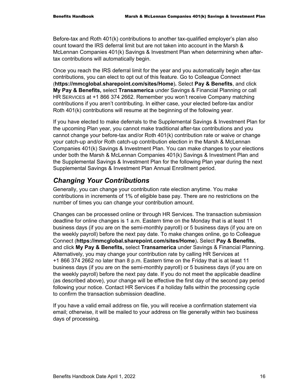Before-tax and Roth 401(k) contributions to another tax-qualified employer's plan also count toward the IRS deferral limit but are not taken into account in the Marsh & McLennan Companies 401(k) Savings & Investment Plan when determining when aftertax contributions will automatically begin.

Once you reach the IRS deferral limit for the year and you automatically begin after-tax contributions, you can elect to opt out of this feature. Go to Colleague Connect (**https://mmcglobal.sharepoint.com/sites/Home**)**.** Select **Pay & Benefits**, and click **My Pay & Benefits,** select **Transamerica** under Savings & Financial Planning or call HR SERVICES at +1 866 374 2662. Remember you won't receive Company matching contributions if you aren't contributing. In either case, your elected before-tax and/or Roth 401(k) contributions will resume at the beginning of the following year.

If you have elected to make deferrals to the Supplemental Savings & Investment Plan for the upcoming Plan year, you cannot make traditional after-tax contributions and you cannot change your before-tax and/or Roth 401(k) contribution rate or waive or change your catch-up and/or Roth catch-up contribution election in the Marsh & McLennan Companies 401(k) Savings & Investment Plan. You can make changes to your elections under both the Marsh & McLennan Companies 401(k) Savings & Investment Plan and the Supplemental Savings & Investment Plan for the following Plan year during the next Supplemental Savings & Investment Plan Annual Enrollment period.

#### *Changing Your Contributions*

Generally, you can change your contribution rate election anytime. You make contributions in increments of 1% of eligible base pay. There are no restrictions on the number of times you can change your contribution amount.

Changes can be processed online or through HR Services. The transaction submission deadline for online changes is 1 a.m. Eastern time on the Monday that is at least 11 business days (if you are on the semi-monthly payroll) or 5 business days (if you are on the weekly payroll) before the next pay date. To make changes online, go to Colleague Connect (**https://mmcglobal.sharepoint.com/sites/Home**)**.** Select **Pay & Benefits**, and click **My Pay & Benefits,** select **Transamerica** under Savings & Financial Planning. Alternatively, you may change your contribution rate by calling HR Services at +1 866 374 2662 no later than 8 p.m. Eastern time on the Friday that is at least 11 business days (if you are on the semi-monthly payroll) or 5 business days (if you are on the weekly payroll) before the next pay date. If you do not meet the applicable deadline (as described above), your change will be effective the first day of the second pay period following your notice. Contact HR Services if a holiday falls within the processing cycle to confirm the transaction submission deadline.

If you have a valid email address on file, you will receive a confirmation statement via email; otherwise, it will be mailed to your address on file generally within two business days of processing.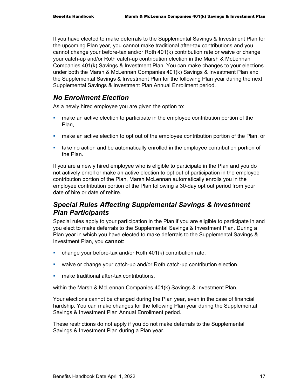If you have elected to make deferrals to the Supplemental Savings & Investment Plan for the upcoming Plan year, you cannot make traditional after-tax contributions and you cannot change your before-tax and/or Roth 401(k) contribution rate or waive or change your catch-up and/or Roth catch-up contribution election in the Marsh & McLennan Companies 401(k) Savings & Investment Plan. You can make changes to your elections under both the Marsh & McLennan Companies 401(k) Savings & Investment Plan and the Supplemental Savings & Investment Plan for the following Plan year during the next Supplemental Savings & Investment Plan Annual Enrollment period.

#### *No Enrollment Election*

As a newly hired employee you are given the option to:

- make an active election to participate in the employee contribution portion of the Plan,
- **EXECT** make an active election to opt out of the employee contribution portion of the Plan, or
- take no action and be automatically enrolled in the employee contribution portion of the Plan.

If you are a newly hired employee who is eligible to participate in the Plan and you do not actively enroll or make an active election to opt out of participation in the employee contribution portion of the Plan, Marsh McLennan automatically enrolls you in the employee contribution portion of the Plan following a 30-day opt out period from your date of hire or date of rehire.

#### *Special Rules Affecting Supplemental Savings & Investment Plan Participants*

Special rules apply to your participation in the Plan if you are eligible to participate in and you elect to make deferrals to the Supplemental Savings & Investment Plan. During a Plan year in which you have elected to make deferrals to the Supplemental Savings & Investment Plan, you **cannot**:

- change your before-tax and/or Roth 401(k) contribution rate.
- waive or change your catch-up and/or Roth catch-up contribution election.
- **nake traditional after-tax contributions,**

within the Marsh & McLennan Companies 401(k) Savings & Investment Plan.

Your elections cannot be changed during the Plan year, even in the case of financial hardship. You can make changes for the following Plan year during the Supplemental Savings & Investment Plan Annual Enrollment period.

These restrictions do not apply if you do not make deferrals to the Supplemental Savings & Investment Plan during a Plan year.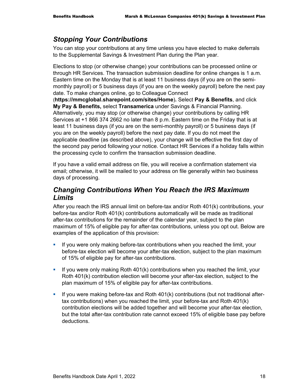#### *Stopping Your Contributions*

You can stop your contributions at any time unless you have elected to make deferrals to the Supplemental Savings & Investment Plan during the Plan year.

Elections to stop (or otherwise change) your contributions can be processed online or through HR Services. The transaction submission deadline for online changes is 1 a.m. Eastern time on the Monday that is at least 11 business days (if you are on the semimonthly payroll) or 5 business days (if you are on the weekly payroll) before the next pay date. To make changes online, go to Colleague Connect

(**https://mmcglobal.sharepoint.com/sites/Home**)**.** Select **Pay & Benefits**, and click **My Pay & Benefits,** select **Transamerica** under Savings & Financial Planning. Alternatively, you may stop (or otherwise change) your contributions by calling HR Services at +1 866 374 2662 no later than 8 p.m. Eastern time on the Friday that is at least 11 business days (if you are on the semi-monthly payroll) or 5 business days (if you are on the weekly payroll) before the next pay date. If you do not meet the applicable deadline (as described above), your change will be effective the first day of the second pay period following your notice. Contact HR Services if a holiday falls within the processing cycle to confirm the transaction submission deadline.

If you have a valid email address on file, you will receive a confirmation statement via email; otherwise, it will be mailed to your address on file generally within two business days of processing.

#### *Changing Contributions When You Reach the IRS Maximum Limits*

After you reach the IRS annual limit on before-tax and/or Roth 401(k) contributions, your before-tax and/or Roth 401(k) contributions automatically will be made as traditional after-tax contributions for the remainder of the calendar year, subject to the plan maximum of 15% of eligible pay for after-tax contributions, unless you opt out. Below are examples of the application of this provision:

- If you were only making before-tax contributions when you reached the limit, your before-tax election will become your after-tax election, subject to the plan maximum of 15% of eligible pay for after-tax contributions.
- If you were only making Roth  $401(k)$  contributions when you reached the limit, your Roth 401(k) contribution election will become your after-tax election, subject to the plan maximum of 15% of eligible pay for after-tax contributions.
- If you were making before-tax and Roth  $401(k)$  contributions (but not traditional aftertax contributions) when you reached the limit, your before-tax and Roth 401(k) contribution elections will be added together and will become your after-tax election, but the total after-tax contribution rate cannot exceed 15% of eligible base pay before deductions.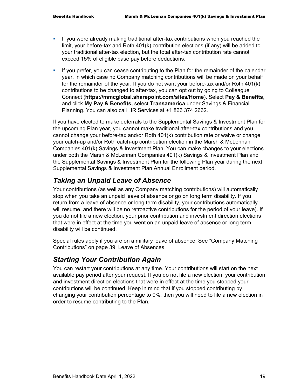- If you were already making traditional after-tax contributions when you reached the limit, your before-tax and Roth 401(k) contribution elections (if any) will be added to your traditional after-tax election, but the total after-tax contribution rate cannot exceed 15% of eligible base pay before deductions.
- If you prefer, you can cease contributing to the Plan for the remainder of the calendar year, in which case no Company matching contributions will be made on your behalf for the remainder of the year. If you do not want your before-tax and/or Roth 401(k) contributions to be changed to after-tax, you can opt out by going to Colleague Connect (**https://mmcglobal.sharepoint.com/sites/Home**)**.** Select **Pay & Benefits**, and click **My Pay & Benefits,** select **Transamerica** under Savings & Financial Planning. You can also call HR Services at +1 866 374 2662.

If you have elected to make deferrals to the Supplemental Savings & Investment Plan for the upcoming Plan year, you cannot make traditional after-tax contributions and you cannot change your before-tax and/or Roth 401(k) contribution rate or waive or change your catch-up and/or Roth catch-up contribution election in the Marsh & McLennan Companies 401(k) Savings & Investment Plan. You can make changes to your elections under both the Marsh & McLennan Companies 401(k) Savings & Investment Plan and the Supplemental Savings & Investment Plan for the following Plan year during the next Supplemental Savings & Investment Plan Annual Enrollment period.

## *Taking an Unpaid Leave of Absence*

Your contributions (as well as any Company matching contributions) will automatically stop when you take an unpaid leave of absence or go on long term disability. If you return from a leave of absence or long term disability, your contributions automatically will resume, and there will be no retroactive contributions for the period of your leave). If you do not file a new election, your prior contribution and investment direction elections that were in effect at the time you went on an unpaid leave of absence or long term disability will be continued.

Special rules apply if you are on a military leave of absence. See "Company Matching Contributions" on page 39, Leave of Absences.

#### *Starting Your Contribution Again*

You can restart your contributions at any time. Your contributions will start on the next available pay period after your request. If you do not file a new election, your contribution and investment direction elections that were in effect at the time you stopped your contributions will be continued. Keep in mind that if you stopped contributing by changing your contribution percentage to 0%, then you will need to file a new election in order to resume contributing to the Plan.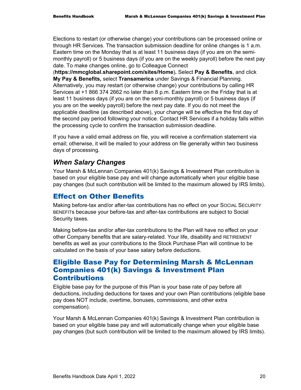Elections to restart (or otherwise change) your contributions can be processed online or through HR Services. The transaction submission deadline for online changes is 1 a.m. Eastern time on the Monday that is at least 11 business days (if you are on the semimonthly payroll) or 5 business days (if you are on the weekly payroll) before the next pay date. To make changes online, go to Colleague Connect

(**https://mmcglobal.sharepoint.com/sites/Home**)**.** Select **Pay & Benefits**, and click **My Pay & Benefits,** select **Transamerica** under Savings & Financial Planning. Alternatively, you may restart (or otherwise change) your contributions by calling HR Services at +1 866 374 2662 no later than 8 p.m. Eastern time on the Friday that is at least 11 business days (if you are on the semi-monthly payroll) or 5 business days (if you are on the weekly payroll) before the next pay date. If you do not meet the applicable deadline (as described above), your change will be effective the first day of the second pay period following your notice. Contact HR Services if a holiday falls within the processing cycle to confirm the transaction submission deadline.

If you have a valid email address on file, you will receive a confirmation statement via email; otherwise, it will be mailed to your address on file generally within two business days of processing.

#### *When Salary Changes*

Your Marsh & McLennan Companies 401(k) Savings & Investment Plan contribution is based on your eligible base pay and will change automatically when your eligible base pay changes (but such contribution will be limited to the maximum allowed by IRS limits).

#### Effect on Other Benefits

Making before-tax and/or after-tax contributions has no effect on your SOCIAL SECURITY BENEFITs because your before-tax and after-tax contributions are subject to Social Security taxes.

Making before-tax and/or after-tax contributions to the Plan will have no effect on your other Company benefits that are salary-related. Your life, disability and RETIREMENT benefits as well as your contributions to the Stock Purchase Plan will continue to be calculated on the basis of your base salary before deductions.

#### Eligible Base Pay for Determining Marsh & McLennan Companies 401(k) Savings & Investment Plan Contributions

Eligible base pay for the purpose of this Plan is your base rate of pay before all deductions, including deductions for taxes and your own Plan contributions (eligible base pay does NOT include, overtime, bonuses, commissions, and other extra compensation).

Your Marsh & McLennan Companies 401(k) Savings & Investment Plan contribution is based on your eligible base pay and will automatically change when your eligible base pay changes (but such contribution will be limited to the maximum allowed by IRS limits).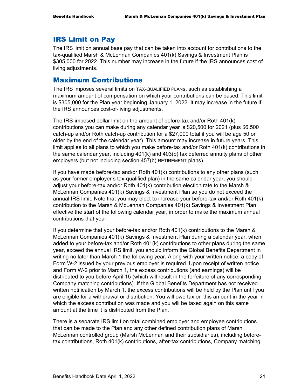#### IRS Limit on Pay

The IRS limit on annual base pay that can be taken into account for contributions to the tax-qualified Marsh & McLennan Companies 401(k) Savings & Investment Plan is \$305,000 for 2022. This number may increase in the future if the IRS announces cost of living adjustments.

#### Maximum Contributions

The IRS imposes several limits on TAX-QUALIFIED PLANs, such as establishing a maximum amount of compensation on which your contributions can be based. This limit is \$305,000 for the Plan year beginning January 1, 2022. It may increase in the future if the IRS announces cost-of-living adjustments.

The IRS-imposed dollar limit on the amount of before-tax and/or Roth 401(k) contributions you can make during any calendar year is \$20,500 for 2021 (plus \$6,500 catch-up and/or Roth catch-up contribution for a \$27,000 total if you will be age 50 or older by the end of the calendar year). This amount may increase in future years. This limit applies to all plans to which you make before-tax and/or Roth 401(k) contributions in the same calendar year, including 401(k) and 403(b) tax deferred annuity plans of other employers (but not including section 457(b) RETIREMENT plans).

If you have made before-tax and/or Roth 401(k) contributions to any other plans (such as your former employer's tax-qualified plan) in the same calendar year, you should adjust your before-tax and/or Roth 401(k) contribution election rate to the Marsh & McLennan Companies 401(k) Savings & Investment Plan so you do not exceed the annual IRS limit. Note that you may elect to increase your before-tax and/or Roth 401(k) contribution to the Marsh & McLennan Companies 401(k) Savings & Investment Plan effective the start of the following calendar year, in order to make the maximum annual contributions that year.

If you determine that your before-tax and/or Roth 401(k) contributions to the Marsh & McLennan Companies 401(k) Savings & Investment Plan during a calendar year, when added to your before-tax and/or Roth 401(k) contributions to other plans during the same year, exceed the annual IRS limit, you should inform the Global Benefits Department in writing no later than March 1 the following year. Along with your written notice, a copy of Form W-2 issued by your previous employer is required. Upon receipt of written notice and Form W-2 prior to March 1, the excess contributions (and earnings) will be distributed to you before April 15 (which will result in the forfeiture of any corresponding Company matching contributions). If the Global Benefits Department has not received written notification by March 1, the excess contributions will be held by the Plan until you are eligible for a withdrawal or distribution. You will owe tax on this amount in the year in which the excess contribution was made and you will be taxed again on this same amount at the time it is distributed from the Plan.

There is a separate IRS limit on total combined employer and employee contributions that can be made to the Plan and any other defined contribution plans of Marsh McLennan controlled group (Marsh McLennan and their subsidiaries), including beforetax contributions, Roth 401(k) contributions, after-tax contributions, Company matching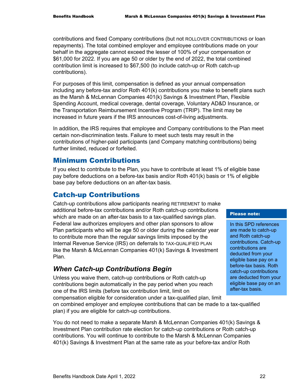contributions and fixed Company contributions (but not ROLLOVER CONTRIBUTIONS or loan repayments). The total combined employer and employee contributions made on your behalf in the aggregate cannot exceed the lesser of 100% of your compensation or \$61,000 for 2022. If you are age 50 or older by the end of 2022, the total combined contribution limit is increased to \$67,500 (to include catch-up or Roth catch-up contributions).

For purposes of this limit, compensation is defined as your annual compensation including any before-tax and/or Roth 401(k) contributions you make to benefit plans such as the Marsh & McLennan Companies 401(k) Savings & Investment Plan, Flexible Spending Account, medical coverage, dental coverage, Voluntary AD&D Insurance, or the Transportation Reimbursement Incentive Program (TRIP). The limit may be increased in future years if the IRS announces cost-of-living adjustments.

In addition, the IRS requires that employee and Company contributions to the Plan meet certain non-discrimination tests. Failure to meet such tests may result in the contributions of higher-paid participants (and Company matching contributions) being further limited, reduced or forfeited.

#### Minimum Contributions

If you elect to contribute to the Plan, you have to contribute at least 1% of eligible base pay before deductions on a before-tax basis and/or Roth 401(k) basis or 1% of eligible base pay before deductions on an after-tax basis.

#### Catch-up Contributions

Catch-up contributions allow participants nearing RETIREMENT to make additional before-tax contributions and/or Roth catch-up contributions which are made on an after-tax basis to a tax-qualified savings plan. Federal law authorizes employers and other plan sponsors to allow Plan participants who will be age 50 or older during the calendar year to contribute more than the regular savings limits imposed by the Internal Revenue Service (IRS) on deferrals to TAX-QUALIFIED PLAN like the Marsh & McLennan Companies 401(k) Savings & Investment Plan.

## *When Catch-up Contributions Begin*

Unless you waive them, catch-up contributions or Roth catch-up contributions begin automatically in the pay period when you reach one of the IRS limits (before tax contribution limit, limit on compensation eligible for consideration under a tax-qualified plan, limit Please note:

In this SPD references are made to catch-up and Roth catch-up contributions. Catch-up contributions are deducted from your eligible base pay on a before-tax basis. Roth catch-up contributions are deducted from your eligible base pay on an after-tax basis.

on combined employer and employee contributions that can be made to a tax-qualified plan) if you are eligible for catch-up contributions.

You do not need to make a separate Marsh & McLennan Companies 401(k) Savings & Investment Plan contribution rate election for catch-up contributions or Roth catch-up contributions. You will continue to contribute to the Marsh & McLennan Companies 401(k) Savings & Investment Plan at the same rate as your before-tax and/or Roth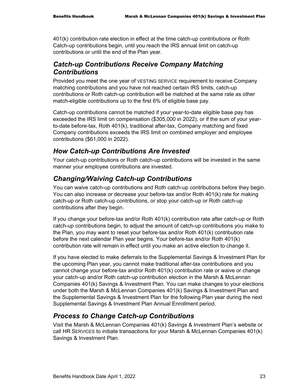401(k) contribution rate election in effect at the time catch-up contributions or Roth Catch-up contributions begin, until you reach the IRS annual limit on catch-up contributions or until the end of the Plan year.

#### *Catch-up Contributions Receive Company Matching Contributions*

Provided you meet the one year of VESTING SERVICE requirement to receive Company matching contributions and you have not reached certain IRS limits, catch-up contributions or Roth catch-up contribution will be matched at the same rate as other match-eligible contributions up to the first 6% of eligible base pay.

Catch-up contributions cannot be matched if your year-to-date eligible base pay has exceeded the IRS limit on compensation (\$305,000 in 2022), or if the sum of your yearto-date before-tax, Roth 401(k), traditional after-tax, Company matching and fixed Company contributions exceeds the IRS limit on combined employer and employee contributions (\$61,000 in 2022).

#### *How Catch-up Contributions Are Invested*

Your catch-up contributions or Roth catch-up contributions will be invested in the same manner your employee contributions are invested.

## *Changing/Waiving Catch-up Contributions*

You can waive catch-up contributions and Roth catch-up contributions before they begin. You can also increase or decrease your before-tax and/or Roth 401(k) rate for making catch-up or Roth catch-up contributions, or stop your catch-up or Roth catch-up contributions after they begin.

If you change your before-tax and/or Roth 401(k) contribution rate after catch-up or Roth catch-up contributions begin, to adjust the amount of catch-up contributions you make to the Plan, you may want to reset your before-tax and/or Roth 401(k) contribution rate before the next calendar Plan year begins. Your before-tax and/or Roth 401(k) contribution rate will remain in effect until you make an active election to change it.

If you have elected to make deferrals to the Supplemental Savings & Investment Plan for the upcoming Plan year, you cannot make traditional after-tax contributions and you cannot change your before-tax and/or Roth 401(k) contribution rate or waive or change your catch-up and/or Roth catch-up contribution election in the Marsh & McLennan Companies 401(k) Savings & Investment Plan. You can make changes to your elections under both the Marsh & McLennan Companies 401(k) Savings & Investment Plan and the Supplemental Savings & Investment Plan for the following Plan year during the next Supplemental Savings & Investment Plan Annual Enrollment period.

#### *Process to Change Catch-up Contributions*

Visit the Marsh & McLennan Companies 401(k) Savings & Investment Plan's website or call HR SERVICES to initiate transactions for your Marsh & McLennan Companies 401(k) Savings & Investment Plan.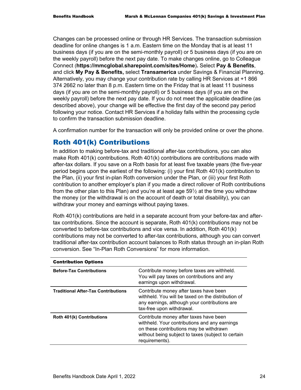Changes can be processed online or through HR Services. The transaction submission deadline for online changes is 1 a.m. Eastern time on the Monday that is at least 11 business days (if you are on the semi-monthly payroll) or 5 business days (if you are on the weekly payroll) before the next pay date. To make changes online, go to Colleague Connect (**https://mmcglobal.sharepoint.com/sites/Home**)**.** Select **Pay & Benefits**, and click **My Pay & Benefits,** select **Transamerica** under Savings & Financial Planning. Alternatively, you may change your contribution rate by calling HR Services at +1 866 374 2662 no later than 8 p.m. Eastern time on the Friday that is at least 11 business days (if you are on the semi-monthly payroll) or 5 business days (if you are on the weekly payroll) before the next pay date. If you do not meet the applicable deadline (as described above), your change will be effective the first day of the second pay period following your notice. Contact HR Services if a holiday falls within the processing cycle to confirm the transaction submission deadline.

A confirmation number for the transaction will only be provided online or over the phone.

#### Roth 401(k) Contributions

In addition to making before-tax and traditional after-tax contributions, you can also make Roth 401(k) contributions. Roth 401(k) contributions are contributions made with after-tax dollars. If you save on a Roth basis for at least five taxable years (the five-year period begins upon the earliest of the following: (i) your first Roth 401(k) contribution to the Plan, (ii) your first in-plan Roth conversion under the Plan, or (iii) your first Roth contribution to another employer's plan if you made a direct rollover of Roth contributions from the other plan to this Plan) and you're at least age  $59\%$  at the time you withdraw the money (or the withdrawal is on the account of death or total disability), you can withdraw your money and earnings without paying taxes.

Roth 401(k) contributions are held in a separate account from your before-tax and aftertax contributions. Since the account is separate, Roth 401(k) contributions may not be converted to before-tax contributions and vice versa. In addition, Roth 401(k) contributions may not be converted to after-tax contributions, although you can convert traditional after-tax contribution account balances to Roth status through an in-plan Roth conversion. See "In-Plan Roth Conversions" for more information.

| <b>Contribution Options</b>                |                                                                                                                                                                                                            |
|--------------------------------------------|------------------------------------------------------------------------------------------------------------------------------------------------------------------------------------------------------------|
| <b>Before-Tax Contributions</b>            | Contribute money before taxes are withheld.<br>You will pay taxes on contributions and any<br>earnings upon withdrawal.                                                                                    |
| <b>Traditional After-Tax Contributions</b> | Contribute money after taxes have been<br>withheld. You will be taxed on the distribution of<br>any earnings, although your contributions are<br>tax-free upon withdrawal.                                 |
| <b>Roth 401(k) Contributions</b>           | Contribute money after taxes have been<br>withheld. Your contributions and any earnings<br>on these contributions may be withdrawn<br>without being subject to taxes (subject to certain<br>requirements). |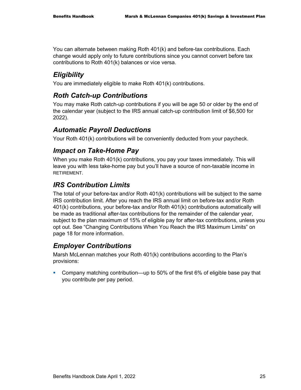You can alternate between making Roth 401(k) and before-tax contributions. Each change would apply only to future contributions since you cannot convert before tax contributions to Roth 401(k) balances or vice versa.

# *Eligibility*

You are immediately eligible to make Roth 401(k) contributions.

#### *Roth Catch-up Contributions*

You may make Roth catch-up contributions if you will be age 50 or older by the end of the calendar year (subject to the IRS annual catch-up contribution limit of \$6,500 for 2022).

#### *Automatic Payroll Deductions*

Your Roth 401(k) contributions will be conveniently deducted from your paycheck.

#### *Impact on Take-Home Pay*

When you make Roth 401(k) contributions, you pay your taxes immediately. This will leave you with less take-home pay but you'll have a source of non-taxable income in RETIREMENT.

## *IRS Contribution Limits*

The total of your before-tax and/or Roth 401(k) contributions will be subject to the same IRS contribution limit. After you reach the IRS annual limit on before-tax and/or Roth 401(k) contributions, your before-tax and/or Roth 401(k) contributions automatically will be made as traditional after-tax contributions for the remainder of the calendar year, subject to the plan maximum of 15% of eligible pay for after-tax contributions, unless you opt out. See "Changing Contributions When You Reach the IRS Maximum Limits" on page 18 for more information.

## *Employer Contributions*

Marsh McLennan matches your Roth 401(k) contributions according to the Plan's provisions:

 Company matching contribution—up to 50% of the first 6% of eligible base pay that you contribute per pay period.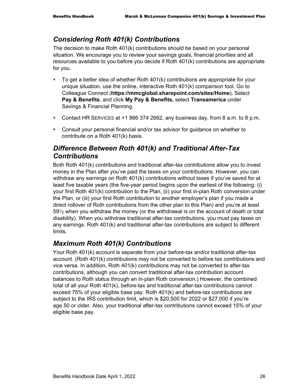#### *Considering Roth 401(k) Contributions*

The decision to make Roth 401(k) contributions should be based on your personal situation. We encourage you to review your savings goals, financial priorities and all resources available to you before you decide if Roth 401(k) contributions are appropriate for you.

- To get a better idea of whether Roth 401(k) contributions are appropriate for your unique situation, use the online, interactive Roth 401(k) comparison tool. Go to Colleague Connect (**https://mmcglobal.sharepoint.com/sites/Home**)**.** Select **Pay & Benefits**, and click **My Pay & Benefits,** select **Transamerica** under Savings & Financial Planning.
- Contact HR SERVICES at +1 866 374 2662, any business day, from 8 a.m. to 8 p.m.
- Consult your personal financial and/or tax advisor for guidance on whether to contribute on a Roth 401(k) basis.

#### *Difference Between Roth 401(k) and Traditional After-Tax Contributions*

Both Roth 401(k) contributions and traditional after-tax contributions allow you to invest money in the Plan after you've paid the taxes on your contributions. However, you can withdraw any earnings on Roth 401(k) contributions without taxes if you've saved for at least five taxable years (the five-year period begins upon the earliest of the following: (i) your first Roth 401(k) contribution to the Plan, (ii) your first in-plan Roth conversion under the Plan, or (iii) your first Roth contribution to another employer's plan if you made a direct rollover of Roth contributions from the other plan to this Plan) and you're at least  $59\frac{1}{2}$  when you withdraw the money (or the withdrawal is on the account of death or total disability). When you withdraw traditional after-tax contributions, you must pay taxes on any earnings. Roth 401(k) and traditional after-tax contributions are subject to different limits.

## *Maximum Roth 401(k) Contributions*

Your Roth 401(k) account is separate from your before-tax and/or traditional after-tax account. (Roth 401(k) contributions may not be converted to before tax contributions and vice versa. In addition, Roth 401(k) contributions may not be converted to after-tax contributions, although you can convert traditional after-tax contribution account balances to Roth status through an in-plan Roth conversion.) However, the combined total of all your Roth 401(k), before-tax and traditional after-tax contributions cannot exceed 75% of your eligible base pay. Roth 401(k) and before-tax contributions are subject to the IRS contribution limit, which is \$20,500 for 2022 or \$27,000 if you're age 50 or older. Also, your traditional after-tax contributions cannot exceed 15% of your eligible base pay.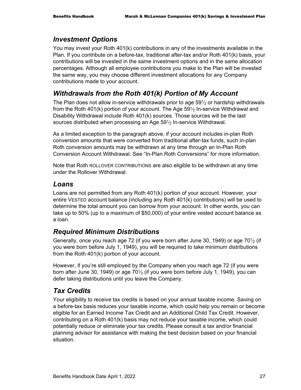#### *Investment Options*

You may invest your Roth 401(k) contributions in any of the investments available in the Plan. If you contribute on a before-tax, traditional after-tax and/or Roth 401(k) basis, your contributions will be invested in the same investment options and in the same allocation percentages. Although all employee contributions you make to the Plan will be invested the same way, you may choose different investment allocations for any Company contributions made to your account.

#### *Withdrawals from the Roth 401(k) Portion of My Account*

The Plan does not allow in-service withdrawals prior to age  $59\%$  or hardship withdrawals from the Roth 401(k) portion of your account. The Age 591/<sub>2</sub> In-service Withdrawal and Disability Withdrawal include Roth 401(k) sources. Those sources will be the last sources distributed when processing an Age 591/2 In-service Withdrawal.

As a limited exception to the paragraph above, if your account includes in-plan Roth conversion amounts that were converted from traditional after-tax funds, such in-plan Roth conversion amounts may be withdrawn at any time through an In-Plan Roth Conversion Account Withdrawal. See "In-Plan Roth Conversions" for more information.

Note that Roth ROLLOVER CONTRIBUTIONS are also eligible to be withdrawn at any time under the Rollover Withdrawal.

#### *Loans*

Loans are not permitted from any Roth 401(k) portion of your account. However, your entire VESTED account balance (including any Roth 401(k) contributions) will be used to determine the total amount you can borrow from your account. In other words, you can take up to 50% (up to a maximum of \$50,000) of your entire vested account balance as a loan.

#### *Required Minimum Distributions*

Generally, once you reach age 72 (if you were born after June 30, 1949) or age 70 $\frac{1}{2}$  (if you were born before July 1, 1949), you will be required to take minimum distributions from the Roth 401(k) portion of your account.

However, if you're still employed by the Company when you reach age 72 (if you were born after June 30, 1949) or age  $70\frac{1}{2}$  (if you were born before July 1, 1949), you can defer taking distributions until you leave the Company.

## *Tax Credits*

Your eligibility to receive tax credits is based on your annual taxable income. Saving on a before-tax basis reduces your taxable income, which could help you remain or become eligible for an Earned Income Tax Credit and an Additional Child Tax Credit. However, contributing on a Roth 401(k) basis may not reduce your taxable income, which could potentially reduce or eliminate your tax credits. Please consult a tax and/or financial planning advisor for assistance with making the best decision based on your financial situation.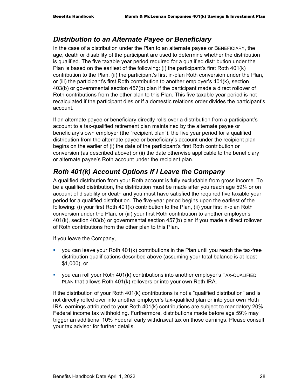#### *Distribution to an Alternate Payee or Beneficiary*

In the case of a distribution under the Plan to an alternate payee or BENEFICIARY, the age, death or disability of the participant are used to determine whether the distribution is qualified. The five taxable year period required for a qualified distribution under the Plan is based on the earliest of the following: (i) the participant's first Roth 401(k) contribution to the Plan, (ii) the participant's first in-plan Roth conversion under the Plan, or (iii) the participant's first Roth contribution to another employer's 401(k), section 403(b) or governmental section 457(b) plan if the participant made a direct rollover of Roth contributions from the other plan to this Plan. This five taxable year period is not recalculated if the participant dies or if a domestic relations order divides the participant's account.

If an alternate payee or beneficiary directly rolls over a distribution from a participant's account to a tax-qualified retirement plan maintained by the alternate payee or beneficiary's own employer (the "recipient plan"), the five year period for a qualified distribution from the alternate payee or beneficiary's account under the recipient plan begins on the earlier of (i) the date of the participant's first Roth contribution or conversion (as described above) or (ii) the date otherwise applicable to the beneficiary or alternate payee's Roth account under the recipient plan.

## *Roth 401(k) Account Options If I Leave the Company*

A qualified distribution from your Roth account is fully excludable from gross income. To be a qualified distribution, the distribution must be made after you reach age 59 $\frac{1}{2}$  or on account of disability or death and you must have satisfied the required five taxable year period for a qualified distribution. The five-year period begins upon the earliest of the following: (i) your first Roth 401(k) contribution to the Plan, (ii) your first in-plan Roth conversion under the Plan, or (iii) your first Roth contribution to another employer's 401(k), section 403(b) or governmental section 457(b) plan if you made a direct rollover of Roth contributions from the other plan to this Plan.

If you leave the Company,

- vou can leave your Roth  $401(k)$  contributions in the Plan until you reach the tax-free distribution qualifications described above (assuming your total balance is at least \$1,000), or
- you can roll your Roth 401(k) contributions into another employer's TAX-QUALIFIED PLAN that allows Roth 401(k) rollovers or into your own Roth IRA.

If the distribution of your Roth  $401(k)$  contributions is not a "qualified distribution" and is not directly rolled over into another employer's tax-qualified plan or into your own Roth IRA, earnings attributed to your Roth 401(k) contributions are subject to mandatory 20% Federal income tax withholding. Furthermore, distributions made before age  $59\frac{1}{2}$  may trigger an additional 10% Federal early withdrawal tax on those earnings. Please consult your tax advisor for further details.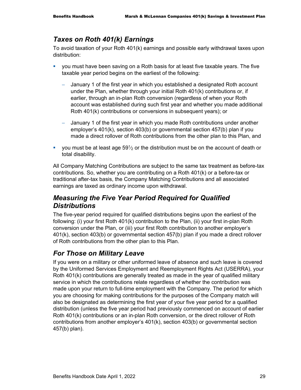### *Taxes on Roth 401(k) Earnings*

To avoid taxation of your Roth 401(k) earnings and possible early withdrawal taxes upon distribution:

- you must have been saving on a Roth basis for at least five taxable years. The five taxable year period begins on the earliest of the following:
	- − January 1 of the first year in which you established a designated Roth account under the Plan, whether through your initial Roth 401(k) contributions or, if earlier, through an in-plan Roth conversion (regardless of when your Roth account was established during such first year and whether you made additional Roth 401(k) contributions or conversions in subsequent years); or
	- − January 1 of the first year in which you made Roth contributions under another employer's 401(k), section 403(b) or governmental section 457(b) plan if you made a direct rollover of Roth contributions from the other plan to this Plan, and
- vou must be at least age  $59\frac{1}{2}$  or the distribution must be on the account of death or total disability.

All Company Matching Contributions are subject to the same tax treatment as before-tax contributions. So, whether you are contributing on a Roth 401(k) or a before-tax or traditional after-tax basis, the Company Matching Contributions and all associated earnings are taxed as ordinary income upon withdrawal.

### *Measuring the Five Year Period Required for Qualified Distributions*

The five-year period required for qualified distributions begins upon the earliest of the following: (i) your first Roth 401(k) contribution to the Plan, (ii) your first in-plan Roth conversion under the Plan, or (iii) your first Roth contribution to another employer's 401(k), section 403(b) or governmental section 457(b) plan if you made a direct rollover of Roth contributions from the other plan to this Plan.

### *For Those on Military Leave*

If you were on a military or other uniformed leave of absence and such leave is covered by the Uniformed Services Employment and Reemployment Rights Act (USERRA), your Roth 401(k) contributions are generally treated as made in the year of qualified military service in which the contributions relate regardless of whether the contribution was made upon your return to full-time employment with the Company. The period for which you are choosing for making contributions for the purposes of the Company match will also be designated as determining the first year of your five year period for a qualified distribution (unless the five year period had previously commenced on account of earlier Roth 401(k) contributions or an in-plan Roth conversion, or the direct rollover of Roth contributions from another employer's 401(k), section 403(b) or governmental section 457(b) plan).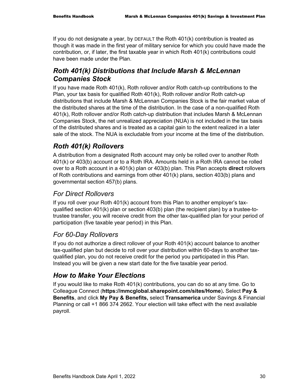If you do not designate a year, by DEFAULT the Roth 401(k) contribution is treated as though it was made in the first year of military service for which you could have made the contribution, or, if later, the first taxable year in which Roth 401(k) contributions could have been made under the Plan.

### *Roth 401(k) Distributions that Include Marsh & McLennan Companies Stock*

If you have made Roth 401(k), Roth rollover and/or Roth catch-up contributions to the Plan, your tax basis for qualified Roth 401(k), Roth rollover and/or Roth catch-up distributions that include Marsh & McLennan Companies Stock is the fair market value of the distributed shares at the time of the distribution. In the case of a non-qualified Roth 401(k), Roth rollover and/or Roth catch-up distribution that includes Marsh & McLennan Companies Stock, the net unrealized appreciation (NUA) is not included in the tax basis of the distributed shares and is treated as a capital gain to the extent realized in a later sale of the stock. The NUA is excludable from your income at the time of the distribution.

# *Roth 401(k) Rollovers*

A distribution from a designated Roth account may only be rolled over to another Roth 401(k) or 403(b) account or to a Roth IRA. Amounts held in a Roth IRA cannot be rolled over to a Roth account in a 401(k) plan or 403(b) plan. This Plan accepts **direct** rollovers of Roth contributions and earnings from other 401(k) plans, section 403(b) plans and governmental section 457(b) plans.

### *For Direct Rollovers*

If you roll over your Roth 401(k) account from this Plan to another employer's taxqualified section 401(k) plan or section 403(b) plan (the recipient plan) by a trustee-totrustee transfer, you will receive credit from the other tax-qualified plan for your period of participation (five taxable year period) in this Plan.

### *For 60-Day Rollovers*

If you do not authorize a direct rollover of your Roth 401(k) account balance to another tax-qualified plan but decide to roll over your distribution within 60-days to another taxqualified plan, you do not receive credit for the period you participated in this Plan. Instead you will be given a new start date for the five taxable year period.

### *How to Make Your Elections*

If you would like to make Roth 401(k) contributions, you can do so at any time. Go to Colleague Connect (**https://mmcglobal.sharepoint.com/sites/Home**)**.** Select **Pay & Benefits**, and click **My Pay & Benefits,** select **Transamerica** under Savings & Financial Planning or call +1 866 374 2662. Your election will take effect with the next available payroll.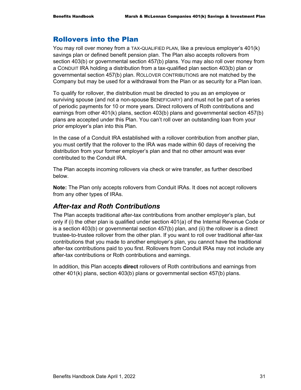### Rollovers into the Plan

You may roll over money from a TAX-QUALIFIED PLAN, like a previous employer's 401(k) savings plan or defined benefit pension plan. The Plan also accepts rollovers from section 403(b) or governmental section 457(b) plans. You may also roll over money from a CONDUIT IRA holding a distribution from a tax-qualified plan section 403(b) plan or governmental section 457(b) plan. ROLLOVER CONTRIBUTIONS are not matched by the Company but may be used for a withdrawal from the Plan or as security for a Plan loan.

To qualify for rollover, the distribution must be directed to you as an employee or surviving spouse (and not a non-spouse BENEFICIARY) and must not be part of a series of periodic payments for 10 or more years. Direct rollovers of Roth contributions and earnings from other 401(k) plans, section 403(b) plans and governmental section 457(b) plans are accepted under this Plan. You can't roll over an outstanding loan from your prior employer's plan into this Plan.

In the case of a Conduit IRA established with a rollover contribution from another plan, you must certify that the rollover to the IRA was made within 60 days of receiving the distribution from your former employer's plan and that no other amount was ever contributed to the Conduit IRA.

The Plan accepts incoming rollovers via check or wire transfer, as further described below.

**Note:** The Plan only accepts rollovers from Conduit IRAs. It does not accept rollovers from any other types of IRAs.

### *After-tax and Roth Contributions*

The Plan accepts traditional after-tax contributions from another employer's plan, but only if (i) the other plan is qualified under section 401(a) of the Internal Revenue Code or is a section 403(b) or governmental section 457(b) plan, and (ii) the rollover is a direct trustee-to-trustee rollover from the other plan. If you want to roll over traditional after-tax contributions that you made to another employer's plan, you cannot have the traditional after-tax contributions paid to you first. Rollovers from Conduit IRAs may not include any after-tax contributions or Roth contributions and earnings.

In addition, this Plan accepts **direct** rollovers of Roth contributions and earnings from other 401(k) plans, section 403(b) plans or governmental section 457(b) plans.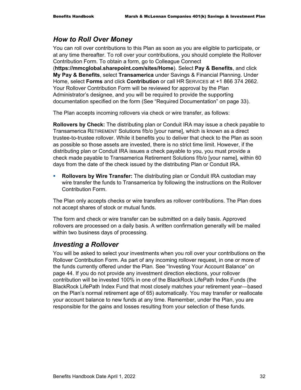#### *How to Roll Over Money*

You can roll over contributions to this Plan as soon as you are eligible to participate, or at any time thereafter. To roll over your contributions, you should complete the Rollover Contribution Form. To obtain a form, go to Colleague Connect

(**https://mmcglobal.sharepoint.com/sites/Home**). Select **Pay & Benefits**, and click **My Pay & Benefits**, select **Transamerica** under Savings & Financial Planning. Under Home, select **Forms** and click **Contribution** or call HR SERVICES at +1 866 374 2662. Your Rollover Contribution Form will be reviewed for approval by the Plan Administrator's designee, and you will be required to provide the supporting documentation specified on the form (See "Required Documentation" on page 33).

The Plan accepts incoming rollovers via check or wire transfer, as follows:

**Rollovers by Check:** The distributing plan or Conduit IRA may issue a check payable to Transamerica RETIREMENT Solutions f/b/o [your name], which is known as a direct trustee-to-trustee rollover. While it benefits you to deliver that check to the Plan as soon as possible so those assets are invested, there is no strict time limit. However, if the distributing plan or Conduit IRA issues a check payable to you, you must provide a check made payable to Transamerica Retirement Solutions f/b/o [your name], within 60 days from the date of the check issued by the distributing Plan or Conduit IRA.

 **Rollovers by Wire Transfer:** The distributing plan or Conduit IRA custodian may wire transfer the funds to Transamerica by following the instructions on the Rollover Contribution Form.

The Plan only accepts checks or wire transfers as rollover contributions. The Plan does not accept shares of stock or mutual funds.

The form and check or wire transfer can be submitted on a daily basis. Approved rollovers are processed on a daily basis. A written confirmation generally will be mailed within two business days of processing.

#### *Investing a Rollover*

You will be asked to select your investments when you roll over your contributions on the Rollover Contribution Form. As part of any incoming rollover request, in one or more of the funds currently offered under the Plan. See "Investing Your Account Balance" on page 44. If you do not provide any investment direction elections, your rollover contribution will be invested 100% in one of the BlackRock LifePath Index Funds (the BlackRock LifePath Index Fund that most closely matches your retirement year—based on the Plan's normal retirement age of 65) automatically. You may transfer or reallocate your account balance to new funds at any time. Remember, under the Plan, you are responsible for the gains and losses resulting from your selection of these funds.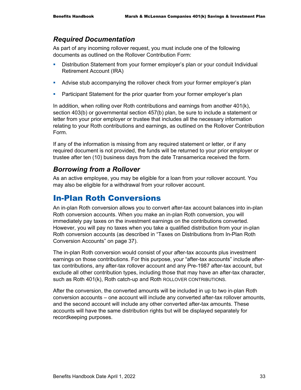### *Required Documentation*

As part of any incoming rollover request, you must include one of the following documents as outlined on the Rollover Contribution Form:

- Distribution Statement from your former employer's plan or your conduit Individual Retirement Account (IRA)
- Advise stub accompanying the rollover check from your former employer's plan
- **Participant Statement for the prior quarter from your former employer's plan**

In addition, when rolling over Roth contributions and earnings from another 401(k), section 403(b) or governmental section 457(b) plan, be sure to include a statement or letter from your prior employer or trustee that includes all the necessary information relating to your Roth contributions and earnings, as outlined on the Rollover Contribution Form.

If any of the information is missing from any required statement or letter, or if any required document is not provided, the funds will be returned to your prior employer or trustee after ten (10) business days from the date Transamerica received the form.

#### *Borrowing from a Rollover*

As an active employee, you may be eligible for a loan from your rollover account. You may also be eligible for a withdrawal from your rollover account.

# In-Plan Roth Conversions

An in-plan Roth conversion allows you to convert after-tax account balances into in-plan Roth conversion accounts. When you make an in-plan Roth conversion, you will immediately pay taxes on the investment earnings on the contributions converted. However, you will pay no taxes when you take a qualified distribution from your in-plan Roth conversion accounts (as described in "Taxes on Distributions from In-Plan Roth Conversion Accounts" on page 37).

The in-plan Roth conversion would consist of your after-tax accounts plus investment earnings on those contributions. For this purpose, your "after-tax accounts" include aftertax contributions, any after-tax rollover account and any Pre-1987 after-tax account, but exclude all other contribution types, including those that may have an after-tax character, such as Roth 401(k), Roth catch-up and Roth ROLLOVER CONTRIBUTIONS.

After the conversion, the converted amounts will be included in up to two in-plan Roth conversion accounts – one account will include any converted after-tax rollover amounts, and the second account will include any other converted after-tax amounts. These accounts will have the same distribution rights but will be displayed separately for recordkeeping purposes.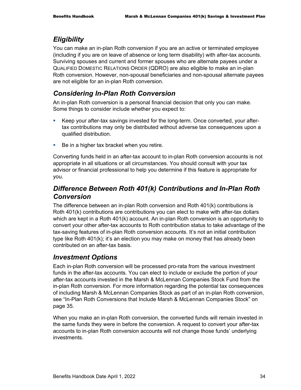# *Eligibility*

You can make an in-plan Roth conversion if you are an active or terminated employee (including if you are on leave of absence or long term disability) with after-tax accounts. Surviving spouses and current and former spouses who are alternate payees under a QUALIFIED DOMESTIC RELATIONS ORDER (QDRO) are also eligible to make an in-plan Roth conversion. However, non-spousal beneficiaries and non-spousal alternate payees are not eligible for an in-plan Roth conversion.

## *Considering In-Plan Roth Conversion*

An in-plan Roth conversion is a personal financial decision that only you can make. Some things to consider include whether you expect to:

- Keep your after-tax savings invested for the long-term. Once converted, your aftertax contributions may only be distributed without adverse tax consequences upon a qualified distribution.
- Be in a higher tax bracket when you retire.

Converting funds held in an after-tax account to in-plan Roth conversion accounts is not appropriate in all situations or all circumstances. You should consult with your tax advisor or financial professional to help you determine if this feature is appropriate for you.

## *Difference Between Roth 401(k) Contributions and In-Plan Roth Conversion*

The difference between an in-plan Roth conversion and Roth 401(k) contributions is Roth 401(k) contributions are contributions you can elect to make with after-tax dollars which are kept in a Roth 401(k) account. An in-plan Roth conversion is an opportunity to convert your other after-tax accounts to Roth contribution status to take advantage of the tax-saving features of in-plan Roth conversion accounts. It's not an initial contribution type like Roth 401(k); it's an election you may make on money that has already been contributed on an after-tax basis.

# *Investment Options*

Each in-plan Roth conversion will be processed pro-rata from the various investment funds in the after-tax accounts. You can elect to include or exclude the portion of your after-tax accounts invested in the Marsh & McLennan Companies Stock Fund from the in-plan Roth conversion. For more information regarding the potential tax consequences of including Marsh & McLennan Companies Stock as part of an in-plan Roth conversion, see "In-Plan Roth Conversions that Include Marsh & McLennan Companies Stock" on page 35.

When you make an in-plan Roth conversion, the converted funds will remain invested in the same funds they were in before the conversion. A request to convert your after-tax accounts to in-plan Roth conversion accounts will not change those funds' underlying investments.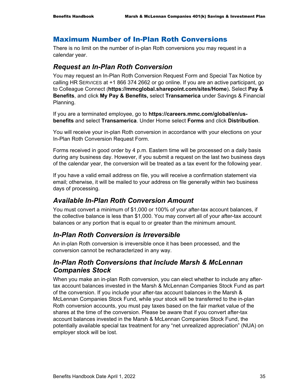#### Maximum Number of In-Plan Roth Conversions

There is no limit on the number of in-plan Roth conversions you may request in a calendar year.

#### *Request an In-Plan Roth Conversion*

You may request an In-Plan Roth Conversion Request Form and Special Tax Notice by calling HR SERVICES at +1 866 374 2662 or go online. If you are an active participant, go to Colleague Connect (**https://mmcglobal.sharepoint.com/sites/Home**)**.** Select **Pay & Benefits**, and click **My Pay & Benefits,** select **Transamerica** under Savings & Financial Planning.

If you are a terminated employee, go to **https://careers.mmc.com/global/en/usbenefits** and select **Transamerica**. Under Home select **Forms** and click **Distribution**.

You will receive your in-plan Roth conversion in accordance with your elections on your In-Plan Roth Conversion Request Form.

Forms received in good order by 4 p.m. Eastern time will be processed on a daily basis during any business day. However, if you submit a request on the last two business days of the calendar year, the conversion will be treated as a tax event for the following year.

If you have a valid email address on file, you will receive a confirmation statement via email; otherwise, it will be mailed to your address on file generally within two business days of processing.

### *Available In-Plan Roth Conversion Amount*

You must convert a minimum of \$1,000 or 100% of your after-tax account balances, if the collective balance is less than \$1,000. You may convert all of your after-tax account balances or any portion that is equal to or greater than the minimum amount.

### *In-Plan Roth Conversion is Irreversible*

An in-plan Roth conversion is irreversible once it has been processed, and the conversion cannot be recharacterized in any way.

### *In-Plan Roth Conversions that Include Marsh & McLennan Companies Stock*

When you make an in-plan Roth conversion, you can elect whether to include any aftertax account balances invested in the Marsh & McLennan Companies Stock Fund as part of the conversion. If you include your after-tax account balances in the Marsh & McLennan Companies Stock Fund, while your stock will be transferred to the in-plan Roth conversion accounts, you must pay taxes based on the fair market value of the shares at the time of the conversion. Please be aware that if you convert after-tax account balances invested in the Marsh & McLennan Companies Stock Fund, the potentially available special tax treatment for any "net unrealized appreciation" (NUA) on employer stock will be lost.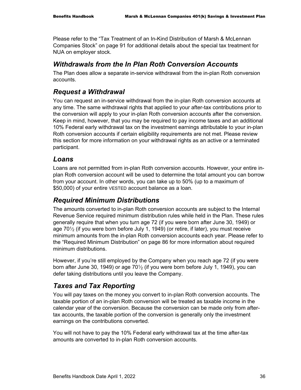Please refer to the "Tax Treatment of an In-Kind Distribution of Marsh & McLennan Companies Stock" on page 91 for additional details about the special tax treatment for NUA on employer stock.

#### *Withdrawals from the In Plan Roth Conversion Accounts*

The Plan does allow a separate in-service withdrawal from the in-plan Roth conversion accounts.

### *Request a Withdrawal*

You can request an in-service withdrawal from the in-plan Roth conversion accounts at any time. The same withdrawal rights that applied to your after-tax contributions prior to the conversion will apply to your in-plan Roth conversion accounts after the conversion. Keep in mind, however, that you may be required to pay income taxes and an additional 10% Federal early withdrawal tax on the investment earnings attributable to your in-plan Roth conversion accounts if certain eligibility requirements are not met. Please review this section for more information on your withdrawal rights as an active or a terminated participant.

### *Loans*

Loans are not permitted from in-plan Roth conversion accounts. However, your entire inplan Roth conversion account will be used to determine the total amount you can borrow from your account. In other words, you can take up to 50% (up to a maximum of \$50,000) of your entire VESTED account balance as a loan.

### *Required Minimum Distributions*

The amounts converted to in-plan Roth conversion accounts are subject to the Internal Revenue Service required minimum distribution rules while held in the Plan. These rules generally require that when you turn age 72 (if you were born after June 30, 1949) or age 70 $\frac{1}{2}$  (if you were born before July 1, 1949) (or retire, if later), you must receive minimum amounts from the in-plan Roth conversion accounts each year. Please refer to the "Required Minimum Distribution" on page 86 for more information about required minimum distributions.

However, if you're still employed by the Company when you reach age 72 (if you were born after June 30, 1949) or age  $70\frac{1}{2}$  (if you were born before July 1, 1949), you can defer taking distributions until you leave the Company.

# *Taxes and Tax Reporting*

You will pay taxes on the money you convert to in-plan Roth conversion accounts. The taxable portion of an in-plan Roth conversion will be treated as taxable income in the calendar year of the conversion. Because the conversion can be made only from aftertax accounts, the taxable portion of the conversion is generally only the investment earnings on the contributions converted.

You will not have to pay the 10% Federal early withdrawal tax at the time after-tax amounts are converted to in-plan Roth conversion accounts.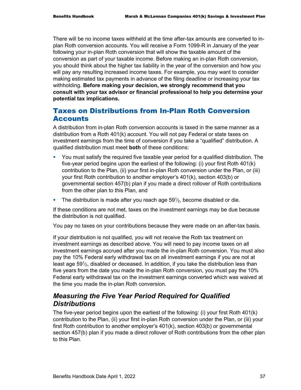There will be no income taxes withheld at the time after-tax amounts are converted to inplan Roth conversion accounts. You will receive a Form 1099-R in January of the year following your in-plan Roth conversion that will show the taxable amount of the conversion as part of your taxable income. Before making an in-plan Roth conversion, you should think about the higher tax liability in the year of the conversion and how you will pay any resulting increased income taxes. For example, you may want to consider making estimated tax payments in advance of the filing deadline or increasing your tax withholding. **Before making your decision, we strongly recommend that you consult with your tax advisor or financial professional to help you determine your potential tax implications.** 

### Taxes on Distributions from In-Plan Roth Conversion **Accounts**

A distribution from in-plan Roth conversion accounts is taxed in the same manner as a distribution from a Roth 401(k) account. You will not pay Federal or state taxes on investment earnings from the time of conversion if you take a "qualified" distribution. A qualified distribution must meet **both** of these conditions:

- You must satisfy the required five taxable year period for a qualified distribution. The five-year period begins upon the earliest of the following: (i) your first Roth 401(k) contribution to the Plan, (ii) your first in-plan Roth conversion under the Plan, or (iii) your first Roth contribution to another employer's 401(k), section 403(b) or governmental section 457(b) plan if you made a direct rollover of Roth contributions from the other plan to this Plan, and
- The distribution is made after you reach age  $59\frac{1}{2}$ , become disabled or die.

If these conditions are not met, taxes on the investment earnings may be due because the distribution is not qualified.

You pay no taxes on your contributions because they were made on an after-tax basis.

If your distribution is not qualified, you will not receive the Roth tax treatment on investment earnings as described above. You will need to pay income taxes on all investment earnings accrued after you made the in-plan Roth conversion. You must also pay the 10% Federal early withdrawal tax on all investment earnings if you are not at least age  $59\frac{1}{2}$ , disabled or deceased. In addition, if you take the distribution less than five years from the date you made the in-plan Roth conversion, you must pay the 10% Federal early withdrawal tax on the investment earnings converted which was waived at the time you made the in-plan Roth conversion.

### *Measuring the Five Year Period Required for Qualified Distributions*

The five-year period begins upon the earliest of the following: (i) your first Roth 401(k) contribution to the Plan, (ii) your first in-plan Roth conversion under the Plan, or (iii) your first Roth contribution to another employer's 401(k), section 403(b) or governmental section 457(b) plan if you made a direct rollover of Roth contributions from the other plan to this Plan.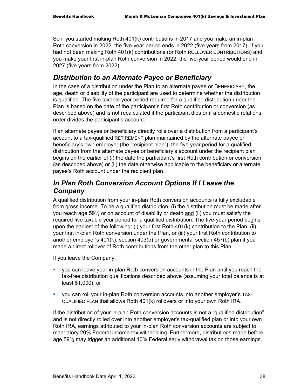So if you started making Roth 401(k) contributions in 2017 and you make an in-plan Roth conversion in 2022, the five-year period ends in 2022 (five years from 2017). If you had not been making Roth 401(k) contributions (or Roth ROLLOVER CONTRIBUTIONS) and you make your first in-plan Roth conversion in 2022, the five-year period would end in 2027 (five years from 2022).

### *Distribution to an Alternate Payee or Beneficiary*

In the case of a distribution under the Plan to an alternate payee or BENEFICIARY, the age, death or disability of the participant are used to determine whether the distribution is qualified. The five taxable year period required for a qualified distribution under the Plan is based on the date of the participant's first Roth contribution or conversion (as described above) and is not recalculated if the participant dies or if a domestic relations order divides the participant's account.

If an alternate payee or beneficiary directly rolls over a distribution from a participant's account to a tax-qualified RETIREMENT plan maintained by the alternate payee or beneficiary's own employer (the "recipient plan"), the five year period for a qualified distribution from the alternate payee or beneficiary's account under the recipient plan begins on the earlier of (i) the date the participant's first Roth contribution or conversion (as described above) or (ii) the date otherwise applicable to the beneficiary or alternate payee's Roth account under the recipient plan.

### *In Plan Roth Conversion Account Options If I Leave the Company*

A qualified distribution from your in-plan Roth conversion accounts is fully excludable from gross income. To be a qualified distribution, (i) the distribution must be made after you reach age 59 $\%$  or on account of disability or death and (ii) you must satisfy the required five taxable year period for a qualified distribution. The five-year period begins upon the earliest of the following: (i) your first Roth 401(k) contribution to the Plan, (ii) your first in-plan Roth conversion under the Plan, or (iii) your first Roth contribution to another employer's 401(k), section 403(b) or governmental section 457(b) plan if you made a direct rollover of Roth contributions from the other plan to this Plan.

If you leave the Company,

- you can leave your in-plan Roth conversion accounts in the Plan until you reach the tax-free distribution qualifications described above (assuming your total balance is at least \$1,000), or
- you can roll your in-plan Roth conversion accounts into another employer's TAX-QUALIFIED PLAN that allows Roth 401(k) rollovers or into your own Roth IRA.

If the distribution of your in-plan Roth conversion accounts is not a "qualified distribution" and is not directly rolled over into another employer's tax-qualified plan or into your own Roth IRA, earnings attributed to your in-plan Roth conversion accounts are subject to mandatory 20% Federal income tax withholding. Furthermore, distributions made before age  $59\frac{1}{2}$  may trigger an additional 10% Federal early withdrawal tax on those earnings.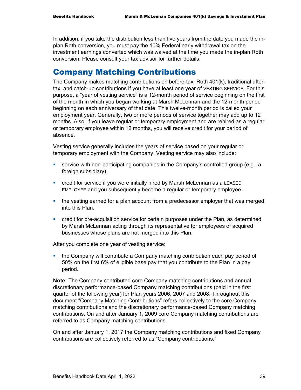In addition, if you take the distribution less than five years from the date you made the inplan Roth conversion, you must pay the 10% Federal early withdrawal tax on the investment earnings converted which was waived at the time you made the in-plan Roth conversion. Please consult your tax advisor for further details.

### Company Matching Contributions

The Company makes matching contributions on before-tax, Roth 401(k), traditional aftertax, and catch-up contributions if you have at least one year of VESTING SERVICE. For this purpose, a "year of vesting service" is a 12-month period of service beginning on the first of the month in which you began working at Marsh McLennan and the 12-month period beginning on each anniversary of that date. This twelve-month period is called your employment year. Generally, two or more periods of service together may add up to 12 months. Also, if you leave regular or temporary employment and are rehired as a regular or temporary employee within 12 months, you will receive credit for your period of absence.

Vesting service generally includes the years of service based on your regular or temporary employment with the Company. Vesting service may also include:

- service with non-participating companies in the Company's controlled group (e.g., a foreign subsidiary).
- credit for service if you were initially hired by Marsh McLennan as a LEASED EMPLOYEE and you subsequently become a regular or temporary employee.
- the vesting earned for a plan account from a predecessor employer that was merged into this Plan.
- credit for pre-acquisition service for certain purposes under the Plan, as determined by Marsh McLennan acting through its representative for employees of acquired businesses whose plans are not merged into this Plan.

After you complete one year of vesting service:

 the Company will contribute a Company matching contribution each pay period of 50% on the first 6% of eligible base pay that you contribute to the Plan in a pay period.

**Note:** The Company contributed core Company matching contributions and annual discretionary performance-based Company matching contributions (paid in the first quarter of the following year) for Plan years 2006, 2007 and 2008. Throughout this document "Company Matching Contributions" refers collectively to the core Company matching contributions and the discretionary performance-based Company matching contributions. On and after January 1, 2009 core Company matching contributions are referred to as Company matching contributions.

On and after January 1, 2017 the Company matching contributions and fixed Company contributions are collectively referred to as "Company contributions."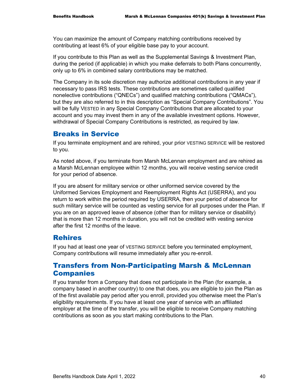You can maximize the amount of Company matching contributions received by contributing at least 6% of your eligible base pay to your account.

If you contribute to this Plan as well as the Supplemental Savings & Investment Plan, during the period (if applicable) in which you make deferrals to both Plans concurrently, only up to 6% in combined salary contributions may be matched.

The Company in its sole discretion may authorize additional contributions in any year if necessary to pass IRS tests. These contributions are sometimes called qualified nonelective contributions ("QNECs") and qualified matching contributions ("QMACs"), but they are also referred to in this description as "Special Company Contributions". You will be fully VESTED in any Special Company Contributions that are allocated to your account and you may invest them in any of the available investment options. However, withdrawal of Special Company Contributions is restricted, as required by law.

#### Breaks in Service

If you terminate employment and are rehired, your prior VESTING SERVICE will be restored to you.

As noted above, if you terminate from Marsh McLennan employment and are rehired as a Marsh McLennan employee within 12 months, you will receive vesting service credit for your period of absence.

If you are absent for military service or other uniformed service covered by the Uniformed Services Employment and Reemployment Rights Act (USERRA), and you return to work within the period required by USERRA, then your period of absence for such military service will be counted as vesting service for all purposes under the Plan. If you are on an approved leave of absence (other than for military service or disability) that is more than 12 months in duration, you will not be credited with vesting service after the first 12 months of the leave.

### Rehires

If you had at least one year of VESTING SERVICE before you terminated employment, Company contributions will resume immediately after you re-enroll.

#### Transfers from Non-Participating Marsh & McLennan **Companies**

If you transfer from a Company that does not participate in the Plan (for example, a company based in another country) to one that does, you are eligible to join the Plan as of the first available pay period after you enroll, provided you otherwise meet the Plan's eligibility requirements. If you have at least one year of service with an affiliated employer at the time of the transfer, you will be eligible to receive Company matching contributions as soon as you start making contributions to the Plan.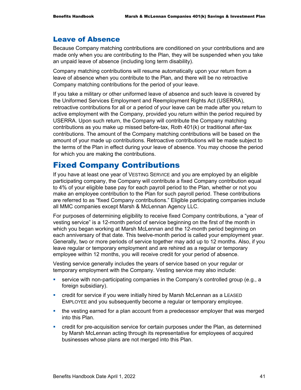#### Leave of Absence

Because Company matching contributions are conditioned on your contributions and are made only when you are contributing to the Plan, they will be suspended when you take an unpaid leave of absence (including long term disability).

Company matching contributions will resume automatically upon your return from a leave of absence when you contribute to the Plan, and there will be no retroactive Company matching contributions for the period of your leave.

If you take a military or other uniformed leave of absence and such leave is covered by the Uniformed Services Employment and Reemployment Rights Act (USERRA), retroactive contributions for all or a period of your leave can be made after you return to active employment with the Company, provided you return within the period required by USERRA. Upon such return, the Company will contribute the Company matching contributions as you make up missed before-tax, Roth 401(k) or traditional after-tax contributions. The amount of the Company matching contributions will be based on the amount of your made up contributions. Retroactive contributions will be made subject to the terms of the Plan in effect during your leave of absence. You may choose the period for which you are making the contributions.

# Fixed Company Contributions

If you have at least one year of VESTING SERVICE and you are employed by an eligible participating company, the Company will contribute a fixed Company contribution equal to 4% of your eligible base pay for each payroll period to the Plan, whether or not you make an employee contribution to the Plan for such payroll period. These contributions are referred to as "fixed Company contributions." Eligible participating companies include all MMC companies except Marsh & McLennan Agency LLC.

For purposes of determining eligibility to receive fixed Company contributions, a "year of vesting service" is a 12-month period of service beginning on the first of the month in which you began working at Marsh McLennan and the 12-month period beginning on each anniversary of that date. This twelve-month period is called your employment year. Generally, two or more periods of service together may add up to 12 months. Also, if you leave regular or temporary employment and are rehired as a regular or temporary employee within 12 months, you will receive credit for your period of absence.

Vesting service generally includes the years of service based on your regular or temporary employment with the Company. Vesting service may also include:

- **service with non-participating companies in the Company's controlled group (e.g., a** foreign subsidiary).
- credit for service if you were initially hired by Marsh McLennan as a LEASED EMPLOYEE and you subsequently become a regular or temporary employee.
- **the vesting earned for a plan account from a predecessor employer that was merged** into this Plan.
- credit for pre-acquisition service for certain purposes under the Plan, as determined by Marsh McLennan acting through its representative for employees of acquired businesses whose plans are not merged into this Plan.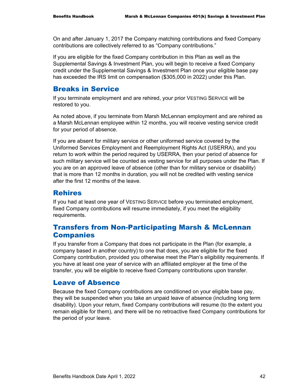On and after January 1, 2017 the Company matching contributions and fixed Company contributions are collectively referred to as "Company contributions."

If you are eligible for the fixed Company contribution in this Plan as well as the Supplemental Savings & Investment Plan, you will begin to receive a fixed Company credit under the Supplemental Savings & Investment Plan once your eligible base pay has exceeded the IRS limit on compensation (\$305,000 in 2022) under this Plan.

#### Breaks in Service

If you terminate employment and are rehired, your prior VESTING SERVICE will be restored to you.

As noted above, if you terminate from Marsh McLennan employment and are rehired as a Marsh McLennan employee within 12 months, you will receive vesting service credit for your period of absence.

If you are absent for military service or other uniformed service covered by the Uniformed Services Employment and Reemployment Rights Act (USERRA), and you return to work within the period required by USERRA, then your period of absence for such military service will be counted as vesting service for all purposes under the Plan. If you are on an approved leave of absence (other than for military service or disability) that is more than 12 months in duration, you will not be credited with vesting service after the first 12 months of the leave.

### Rehires

If you had at least one year of VESTING SERVICE before you terminated employment, fixed Company contributions will resume immediately, if you meet the eligibility requirements.

### Transfers from Non-Participating Marsh & McLennan Companies

If you transfer from a Company that does not participate in the Plan (for example, a company based in another country) to one that does, you are eligible for the fixed Company contribution, provided you otherwise meet the Plan's eligibility requirements. If you have at least one year of service with an affiliated employer at the time of the transfer, you will be eligible to receive fixed Company contributions upon transfer.

### Leave of Absence

Because the fixed Company contributions are conditioned on your eligible base pay, they will be suspended when you take an unpaid leave of absence (including long term disability). Upon your return, fixed Company contributions will resume (to the extent you remain eligible for them), and there will be no retroactive fixed Company contributions for the period of your leave.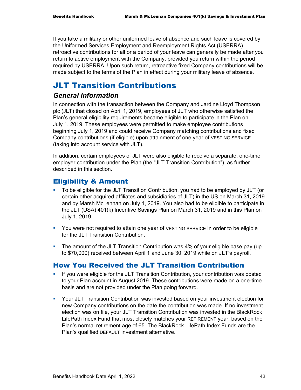If you take a military or other uniformed leave of absence and such leave is covered by the Uniformed Services Employment and Reemployment Rights Act (USERRA), retroactive contributions for all or a period of your leave can generally be made after you return to active employment with the Company, provided you return within the period required by USERRA. Upon such return, retroactive fixed Company contributions will be made subject to the terms of the Plan in effect during your military leave of absence.

# JLT Transition Contributions

#### *General Information*

In connection with the transaction between the Company and Jardine Lloyd Thompson plc (JLT) that closed on April 1, 2019, employees of JLT who otherwise satisfied the Plan's general eligibility requirements became eligible to participate in the Plan on July 1, 2019. These employees were permitted to make employee contributions beginning July 1, 2019 and could receive Company matching contributions and fixed Company contributions (if eligible) upon attainment of one year of VESTING SERVICE (taking into account service with JLT).

In addition, certain employees of JLT were also eligible to receive a separate, one-time employer contribution under the Plan (the "JLT Transition Contribution"), as further described in this section.

### Eligibility & Amount

- To be eligible for the JLT Transition Contribution, you had to be employed by JLT (or certain other acquired affiliates and subsidiaries of JLT) in the US on March 31, 2019 and by Marsh McLennan on July 1, 2019. You also had to be eligible to participate in the JLT (USA) 401(k) Incentive Savings Plan on March 31, 2019 and in this Plan on July 1, 2019.
- You were not required to attain one year of VESTING SERVICE in order to be eligible for the JLT Transition Contribution.
- The amount of the JLT Transition Contribution was 4% of your eligible base pay (up to \$70,000) received between April 1 and June 30, 2019 while on JLT's payroll.

### How You Received the JLT Transition Contribution

- **If you were eligible for the JLT Transition Contribution, your contribution was posted** to your Plan account in August 2019. These contributions were made on a one-time basis and are not provided under the Plan going forward.
- Your JLT Transition Contribution was invested based on your investment election for new Company contributions on the date the contribution was made. If no investment election was on file, your JLT Transition Contribution was invested in the BlackRock LifePath Index Fund that most closely matches your RETIREMENT year, based on the Plan's normal retirement age of 65. The BlackRock LifePath Index Funds are the Plan's qualified DEFAULT investment alternative.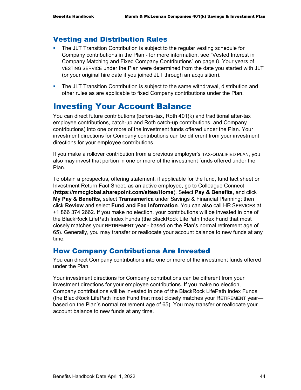### Vesting and Distribution Rules

- The JLT Transition Contribution is subject to the regular vesting schedule for Company contributions in the Plan - for more information, see "Vested Interest in Company Matching and Fixed Company Contributions" on page 8. Your years of VESTING SERVICE under the Plan were determined from the date you started with JLT (or your original hire date if you joined JLT through an acquisition).
- The JLT Transition Contribution is subject to the same withdrawal, distribution and other rules as are applicable to fixed Company contributions under the Plan.

# Investing Your Account Balance

You can direct future contributions (before-tax, Roth 401(k) and traditional after-tax employee contributions, catch-up and Roth catch-up contributions, and Company contributions) into one or more of the investment funds offered under the Plan. Your investment directions for Company contributions can be different from your investment directions for your employee contributions.

If you make a rollover contribution from a previous employer's TAX-QUALIFIED PLAN, you also may invest that portion in one or more of the investment funds offered under the Plan.

To obtain a prospectus, offering statement, if applicable for the fund, fund fact sheet or Investment Return Fact Sheet, as an active employee, go to Colleague Connect (**https://mmcglobal.sharepoint.com/sites/Home**). Select **Pay & Benefits**, and click **My Pay & Benefits,** select **Transamerica** under Savings & Financial Planning; then click **Review** and select **Fund and Fee Information**. You can also call HR SERVICES at +1 866 374 2662. If you make no election, your contributions will be invested in one of the BlackRock LifePath Index Funds (the BlackRock LifePath Index Fund that most closely matches your RETIREMENT year - based on the Plan's normal retirement age of 65). Generally, you may transfer or reallocate your account balance to new funds at any time.

### How Company Contributions Are Invested

You can direct Company contributions into one or more of the investment funds offered under the Plan.

Your investment directions for Company contributions can be different from your investment directions for your employee contributions. If you make no election, Company contributions will be invested in one of the BlackRock LifePath Index Funds (the BlackRock LifePath Index Fund that most closely matches your RETIREMENT year based on the Plan's normal retirement age of 65). You may transfer or reallocate your account balance to new funds at any time.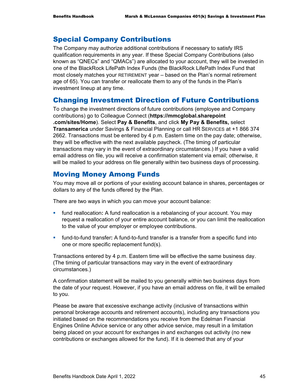### Special Company Contributions

The Company may authorize additional contributions if necessary to satisfy IRS qualification requirements in any year. If these Special Company Contributions (also known as "QNECs" and "QMACs") are allocated to your account, they will be invested in one of the BlackRock LifePath Index Funds (the BlackRock LifePath Index Fund that most closely matches your RETIREMENT year – based on the Plan's normal retirement age of 65). You can transfer or reallocate them to any of the funds in the Plan's investment lineup at any time.

### Changing Investment Direction of Future Contributions

To change the investment directions of future contributions (employee and Company contributions) go to Colleague Connect (**https://mmcglobal.sharepoint .com/sites/Home**). Select **Pay & Benefits**, and click **My Pay & Benefits,** select **Transamerica** under Savings & Financial Planning or call HR SERVICES at +1 866 374 2662. Transactions must be entered by 4 p.m. Eastern time on the pay date; otherwise, they will be effective with the next available paycheck. (The timing of particular transactions may vary in the event of extraordinary circumstances.) If you have a valid email address on file, you will receive a confirmation statement via email; otherwise, it will be mailed to your address on file generally within two business days of processing.

### Moving Money Among Funds

You may move all or portions of your existing account balance in shares, percentages or dollars to any of the funds offered by the Plan.

There are two ways in which you can move your account balance:

- fund reallocation**:** A fund reallocation is a rebalancing of your account. You may request a reallocation of your entire account balance, or you can limit the reallocation to the value of your employer or employee contributions.
- fund-to-fund transfer**:** A fund-to-fund transfer is a transfer from a specific fund into one or more specific replacement fund(s).

Transactions entered by 4 p.m. Eastern time will be effective the same business day. (The timing of particular transactions may vary in the event of extraordinary circumstances.)

A confirmation statement will be mailed to you generally within two business days from the date of your request. However, if you have an email address on file, it will be emailed to you.

Please be aware that excessive exchange activity (inclusive of transactions within personal brokerage accounts and retirement accounts), including any transactions you initiated based on the recommendations you receive from the Edelman Financial Engines Online Advice service or any other advice service, may result in a limitation being placed on your account for exchanges in and exchanges out activity (no new contributions or exchanges allowed for the fund). If it is deemed that any of your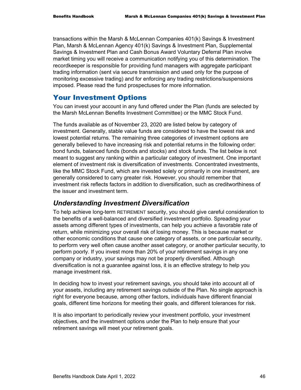transactions within the Marsh & McLennan Companies 401(k) Savings & Investment Plan, Marsh & McLennan Agency 401(k) Savings & Investment Plan, Supplemental Savings & Investment Plan and Cash Bonus Award Voluntary Deferral Plan involve market timing you will receive a communication notifying you of this determination. The recordkeeper is responsible for providing fund managers with aggregate participant trading information (sent via secure transmission and used only for the purpose of monitoring excessive trading) and for enforcing any trading restrictions/suspensions imposed. Please read the fund prospectuses for more information.

#### Your Investment Options

You can invest your account in any fund offered under the Plan (funds are selected by the Marsh McLennan Benefits Investment Committee) or the MMC Stock Fund.

The funds available as of November 23, 2020 are listed below by category of investment. Generally, stable value funds are considered to have the lowest risk and lowest potential returns. The remaining three categories of investment options are generally believed to have increasing risk and potential returns in the following order: bond funds, balanced funds (bonds and stocks) and stock funds. The list below is not meant to suggest any ranking within a particular category of investment. One important element of investment risk is diversification of investments. Concentrated investments, like the MMC Stock Fund, which are invested solely or primarily in one investment, are generally considered to carry greater risk. However, you should remember that investment risk reflects factors in addition to diversification, such as creditworthiness of the issuer and investment term.

### *Understanding Investment Diversification*

To help achieve long-term RETIREMENT security, you should give careful consideration to the benefits of a well-balanced and diversified investment portfolio. Spreading your assets among different types of investments, can help you achieve a favorable rate of return, while minimizing your overall risk of losing money. This is because market or other economic conditions that cause one category of assets, or one particular security, to perform very well often cause another asset category, or another particular security, to perform poorly. If you invest more than 20% of your retirement savings in any one company or industry, your savings may not be properly diversified. Although diversification is not a guarantee against loss, it is an effective strategy to help you manage investment risk.

In deciding how to invest your retirement savings, you should take into account all of your assets, including any retirement savings outside of the Plan. No single approach is right for everyone because, among other factors, individuals have different financial goals, different time horizons for meeting their goals, and different tolerances for risk.

It is also important to periodically review your investment portfolio, your investment objectives, and the investment options under the Plan to help ensure that your retirement savings will meet your retirement goals.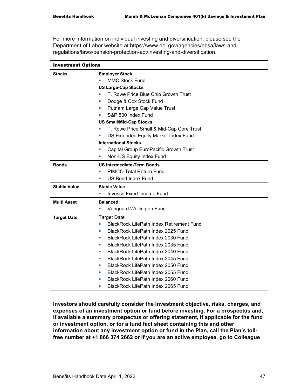For more information on individual investing and diversification, please see the Department of Labor website at https://www.dol.gov/agencies/ebsa/laws-andregulations/laws/pension-protection-act/investing-and-diversification.

| <b>Investment Options</b> |                                                 |  |  |
|---------------------------|-------------------------------------------------|--|--|
| <b>Stocks</b>             | <b>Employer Stock</b>                           |  |  |
|                           | <b>MMC Stock Fund</b><br>a.                     |  |  |
|                           | <b>US Large-Cap Stocks</b>                      |  |  |
|                           | T. Rowe Price Blue Chip Growth Trust<br>×       |  |  |
|                           | Dodge & Cox Stock Fund<br>×                     |  |  |
|                           | Putnam Large Cap Value Trust<br>×               |  |  |
|                           | S&P 500 Index Fund<br>п                         |  |  |
|                           | <b>US Small/Mid-Cap Stocks</b>                  |  |  |
|                           | T. Rowe Price Small & Mid-Cap Core Trust        |  |  |
|                           | US Extended Equity Market Index Fund<br>L,      |  |  |
|                           | <b>International Stocks</b>                     |  |  |
|                           | Capital Group EuroPacific Growth Trust<br>u,    |  |  |
|                           | Non-US Equity Index Fund<br>×                   |  |  |
| <b>Bonds</b>              | <b>US Intermediate-Term Bonds</b>               |  |  |
|                           | PIMCO Total Return Fund<br>u,                   |  |  |
|                           | <b>US Bond Index Fund</b><br>ш                  |  |  |
| <b>Stable Value</b>       | <b>Stable Value</b>                             |  |  |
|                           | <b>Invesco Fixed Income Fund</b><br>u,          |  |  |
| <b>Multi Asset</b>        | <b>Balanced</b>                                 |  |  |
|                           | Vanguard Wellington Fund<br>L.                  |  |  |
| <b>Target Date</b>        | <b>Target Date</b>                              |  |  |
|                           | <b>BlackRock LifePath Index Retirement Fund</b> |  |  |
|                           | BlackRock LifePath Index 2025 Fund<br>×         |  |  |
|                           | BlackRock LifePath Index 2030 Fund<br>×         |  |  |
|                           | BlackRock LifePath Index 2035 Fund<br>×         |  |  |
|                           | BlackRock LifePath Index 2040 Fund<br>×         |  |  |
|                           | BlackRock LifePath Index 2045 Fund<br>п         |  |  |
|                           | BlackRock LifePath Index 2050 Fund<br>u,        |  |  |
|                           | BlackRock LifePath Index 2055 Fund<br>п         |  |  |
|                           | BlackRock LifePath Index 2060 Fund<br>п         |  |  |
|                           | BlackRock LifePath Index 2065 Fund<br>×         |  |  |

**Investors should carefully consider the investment objective, risks, charges, and expenses of an investment option or fund before investing. For a prospectus and, if available a summary prospectus or offering statement, if applicable for the fund or investment option, or for a fund fact sheet containing this and other information about any investment option or fund in the Plan, call the Plan's tollfree number at +1 866 374 2662 or if you are an active employee, go to Colleague**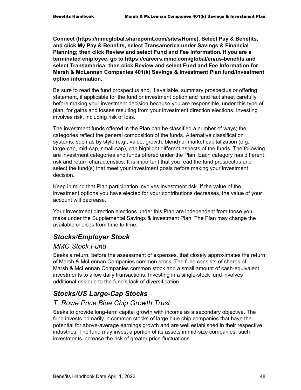**Connect (https://mmcglobal.sharepoint.com/sites/Home). Select Pay & Benefits, and click My Pay & Benefits, select Transamerica under Savings & Financial Planning; then click Review and select Fund and Fee Information. If you are a terminated employee, go to https://careers.mmc.com/global/en/us-benefits and select Transamerica; then click Review and select Fund and Fee Information for Marsh & McLennan Companies 401(k) Savings & Investment Plan fund/investment option information.** 

Be sure to read the fund prospectus and, if available, summary prospectus or offering statement, if applicable for the fund or investment option and fund fact sheet carefully before making your investment decision because you are responsible, under this type of plan, for gains and losses resulting from your investment direction elections. Investing involves risk, including risk of loss.

The investment funds offered in the Plan can be classified a number of ways; the categories reflect the general composition of the funds. Alternative classification systems, such as by style (e.g., value, growth, blend) or market capitalization (e.g., large-cap, mid-cap, small-cap), can highlight different aspects of the funds. The following are investment categories and funds offered under the Plan. Each category has different risk and return characteristics. It is important that you read the fund prospectus and select the fund(s) that meet your investment goals before making your investment decision.

Keep in mind that Plan participation involves investment risk. If the value of the investment options you have elected for your contributions decreases, the value of your account will decrease.

Your investment direction elections under this Plan are independent from those you make under the Supplemental Savings & Investment Plan. The Plan may change the available choices from time to time.

### *Stocks/Employer Stock*

#### *MMC Stock Fund*

Seeks a return, before the assessment of expenses, that closely approximates the return of Marsh & McLennan Companies common stock. The fund consists of shares of Marsh & McLennan Companies common stock and a small amount of cash-equivalent investments to allow daily transactions. Investing in a single-stock fund involves additional risk due to the fund's lack of diversification.

### *Stocks/US Large-Cap Stocks*

### *T. Rowe Price Blue Chip Growth Trust*

Seeks to provide long-term capital growth with income as a secondary objective. The fund invests primarily in common stocks of large blue chip companies that have the potential for above-average earnings growth and are well established in their respective industries. The fund may invest a portion of its assets in mid-size companies; such investments increase the risk of greater price fluctuations.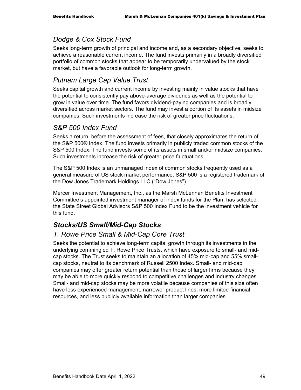### *Dodge & Cox Stock Fund*

Seeks long-term growth of principal and income and, as a secondary objective, seeks to achieve a reasonable current income. The fund invests primarily in a broadly diversified portfolio of common stocks that appear to be temporarily undervalued by the stock market, but have a favorable outlook for long-term growth.

### *Putnam Large Cap Value Trust*

Seeks capital growth and current income by investing mainly in value stocks that have the potential to consistently pay above-average dividends as well as the potential to grow in value over time. The fund favors dividend-paying companies and is broadly diversified across market sectors. The fund may invest a portion of its assets in midsize companies. Such investments increase the risk of greater price fluctuations.

### *S&P 500 Index Fund*

Seeks a return, before the assessment of fees, that closely approximates the return of the S&P 500® Index. The fund invests primarily in publicly traded common stocks of the S&P 500 Index. The fund invests some of its assets in small and/or midsize companies. Such investments increase the risk of greater price fluctuations.

The S&P 500 Index is an unmanaged index of common stocks frequently used as a general measure of US stock market performance. S&P 500 is a registered trademark of the Dow Jones Trademark Holdings LLC ("Dow Jones").

Mercer Investment Management, Inc., as the Marsh McLennan Benefits Investment Committee's appointed investment manager of index funds for the Plan, has selected the State Street Global Advisors S&P 500 Index Fund to be the investment vehicle for this fund.

# *Stocks/US Small/Mid-Cap Stocks*

### *T. Rowe Price Small & Mid-Cap Core Trust*

Seeks the potential to achieve long-term capital growth through its investments in the underlying commingled T. Rowe Price Trusts, which have exposure to small- and midcap stocks. The Trust seeks to maintain an allocation of 45% mid-cap and 55% smallcap stocks, neutral to its benchmark of Russell 2500 Index. Small- and mid-cap companies may offer greater return potential than those of larger firms because they may be able to more quickly respond to competitive challenges and industry changes. Small- and mid-cap stocks may be more volatile because companies of this size often have less experienced management, narrower product lines, more limited financial resources, and less publicly available information than larger companies.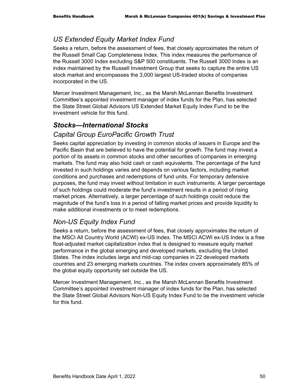### *US Extended Equity Market Index Fund*

Seeks a return, before the assessment of fees, that closely approximates the return of the Russell Small Cap Completeness Index. This index measures the performance of the Russell 3000 Index excluding S&P 500 constituents. The Russell 3000 Index is an index maintained by the Russell Investment Group that seeks to capture the entire US stock market and encompasses the 3,000 largest US-traded stocks of companies incorporated in the US.

Mercer Investment Management, Inc., as the Marsh McLennan Benefits Investment Committee's appointed investment manager of index funds for the Plan, has selected the State Street Global Advisors US Extended Market Equity Index Fund to be the investment vehicle for this fund.

### *Stocks—International Stocks*

#### *Capital Group EuroPacific Growth Trust*

Seeks capital appreciation by investing in common stocks of issuers in Europe and the Pacific Basin that are believed to have the potential for growth. The fund may invest a portion of its assets in common stocks and other securities of companies in emerging markets. The fund may also hold cash or cash equivalents. The percentage of the fund invested in such holdings varies and depends on various factors, including market conditions and purchases and redemptions of fund units. For temporary defensive purposes, the fund may invest without limitation in such instruments. A larger percentage of such holdings could moderate the fund's investment results in a period of rising market prices. Alternatively, a larger percentage of such holdings could reduce the magnitude of the fund's loss in a period of falling market prices and provide liquidity to make additional investments or to meet redemptions.

### *Non-US Equity Index Fund*

Seeks a return, before the assessment of fees, that closely approximates the return of the MSCI All Country World (ACWI) ex-US Index. The MSCI ACWI ex-US Index is a free float-adjusted market capitalization index that is designed to measure equity market performance in the global emerging and developed markets, excluding the United States. The index includes large and mid-cap companies in 22 developed markets countries and 23 emerging markets countries. The index covers approximately 85% of the global equity opportunity set outside the US.

Mercer Investment Management, Inc., as the Marsh McLennan Benefits Investment Committee's appointed investment manager of index funds for the Plan, has selected the State Street Global Advisors Non-US Equity Index Fund to be the investment vehicle for this fund.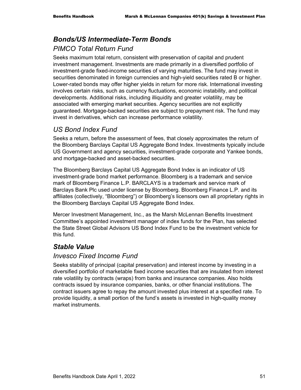# *Bonds/US Intermediate-Term Bonds PIMCO Total Return Fund*

Seeks maximum total return, consistent with preservation of capital and prudent investment management. Investments are made primarily in a diversified portfolio of investment-grade fixed-income securities of varying maturities. The fund may invest in securities denominated in foreign currencies and high-yield securities rated B or higher. Lower-rated bonds may offer higher yields in return for more risk. International investing involves certain risks, such as currency fluctuations, economic instability, and political developments. Additional risks, including illiquidity and greater volatility, may be associated with emerging market securities. Agency securities are not explicitly guaranteed. Mortgage-backed securities are subject to prepayment risk. The fund may invest in derivatives, which can increase performance volatility.

### *US Bond Index Fund*

Seeks a return, before the assessment of fees, that closely approximates the return of the Bloomberg Barclays Capital US Aggregate Bond Index. Investments typically include US Government and agency securities, investment-grade corporate and Yankee bonds, and mortgage-backed and asset-backed securities.

The Bloomberg Barclays Capital US Aggregate Bond Index is an indicator of US investment-grade bond market performance. Bloomberg is a trademark and service mark of Bloomberg Finance L.P. BARCLAYS is a trademark and service mark of Barclays Bank Plc used under license by Bloomberg. Bloomberg Finance L.P. and its affiliates (collectively, "Bloomberg") or Bloomberg's licensors own all proprietary rights in the Bloomberg Barclays Capital US Aggregate Bond Index.

Mercer Investment Management, Inc., as the Marsh McLennan Benefits Investment Committee's appointed investment manager of index funds for the Plan, has selected the State Street Global Advisors US Bond Index Fund to be the investment vehicle for this fund.

### *Stable Value*

#### *Invesco Fixed Income Fund*

Seeks stability of principal (capital preservation) and interest income by investing in a diversified portfolio of marketable fixed income securities that are insulated from interest rate volatility by contracts (wraps) from banks and insurance companies. Also holds contracts issued by insurance companies, banks, or other financial institutions. The contract issuers agree to repay the amount invested plus interest at a specified rate. To provide liquidity, a small portion of the fund's assets is invested in high-quality money market instruments.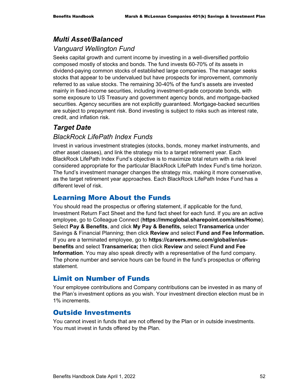### *Multi Asset/Balanced*

### *Vanguard Wellington Fund*

Seeks capital growth and current income by investing in a well-diversified portfolio composed mostly of stocks and bonds. The fund invests 60-70% of its assets in dividend-paying common stocks of established large companies. The manager seeks stocks that appear to be undervalued but have prospects for improvement, commonly referred to as value stocks. The remaining 30-40% of the fund's assets are invested mainly in fixed-income securities, including investment-grade corporate bonds, with some exposure to US Treasury and government agency bonds, and mortgage-backed securities. Agency securities are not explicitly guaranteed. Mortgage-backed securities are subject to prepayment risk. Bond investing is subject to risks such as interest rate, credit, and inflation risk.

## *Target Date*

#### *BlackRock LifePath Index Funds*

Invest in various investment strategies (stocks, bonds, money market instruments, and other asset classes), and link the strategy mix to a target retirement year. Each BlackRock LifePath Index Fund's objective is to maximize total return with a risk level considered appropriate for the particular BlackRock LifePath Index Fund's time horizon. The fund's investment manager changes the strategy mix, making it more conservative, as the target retirement year approaches. Each BlackRock LifePath Index Fund has a different level of risk.

### Learning More About the Funds

You should read the prospectus or offering statement, if applicable for the fund, Investment Return Fact Sheet and the fund fact sheet for each fund. If you are an active employee, go to Colleague Connect (**https://mmcglobal.sharepoint.com/sites/Home**). Select **Pay & Benefits**, and click **My Pay & Benefits,** select **Transamerica** under Savings & Financial Planning; then click **Review** and select **Fund and Fee Information.** If you are a terminated employee, go to **https://careers.mmc.com/global/en/usbenefits** and select **Transamerica;** then click **Review** and select **Fund and Fee Information**. You may also speak directly with a representative of the fund company. The phone number and service hours can be found in the fund's prospectus or offering statement.

### Limit on Number of Funds

Your employee contributions and Company contributions can be invested in as many of the Plan's investment options as you wish. Your investment direction election must be in 1% increments.

#### Outside Investments

You cannot invest in funds that are not offered by the Plan or in outside investments. You must invest in funds offered by the Plan.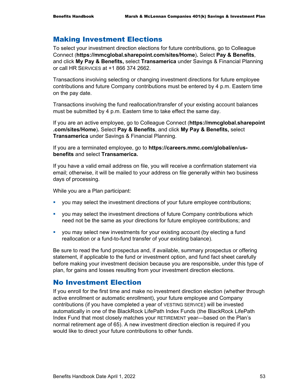### Making Investment Elections

To select your investment direction elections for future contributions, go to Colleague Connect (**https://mmcglobal.sharepoint.com/sites/Home**)**.** Select **Pay & Benefits**, and click **My Pay & Benefits,** select **Transamerica** under Savings & Financial Planning or call HR SERVICES at +1 866 374 2662.

Transactions involving selecting or changing investment directions for future employee contributions and future Company contributions must be entered by 4 p.m. Eastern time on the pay date.

Transactions involving the fund reallocation/transfer of your existing account balances must be submitted by 4 p.m. Eastern time to take effect the same day.

If you are an active employee, go to Colleague Connect (**https://mmcglobal.sharepoint .com/sites/Home**)**.** Select **Pay & Benefits**, and click **My Pay & Benefits,** select **Transamerica** under Savings & Financial Planning.

If you are a terminated employee, go to **https://careers.mmc.com/global/en/usbenefits** and select **Transamerica.**

If you have a valid email address on file, you will receive a confirmation statement via email; otherwise, it will be mailed to your address on file generally within two business days of processing.

While you are a Plan participant:

- you may select the investment directions of your future employee contributions;
- you may select the investment directions of future Company contributions which need not be the same as your directions for future employee contributions; and
- you may select new investments for your existing account (by electing a fund reallocation or a fund-to-fund transfer of your existing balance).

Be sure to read the fund prospectus and, if available, summary prospectus or offering statement, if applicable to the fund or investment option, and fund fact sheet carefully before making your investment decision because you are responsible, under this type of plan, for gains and losses resulting from your investment direction elections.

### No Investment Election

If you enroll for the first time and make no investment direction election (whether through active enrollment or automatic enrollment), your future employee and Company contributions (if you have completed a year of VESTING SERVICE) will be invested automatically in one of the BlackRock LifePath Index Funds (the BlackRock LifePath Index Fund that most closely matches your RETIREMENT year—based on the Plan's normal retirement age of 65). A new investment direction election is required if you would like to direct your future contributions to other funds.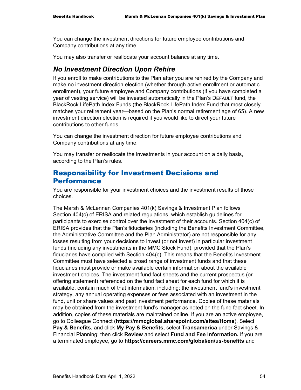You can change the investment directions for future employee contributions and Company contributions at any time.

You may also transfer or reallocate your account balance at any time.

#### *No Investment Direction Upon Rehire*

If you enroll to make contributions to the Plan after you are rehired by the Company and make no investment direction election (whether through active enrollment or automatic enrollment), your future employee and Company contributions (if you have completed a year of vesting service) will be invested automatically in the Plan's DEFAULT fund, the BlackRock LifePath Index Funds (the BlackRock LifePath Index Fund that most closely matches your retirement year—based on the Plan's normal retirement age of 65). A new investment direction election is required if you would like to direct your future contributions to other funds.

You can change the investment direction for future employee contributions and Company contributions at any time.

You may transfer or reallocate the investments in your account on a daily basis, according to the Plan's rules.

#### Responsibility for Investment Decisions and Performance

You are responsible for your investment choices and the investment results of those choices.

The Marsh & McLennan Companies 401(k) Savings & Investment Plan follows Section 404(c) of ERISA and related regulations, which establish guidelines for participants to exercise control over the investment of their accounts. Section 404(c) of ERISA provides that the Plan's fiduciaries (including the Benefits Investment Committee, the Administrative Committee and the Plan Administrator) are not responsible for any losses resulting from your decisions to invest (or not invest) in particular investment funds (including any investments in the MMC Stock Fund), provided that the Plan's fiduciaries have complied with Section 404(c). This means that the Benefits Investment Committee must have selected a broad range of investment funds and that these fiduciaries must provide or make available certain information about the available investment choices. The investment fund fact sheets and the current prospectus (or offering statement) referenced on the fund fact sheet for each fund for which it is available, contain much of that information, including: the investment fund's investment strategy, any annual operating expenses or fees associated with an investment in the fund, unit or share values and past investment performance. Copies of these materials may be obtained from the investment fund's manager as noted on the fund fact sheet. In addition, copies of these materials are maintained online. If you are an active employee, go to Colleague Connect (**https://mmcglobal.sharepoint.com/sites/Home**). Select **Pay & Benefits**, and click **My Pay & Benefits,** select **Transamerica** under Savings & Financial Planning; then click **Review** and select **Fund and Fee Information.** If you are a terminated employee, go to **https://careers.mmc.com/global/en/us-benefits** and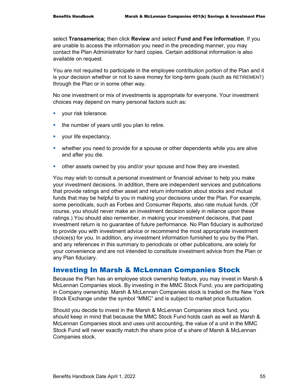select **Transamerica;** then click **Review** and select **Fund and Fee Information**. If you are unable to access the information you need in the preceding manner, you may contact the Plan Administrator for hard copies. Certain additional information is also available on request.

You are not required to participate in the employee contribution portion of the Plan and it is your decision whether or not to save money for long-term goals (such as RETIREMENT) through the Plan or in some other way.

No one investment or mix of investments is appropriate for everyone. Your investment choices may depend on many personal factors such as:

- **vour risk tolerance.**
- the number of years until you plan to retire.
- **vour life expectancy.**
- whether you need to provide for a spouse or other dependents while you are alive and after you die.
- other assets owned by you and/or your spouse and how they are invested.

You may wish to consult a personal investment or financial adviser to help you make your investment decisions. In addition, there are independent services and publications that provide ratings and other asset and return information about stocks and mutual funds that may be helpful to you in making your decisions under the Plan. For example, some periodicals, such as Forbes and Consumer Reports, also rate mutual funds. (Of course, you should never make an investment decision solely in reliance upon these ratings.) You should also remember, in making your investment decisions, that past investment return is no guarantee of future performance. No Plan fiduciary is authorized to provide you with investment advice or recommend the most appropriate investment choice(s) for you. In addition, any investment information furnished to you by the Plan, and any references in this summary to periodicals or other publications, are solely for your convenience and are not intended to constitute investment advice from the Plan or any Plan fiduciary.

### Investing In Marsh & McLennan Companies Stock

Because the Plan has an employee stock ownership feature, you may invest in Marsh & McLennan Companies stock. By investing in the MMC Stock Fund, you are participating in Company ownership. Marsh & McLennan Companies stock is traded on the New York Stock Exchange under the symbol "MMC" and is subject to market price fluctuation.

Should you decide to invest in the Marsh & McLennan Companies stock fund, you should keep in mind that because the MMC Stock Fund holds cash as well as Marsh & McLennan Companies stock and uses unit accounting, the value of a unit in the MMC Stock Fund will never exactly match the share price of a share of Marsh & McLennan Companies stock.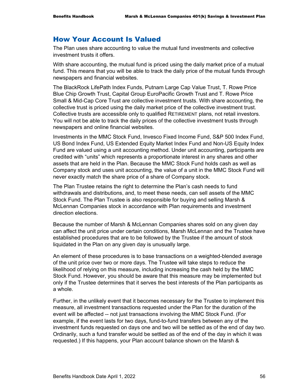#### How Your Account Is Valued

The Plan uses share accounting to value the mutual fund investments and collective investment trusts it offers.

With share accounting, the mutual fund is priced using the daily market price of a mutual fund. This means that you will be able to track the daily price of the mutual funds through newspapers and financial websites.

The BlackRock LifePath Index Funds, Putnam Large Cap Value Trust, T. Rowe Price Blue Chip Growth Trust, Capital Group EuroPacific Growth Trust and T. Rowe Price Small & Mid-Cap Core Trust are collective investment trusts. With share accounting, the collective trust is priced using the daily market price of the collective investment trust. Collective trusts are accessible only to qualified RETIREMENT plans, not retail investors. You will not be able to track the daily prices of the collective investment trusts through newspapers and online financial websites.

Investments in the MMC Stock Fund, Invesco Fixed Income Fund, S&P 500 Index Fund, US Bond Index Fund, US Extended Equity Market Index Fund and Non-US Equity Index Fund are valued using a unit accounting method. Under unit accounting, participants are credited with "units" which represents a proportionate interest in any shares and other assets that are held in the Plan. Because the MMC Stock Fund holds cash as well as Company stock and uses unit accounting, the value of a unit in the MMC Stock Fund will never exactly match the share price of a share of Company stock.

The Plan Trustee retains the right to determine the Plan's cash needs to fund withdrawals and distributions, and, to meet these needs, can sell assets of the MMC Stock Fund. The Plan Trustee is also responsible for buying and selling Marsh & McLennan Companies stock in accordance with Plan requirements and investment direction elections.

Because the number of Marsh & McLennan Companies shares sold on any given day can affect the unit price under certain conditions, Marsh McLennan and the Trustee have established procedures that are to be followed by the Trustee if the amount of stock liquidated in the Plan on any given day is unusually large.

An element of these procedures is to base transactions on a weighted-blended average of the unit price over two or more days. The Trustee will take steps to reduce the likelihood of relying on this measure, including increasing the cash held by the MMC Stock Fund. However, you should be aware that this measure may be implemented but only if the Trustee determines that it serves the best interests of the Plan participants as a whole.

Further, in the unlikely event that it becomes necessary for the Trustee to implement this measure, all investment transactions requested under the Plan for the duration of the event will be affected -- not just transactions involving the MMC Stock Fund. (For example, if the event lasts for two days, fund-to-fund transfers between any of the investment funds requested on days one and two will be settled as of the end of day two. Ordinarily, such a fund transfer would be settled as of the end of the day in which it was requested.) If this happens, your Plan account balance shown on the Marsh &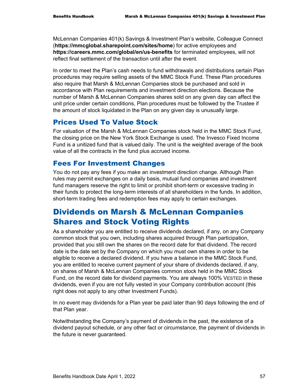McLennan Companies 401(k) Savings & Investment Plan's website, Colleague Connect (**https://mmcglobal.sharepoint.com/sites/home**) for active employees and **https://careers.mmc.com/global/en/us-benefits** for terminated employees, will not reflect final settlement of the transaction until after the event.

In order to meet the Plan's cash needs to fund withdrawals and distributions certain Plan procedures may require selling assets of the MMC Stock Fund. These Plan procedures also require that Marsh & McLennan Companies stock be purchased and sold in accordance with Plan requirements and investment direction elections. Because the number of Marsh & McLennan Companies shares sold on any given day can affect the unit price under certain conditions, Plan procedures must be followed by the Trustee if the amount of stock liquidated in the Plan on any given day is unusually large.

### Prices Used To Value Stock

For valuation of the Marsh & McLennan Companies stock held in the MMC Stock Fund, the closing price on the New York Stock Exchange is used. The Invesco Fixed Income Fund is a unitized fund that is valued daily. The unit is the weighted average of the book value of all the contracts in the fund plus accrued income.

## Fees For Investment Changes

You do not pay any fees if you make an investment direction change. Although Plan rules may permit exchanges on a daily basis, mutual fund companies and investment fund managers reserve the right to limit or prohibit short-term or excessive trading in their funds to protect the long-term interests of all shareholders in the funds. In addition, short-term trading fees and redemption fees may apply to certain exchanges.

# Dividends on Marsh & McLennan Companies Shares and Stock Voting Rights

As a shareholder you are entitled to receive dividends declared, if any, on any Company common stock that you own, including shares acquired through Plan participation, provided that you still own the shares on the record date for that dividend. The record date is the date set by the Company on which you must own shares in order to be eligible to receive a declared dividend. If you have a balance in the MMC Stock Fund, you are entitled to receive current payment of your share of dividends declared, if any, on shares of Marsh & McLennan Companies common stock held in the MMC Stock Fund, on the record date for dividend payments. You are always 100% VESTED in these dividends, even if you are not fully vested in your Company contribution account (this right does not apply to any other Investment Funds).

In no event may dividends for a Plan year be paid later than 90 days following the end of that Plan year.

Notwithstanding the Company's payment of dividends in the past, the existence of a dividend payout schedule, or any other fact or circumstance, the payment of dividends in the future is never guaranteed.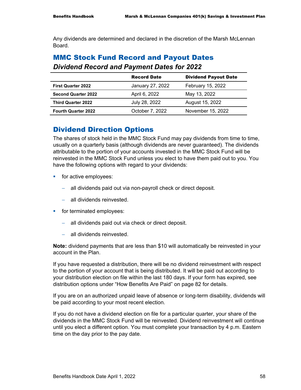Any dividends are determined and declared in the discretion of the Marsh McLennan Board.

# MMC Stock Fund Record and Payout Dates *Dividend Record and Payment Dates for 2022*

|                            | <b>Record Date</b> | <b>Dividend Payout Date</b> |
|----------------------------|--------------------|-----------------------------|
| <b>First Quarter 2022</b>  | January 27, 2022   | February 15, 2022           |
| <b>Second Quarter 2022</b> | April 6, 2022      | May 13, 2022                |
| <b>Third Quarter 2022</b>  | July 28, 2022      | August 15, 2022             |
| <b>Fourth Quarter 2022</b> | October 7, 2022    | November 15, 2022           |

### Dividend Direction Options

The shares of stock held in the MMC Stock Fund may pay dividends from time to time, usually on a quarterly basis (although dividends are never guaranteed). The dividends attributable to the portion of your accounts invested in the MMC Stock Fund will be reinvested in the MMC Stock Fund unless you elect to have them paid out to you. You have the following options with regard to your dividends:

- **for active employees:** 
	- − all dividends paid out via non-payroll check or direct deposit.
	- − all dividends reinvested.
- **for terminated employees:** 
	- − all dividends paid out via check or direct deposit.
	- − all dividends reinvested.

**Note:** dividend payments that are less than \$10 will automatically be reinvested in your account in the Plan.

If you have requested a distribution, there will be no dividend reinvestment with respect to the portion of your account that is being distributed. It will be paid out according to your distribution election on file within the last 180 days. If your form has expired, see distribution options under "How Benefits Are Paid" on page 82 for details.

If you are on an authorized unpaid leave of absence or long-term disability, dividends will be paid according to your most recent election.

If you do not have a dividend election on file for a particular quarter, your share of the dividends in the MMC Stock Fund will be reinvested. Dividend reinvestment will continue until you elect a different option. You must complete your transaction by 4 p.m. Eastern time on the day prior to the pay date.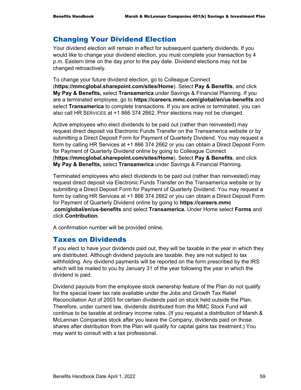### Changing Your Dividend Election

Your dividend election will remain in effect for subsequent quarterly dividends. If you would like to change your dividend election, you must complete your transaction by 4 p.m. Eastern time on the day prior to the pay date. Dividend elections may not be changed retroactively.

To change your future dividend election, go to Colleague Connect (**https://mmcglobal.sharepoint.com/sites/Home**). Select **Pay & Benefits**, and click **My Pay & Benefits,** select **Transamerica** under Savings & Financial Planning. If you are a terminated employee, go to **https://careers.mmc.com/global/en/us-benefits** and select **Transamerica** to complete transactions. If you are active or terminated, you can also call HR SERVICES at +1 866 374 2662. Prior elections may not be changed.

Active employees who elect dividends to be paid out (rather than reinvested) may request direct deposit via Electronic Funds Transfer on the Transamerica website or by submitting a Direct Deposit Form for Payment of Quarterly Dividend. You may request a form by calling HR Services at +1 866 374 2662 or you can obtain a Direct Deposit Form for Payment of Quarterly Dividend online by going to Colleague Connect (**https://mmcglobal.sharepoint.com/sites/Home**). Select **Pay & Benefits**, and click **My Pay & Benefits,** select **Transamerica** under Savings & Financial Planning.

Terminated employees who elect dividends to be paid out (rather than reinvested) may request direct deposit via Electronic Funds Transfer on the Transamerica website or by submitting a Direct Deposit Form for Payment of Quarterly Dividend. You may request a form by calling HR Services at +1 866 374 2662 or you can obtain a Direct Deposit Form for Payment of Quarterly Dividend online by going to **https://careers.mmc .com/global/en/us-benefits** and select **Transamerica.** Under Home select **Forms** and click **Contribution**.

A confirmation number will be provided online.

#### Taxes on Dividends

If you elect to have your dividends paid out, they will be taxable in the year in which they are distributed. Although dividend payouts are taxable, they are not subject to tax withholding. Any dividend payments will be reported on the form prescribed by the IRS which will be mailed to you by January 31 of the year following the year in which the dividend is paid.

Dividend payouts from the employee stock ownership feature of the Plan do not qualify for the special lower tax rate available under the Jobs and Growth Tax Relief Reconciliation Act of 2003 for certain dividends paid on stock held outside the Plan. Therefore, under current law, dividends distributed from the MMC Stock Fund will continue to be taxable at ordinary income rates. (If you request a distribution of Marsh & McLennan Companies stock after you leave the Company, dividends paid on those shares after distribution from the Plan will qualify for capital gains tax treatment.) You may want to consult with a tax professional.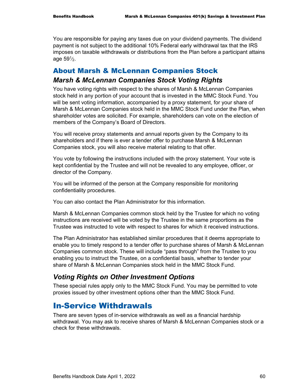You are responsible for paying any taxes due on your dividend payments. The dividend payment is not subject to the additional 10% Federal early withdrawal tax that the IRS imposes on taxable withdrawals or distributions from the Plan before a participant attains age  $59\%$ .

### About Marsh & McLennan Companies Stock

### *Marsh & McLennan Companies Stock Voting Rights*

You have voting rights with respect to the shares of Marsh & McLennan Companies stock held in any portion of your account that is invested in the MMC Stock Fund. You will be sent voting information, accompanied by a proxy statement, for your share of Marsh & McLennan Companies stock held in the MMC Stock Fund under the Plan, when shareholder votes are solicited. For example, shareholders can vote on the election of members of the Company's Board of Directors.

You will receive proxy statements and annual reports given by the Company to its shareholders and if there is ever a tender offer to purchase Marsh & McLennan Companies stock, you will also receive material relating to that offer.

You vote by following the instructions included with the proxy statement. Your vote is kept confidential by the Trustee and will not be revealed to any employee, officer, or director of the Company.

You will be informed of the person at the Company responsible for monitoring confidentiality procedures.

You can also contact the Plan Administrator for this information.

Marsh & McLennan Companies common stock held by the Trustee for which no voting instructions are received will be voted by the Trustee in the same proportions as the Trustee was instructed to vote with respect to shares for which it received instructions.

The Plan Administrator has established similar procedures that it deems appropriate to enable you to timely respond to a tender offer to purchase shares of Marsh & McLennan Companies common stock. These will include "pass through" from the Trustee to you enabling you to instruct the Trustee, on a confidential basis, whether to tender your share of Marsh & McLennan Companies stock held in the MMC Stock Fund.

### *Voting Rights on Other Investment Options*

These special rules apply only to the MMC Stock Fund. You may be permitted to vote proxies issued by other investment options other than the MMC Stock Fund.

# In-Service Withdrawals

There are seven types of in-service withdrawals as well as a financial hardship withdrawal. You may ask to receive shares of Marsh & McLennan Companies stock or a check for these withdrawals.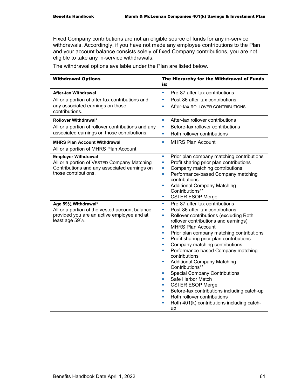Fixed Company contributions are not an eligible source of funds for any in-service withdrawals. Accordingly, if you have not made any employee contributions to the Plan and your account balance consists solely of fixed Company contributions, you are not eligible to take any in-service withdrawals.

The withdrawal options available under the Plan are listed below.

| <b>Withdrawal Options</b>                                                                                                                                                                                         | The Hierarchy for the Withdrawal of Funds<br>is:                                                                                                                                                                                                                                                                                                                                                                                                                                                                                                                                                                                                                                                                                           |  |
|-------------------------------------------------------------------------------------------------------------------------------------------------------------------------------------------------------------------|--------------------------------------------------------------------------------------------------------------------------------------------------------------------------------------------------------------------------------------------------------------------------------------------------------------------------------------------------------------------------------------------------------------------------------------------------------------------------------------------------------------------------------------------------------------------------------------------------------------------------------------------------------------------------------------------------------------------------------------------|--|
| <b>After-tax Withdrawal</b><br>All or a portion of after-tax contributions and<br>any associated earnings on those<br>contributions.                                                                              | Pre-87 after-tax contributions<br>×<br>Post-86 after-tax contributions<br>L.<br>After-tax ROLLOVER CONTRIBUTIONS<br>L.                                                                                                                                                                                                                                                                                                                                                                                                                                                                                                                                                                                                                     |  |
| <b>Rollover Withdrawal*</b><br>All or a portion of rollover contributions and any<br>associated earnings on those contributions.<br><b>MHRS Plan Account Withdrawal</b><br>All or a portion of MHRS Plan Account. | After-tax rollover contributions<br>Ű,<br>Before-tax rollover contributions<br>×<br>Roth rollover contributions<br>u,<br><b>MHRS Plan Account</b><br>$\overline{\phantom{a}}$                                                                                                                                                                                                                                                                                                                                                                                                                                                                                                                                                              |  |
| <b>Employer Withdrawal</b><br>All or a portion of VESTED Company Matching<br>Contributions and any associated earnings on<br>those contributions.                                                                 | Prior plan company matching contributions<br>Ù,<br>Profit sharing prior plan contributions<br>ш<br>Company matching contributions<br>L,<br>Performance-based Company matching<br>×<br>contributions<br><b>Additional Company Matching</b><br>ш<br>Contributions**<br>CSI ER ESOP Merge<br>ш                                                                                                                                                                                                                                                                                                                                                                                                                                                |  |
| Age 591/2 Withdrawal*<br>All or a portion of the vested account balance,<br>provided you are an active employee and at<br>least age $59\frac{1}{2}$ .                                                             | Pre-87 after-tax contributions<br>$\blacksquare$<br>Post-86 after-tax contributions<br>u,<br>Rollover contributions (excluding Roth<br>u,<br>rollover contributions and earnings)<br><b>MHRS Plan Account</b><br>п<br>Prior plan company matching contributions<br>u,<br>Profit sharing prior plan contributions<br>u,<br>Company matching contributions<br>u,<br>Performance-based Company matching<br>u,<br>contributions<br><b>Additional Company Matching</b><br>×<br>Contributions**<br><b>Special Company Contributions</b><br>u,<br>Safe Harbor Match<br>CSI ER ESOP Merge<br>u,<br>Before-tax contributions including catch-up<br>L,<br>Roth rollover contributions<br>п<br>Roth 401(k) contributions including catch-<br>L.<br>up |  |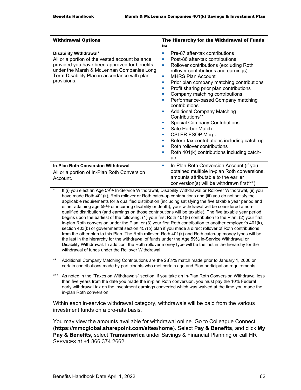| <b>Withdrawal Options</b>                                                                                                                                                                                                             | The Hierarchy for the Withdrawal of Funds<br>is:                                                                                                                                                                                                                                                                                                                                                                                                                                                                                                                                                                                                                                                                   |
|---------------------------------------------------------------------------------------------------------------------------------------------------------------------------------------------------------------------------------------|--------------------------------------------------------------------------------------------------------------------------------------------------------------------------------------------------------------------------------------------------------------------------------------------------------------------------------------------------------------------------------------------------------------------------------------------------------------------------------------------------------------------------------------------------------------------------------------------------------------------------------------------------------------------------------------------------------------------|
| Disability Withdrawal*<br>All or a portion of the vested account balance,<br>provided you have been approved for benefits<br>under the Marsh & McLennan Companies Long<br>Term Disability Plan in accordance with plan<br>provisions. | Pre-87 after-tax contributions<br>ш<br>Post-86 after-tax contributions<br>a.<br>Rollover contributions (excluding Roth<br>×<br>rollover contributions and earnings)<br><b>MHRS Plan Account</b><br>a.<br>Prior plan company matching contributions<br>a.<br>Profit sharing prior plan contributions<br>ш<br>Company matching contributions<br>a.<br>Performance-based Company matching<br>п<br>contributions<br><b>Additional Company Matching</b><br>×<br>Contributions**<br><b>Special Company Contributions</b><br>Safe Harbor Match<br>п<br>CSI ER ESOP Merge<br>Before-tax contributions including catch-up<br>ш<br>Roth rollover contributions<br>п<br>Roth 401(k) contributions including catch-<br>ш<br>up |
| <b>In-Plan Roth Conversion Withdrawal</b><br>All or a portion of In-Plan Roth Conversion<br>Account.                                                                                                                                  | In-Plan Roth Conversion Account (if you<br>ш<br>obtained multiple in-plan Roth conversions,<br>amounts attributable to the earlier<br>conversion(s) will be withdrawn first***)                                                                                                                                                                                                                                                                                                                                                                                                                                                                                                                                    |

If (i) you elect an Age 591/2 In-Service Withdrawal, Disability Withdrawal or Rollover Withdrawal, (ii) you have made Roth 401(k), Roth rollover or Roth catch-up contributions and (iii) you do not satisfy the applicable requirements for a qualified distribution (including satisfying the five taxable year period and either attaining age 591/2 or incurring disability or death), your withdrawal will be considered a nonqualified distribution (and earnings on those contributions will be taxable). The five taxable year period begins upon the earliest of the following: (1) your first Roth 401(k) contribution to the Plan, (2) your first in-plan Roth conversion under the Plan, or (3) your first Roth contribution to another employer's 401(k), section 403(b) or governmental section 457(b) plan if you made a direct rollover of Roth contributions from the other plan to this Plan. The Roth rollover, Roth 401(k) and Roth catch-up money types will be the last in the hierarchy for the withdrawal of funds under the Age  $59\frac{1}{2}$  in-Service Withdrawal or Disability Withdrawal. In addition, the Roth rollover money type will be the last in the hierarchy for the withdrawal of funds under the Rollover Withdrawal.

- \*\* Additional Company Matching Contributions are the 281/3% match made prior to January 1, 2006 on certain contributions made by participants who met certain age and Plan participation requirements.
- \*\*\* As noted in the "Taxes on Withdrawals" section, if you take an In-Plan Roth Conversion Withdrawal less than five years from the date you made the in-plan Roth conversion, you must pay the 10% Federal early withdrawal tax on the investment earnings converted which was waived at the time you made the in-plan Roth conversion.

Within each in-service withdrawal category, withdrawals will be paid from the various investment funds on a pro-rata basis.

You may view the amounts available for withdrawal online. Go to Colleague Connect (**https://mmcglobal.sharepoint.com/sites/home**). Select **Pay & Benefits**, and click **My Pay & Benefits,** select **Transamerica** under Savings & Financial Planning or call HR SERVICES at +1 866 374 2662.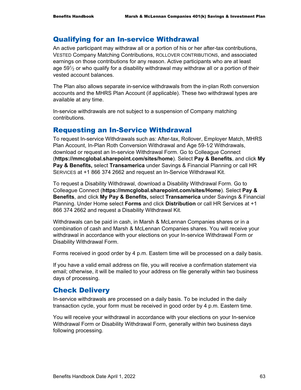#### Qualifying for an In-service Withdrawal

An active participant may withdraw all or a portion of his or her after-tax contributions, VESTED Company Matching Contributions, ROLLOVER CONTRIBUTIONS, and associated earnings on those contributions for any reason. Active participants who are at least age 59 $\frac{1}{2}$  or who qualify for a disability withdrawal may withdraw all or a portion of their vested account balances.

The Plan also allows separate in-service withdrawals from the in-plan Roth conversion accounts and the MHRS Plan Account (if applicable). These two withdrawal types are available at any time.

In-service withdrawals are not subject to a suspension of Company matching contributions.

#### Requesting an In-Service Withdrawal

To request In-service Withdrawals such as: After-tax, Rollover, Employer Match, MHRS Plan Account, In-Plan Roth Conversion Withdrawal and Age 59-1⁄2 Withdrawals, download or request an In-service Withdrawal Form. Go to Colleague Connect (**https://mmcglobal.sharepoint.com/sites/home**). Select **Pay & Benefits**, and click **My Pay & Benefits,** select **Transamerica** under Savings & Financial Planning or call HR SERVICES at +1 866 374 2662 and request an In-Service Withdrawal Kit.

To request a Disability Withdrawal, download a Disability Withdrawal Form. Go to Colleague Connect (**https://mmcglobal.sharepoint.com/sites/Home**). Select **Pay & Benefits**, and click **My Pay & Benefits,** select **Transamerica** under Savings & Financial Planning. Under Home select **Forms** and click **Distribution** or call HR Services at +1 866 374 2662 and request a Disability Withdrawal Kit.

Withdrawals can be paid in cash, in Marsh & McLennan Companies shares or in a combination of cash and Marsh & McLennan Companies shares. You will receive your withdrawal in accordance with your elections on your In-service Withdrawal Form or Disability Withdrawal Form.

Forms received in good order by 4 p.m. Eastern time will be processed on a daily basis.

If you have a valid email address on file, you will receive a confirmation statement via email; otherwise, it will be mailed to your address on file generally within two business days of processing.

### Check Delivery

In-service withdrawals are processed on a daily basis. To be included in the daily transaction cycle, your form must be received in good order by 4 p.m. Eastern time.

You will receive your withdrawal in accordance with your elections on your In-service Withdrawal Form or Disability Withdrawal Form, generally within two business days following processing.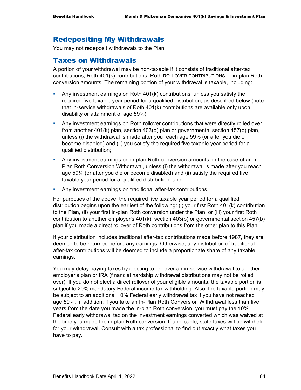### Redepositing My Withdrawals

You may not redeposit withdrawals to the Plan.

#### Taxes on Withdrawals

A portion of your withdrawal may be non-taxable if it consists of traditional after-tax contributions, Roth 401(k) contributions, Roth ROLLOVER CONTRIBUTIONS or in-plan Roth conversion amounts. The remaining portion of your withdrawal is taxable, including:

- Any investment earnings on Roth 401(k) contributions, unless you satisfy the required five taxable year period for a qualified distribution, as described below (note that in-service withdrawals of Roth 401(k) contributions are available only upon disability or attainment of age  $59\frac{1}{2}$ ;
- Any investment earnings on Roth rollover contributions that were directly rolled over from another 401(k) plan, section 403(b) plan or governmental section 457(b) plan, unless (i) the withdrawal is made after you reach age  $59\frac{1}{2}$  (or after you die or become disabled) and (ii) you satisfy the required five taxable year period for a qualified distribution;
- Any investment earnings on in-plan Roth conversion amounts, in the case of an In-Plan Roth Conversion Withdrawal, unless (i) the withdrawal is made after you reach age 59 $\frac{1}{2}$  (or after you die or become disabled) and (ii) satisfy the required five taxable year period for a qualified distribution; and
- Any investment earnings on traditional after-tax contributions.

For purposes of the above, the required five taxable year period for a qualified distribution begins upon the earliest of the following: (i) your first Roth 401(k) contribution to the Plan, (ii) your first in-plan Roth conversion under the Plan, or (iii) your first Roth contribution to another employer's 401(k), section 403(b) or governmental section 457(b) plan if you made a direct rollover of Roth contributions from the other plan to this Plan.

If your distribution includes traditional after-tax contributions made before 1987, they are deemed to be returned before any earnings. Otherwise, any distribution of traditional after-tax contributions will be deemed to include a proportionate share of any taxable earnings.

You may delay paying taxes by electing to roll over an in-service withdrawal to another employer's plan or IRA (financial hardship withdrawal distributions may not be rolled over). If you do not elect a direct rollover of your eligible amounts, the taxable portion is subject to 20% mandatory Federal income tax withholding. Also, the taxable portion may be subject to an additional 10% Federal early withdrawal tax if you have not reached age 591⁄2. In addition, if you take an In-Plan Roth Conversion Withdrawal less than five years from the date you made the in-plan Roth conversion, you must pay the 10% Federal early withdrawal tax on the investment earnings converted which was waived at the time you made the in-plan Roth conversion. If applicable, state taxes will be withheld for your withdrawal. Consult with a tax professional to find out exactly what taxes you have to pay.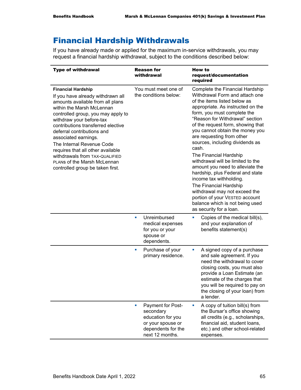# Financial Hardship Withdrawals

If you have already made or applied for the maximum in-service withdrawals, you may request a financial hardship withdrawal, subject to the conditions described below:

| <b>Type of withdrawal</b>                                                                                                                                                                                                                                                                                                                                                                                                                                            | <b>Reason for</b><br>withdrawal                                                                                         | How to<br>request/documentation<br>required                                                                                                                                                                                                                                                                                                                                                                                                                                                                                                                                                                                                                                            |
|----------------------------------------------------------------------------------------------------------------------------------------------------------------------------------------------------------------------------------------------------------------------------------------------------------------------------------------------------------------------------------------------------------------------------------------------------------------------|-------------------------------------------------------------------------------------------------------------------------|----------------------------------------------------------------------------------------------------------------------------------------------------------------------------------------------------------------------------------------------------------------------------------------------------------------------------------------------------------------------------------------------------------------------------------------------------------------------------------------------------------------------------------------------------------------------------------------------------------------------------------------------------------------------------------------|
| <b>Financial Hardship</b><br>If you have already withdrawn all<br>amounts available from all plans<br>within the Marsh McLennan<br>controlled group, you may apply to<br>withdraw your before-tax<br>contributions transferred elective<br>deferral contributions and<br>associated earnings.<br>The Internal Revenue Code<br>requires that all other available<br>withdrawals from TAX-QUALIFIED<br>PLANS of the Marsh McLennan<br>controlled group be taken first. | You must meet one of<br>the conditions below:                                                                           | Complete the Financial Hardship<br>Withdrawal Form and attach one<br>of the items listed below as<br>appropriate. As instructed on the<br>form, you must complete the<br>"Reason for Withdrawal" section<br>of the request form, showing that<br>you cannot obtain the money you<br>are requesting from other<br>sources, including dividends as<br>cash.<br>The Financial Hardship<br>withdrawal will be limited to the<br>amount you need to alleviate the<br>hardship, plus Federal and state<br>income tax withholding.<br>The Financial Hardship<br>withdrawal may not exceed the<br>portion of your VESTED account<br>balance which is not being used<br>as security for a loan. |
|                                                                                                                                                                                                                                                                                                                                                                                                                                                                      | Unreimbursed<br>u,<br>medical expenses<br>for you or your<br>spouse or<br>dependents.                                   | Copies of the medical bill(s),<br>ш<br>and your explanation of<br>benefits statement(s)                                                                                                                                                                                                                                                                                                                                                                                                                                                                                                                                                                                                |
|                                                                                                                                                                                                                                                                                                                                                                                                                                                                      | Purchase of your<br>ш<br>primary residence.                                                                             | A signed copy of a purchase<br>ш<br>and sale agreement. If you<br>need the withdrawal to cover<br>closing costs, you must also<br>provide a Loan Estimate (an<br>estimate of the charges that<br>you will be required to pay on<br>the closing of your loan) from<br>a lender.                                                                                                                                                                                                                                                                                                                                                                                                         |
|                                                                                                                                                                                                                                                                                                                                                                                                                                                                      | Payment for Post-<br>L.<br>secondary<br>education for you<br>or your spouse or<br>dependents for the<br>next 12 months. | A copy of tuition bill(s) from<br>ш<br>the Bursar's office showing<br>all credits (e.g., scholarships,<br>financial aid, student loans,<br>etc.) and other school-related<br>expenses.                                                                                                                                                                                                                                                                                                                                                                                                                                                                                                 |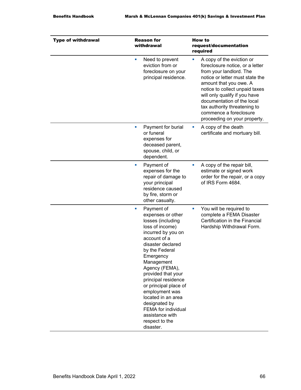| <b>Type of withdrawal</b> | <b>Reason for</b><br>withdrawal                                                                                                                                                                                                                                                                                                                                                                                        | <b>How to</b><br>request/documentation<br>required                                                                                                                                                                                                                                                                                                    |
|---------------------------|------------------------------------------------------------------------------------------------------------------------------------------------------------------------------------------------------------------------------------------------------------------------------------------------------------------------------------------------------------------------------------------------------------------------|-------------------------------------------------------------------------------------------------------------------------------------------------------------------------------------------------------------------------------------------------------------------------------------------------------------------------------------------------------|
|                           | Need to prevent<br>a.<br>eviction from or<br>foreclosure on your<br>principal residence.                                                                                                                                                                                                                                                                                                                               | A copy of the eviction or<br>a.<br>foreclosure notice, or a letter<br>from your landlord. The<br>notice or letter must state the<br>amount that you owe. A<br>notice to collect unpaid taxes<br>will only qualify if you have<br>documentation of the local<br>tax authority threatening to<br>commence a foreclosure<br>proceeding on your property. |
|                           | Payment for burial<br>ш<br>or funeral<br>expenses for<br>deceased parent,<br>spouse, child, or<br>dependent.                                                                                                                                                                                                                                                                                                           | A copy of the death<br>ш<br>certificate and mortuary bill.                                                                                                                                                                                                                                                                                            |
|                           | Payment of<br>ш<br>expenses for the<br>repair of damage to<br>your principal<br>residence caused<br>by fire, storm or<br>other casualty.                                                                                                                                                                                                                                                                               | A copy of the repair bill,<br>L.<br>estimate or signed work<br>order for the repair, or a copy<br>of IRS Form 4684.                                                                                                                                                                                                                                   |
|                           | Payment of<br>a.<br>expenses or other<br>losses (including<br>loss of income)<br>incurred by you on<br>account of a<br>disaster declared<br>by the Federal<br>⊨mergency<br>Management<br>Agency (FEMA),<br>provided that your<br>principal residence<br>or principal place of<br>employment was<br>located in an area<br>designated by<br><b>FEMA</b> for individual<br>assistance with<br>respect to the<br>disaster. | You will be required to<br>ш<br>complete a FEMA Disaster<br>Certification in the Financial<br>Hardship Withdrawal Form.                                                                                                                                                                                                                               |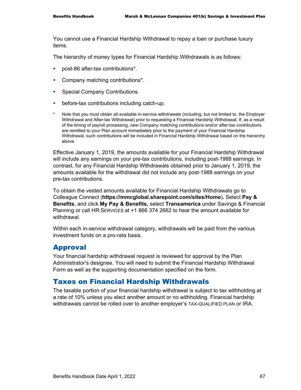You cannot use a Financial Hardship Withdrawal to repay a loan or purchase luxury items.

The hierarchy of money types for Financial Hardship Withdrawals is as follows:

- post-86 after-tax contributions<sup>\*</sup>.
- **Company matching contributions\*.**
- **Special Company Contributions.**
- **before-tax contributions including catch-up.**
- Note that you must obtain all available in-service withdrawals (including, but not limited to, the Employer Withdrawal and After-tax Withdrawal) prior to requesting a Financial Hardship Withdrawal. If, as a result of the timing of payroll processing, new Company matching contributions and/or after-tax contributions are remitted to your Plan account immediately prior to the payment of your Financial Hardship Withdrawal, such contributions will be included in Financial Hardship Withdrawal based on the hierarchy above.

Effective January 1, 2019, the amounts available for your Financial Hardship Withdrawal will include any earnings on your pre-tax contributions, including post-1988 earnings. In contrast, for any Financial Hardship Withdrawals obtained prior to January 1, 2019, the amounts available for the withdrawal did not include any post-1988 earnings on your pre-tax contributions.

To obtain the vested amounts available for Financial Hardship Withdrawals go to Colleague Connect (**https://mmcglobal.sharepoint.com/sites/Home**)**.** Select **Pay & Benefits**, and click **My Pay & Benefits,** select **Transamerica** under Savings & Financial Planning or call HR SERVICES at +1 866 374 2662 to hear the amount available for withdrawal.

Within each in-service withdrawal category, withdrawals will be paid from the various investment funds on a pro-rata basis.

#### Approval

Your financial hardship withdrawal request is reviewed for approval by the Plan Administrator's designee. You will need to submit the Financial Hardship Withdrawal Form as well as the supporting documentation specified on the form.

#### Taxes on Financial Hardship Withdrawals

The taxable portion of your financial hardship withdrawal is subject to tax withholding at a rate of 10% unless you elect another amount or no withholding. Financial hardship withdrawals cannot be rolled over to another employer's TAX-QUALIFIED PLAN or IRA.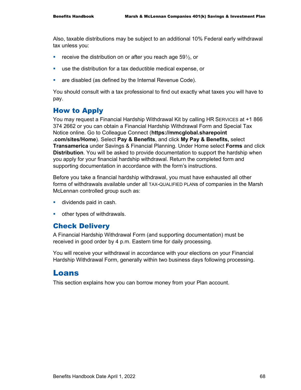Also, taxable distributions may be subject to an additional 10% Federal early withdrawal tax unless you:

- **•** receive the distribution on or after you reach age  $59\frac{1}{2}$ , or
- use the distribution for a tax deductible medical expense, or
- **EXT** are disabled (as defined by the Internal Revenue Code).

You should consult with a tax professional to find out exactly what taxes you will have to pay.

## How to Apply

You may request a Financial Hardship Withdrawal Kit by calling HR SERVICES at +1 866 374 2662 or you can obtain a Financial Hardship Withdrawal Form and Special Tax Notice online. Go to Colleague Connect (**https://mmcglobal.sharepoint .com/sites/Home**). Select **Pay & Benefits**, and click **My Pay & Benefits,** select **Transamerica** under Savings & Financial Planning. Under Home select **Forms** and click **Distribution**. You will be asked to provide documentation to support the hardship when you apply for your financial hardship withdrawal. Return the completed form and supporting documentation in accordance with the form's instructions.

Before you take a financial hardship withdrawal, you must have exhausted all other forms of withdrawals available under all TAX-QUALIFIED PLANs of companies in the Marsh McLennan controlled group such as:

- **dividends paid in cash.**
- **•** other types of withdrawals.

#### Check Delivery

A Financial Hardship Withdrawal Form (and supporting documentation) must be received in good order by 4 p.m. Eastern time for daily processing.

You will receive your withdrawal in accordance with your elections on your Financial Hardship Withdrawal Form, generally within two business days following processing.

## Loans

This section explains how you can borrow money from your Plan account.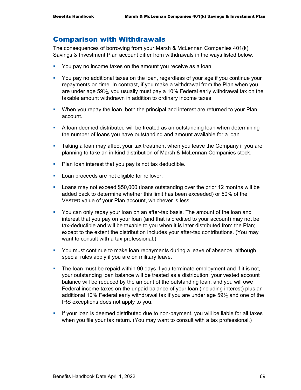### Comparison with Withdrawals

The consequences of borrowing from your Marsh & McLennan Companies 401(k) Savings & Investment Plan account differ from withdrawals in the ways listed below.

- You pay no income taxes on the amount you receive as a loan.
- You pay no additional taxes on the loan, regardless of your age if you continue your repayments on time. In contrast, if you make a withdrawal from the Plan when you are under age  $59\frac{1}{2}$ , you usually must pay a 10% Federal early withdrawal tax on the taxable amount withdrawn in addition to ordinary income taxes.
- When you repay the loan, both the principal and interest are returned to your Plan account.
- A loan deemed distributed will be treated as an outstanding loan when determining the number of loans you have outstanding and amount available for a loan.
- **Taking a loan may affect your tax treatment when you leave the Company if you are** planning to take an in-kind distribution of Marsh & McLennan Companies stock.
- Plan loan interest that you pay is not tax deductible.
- **Loan proceeds are not eligible for rollover.**
- Loans may not exceed \$50,000 (loans outstanding over the prior 12 months will be added back to determine whether this limit has been exceeded) or 50% of the VESTED value of your Plan account, whichever is less.
- You can only repay your loan on an after-tax basis. The amount of the loan and interest that you pay on your loan (and that is credited to your account) may not be tax-deductible and will be taxable to you when it is later distributed from the Plan; except to the extent the distribution includes your after-tax contributions. (You may want to consult with a tax professional.)
- You must continue to make loan repayments during a leave of absence, although special rules apply if you are on military leave.
- **The loan must be repaid within 90 days if you terminate employment and if it is not,** your outstanding loan balance will be treated as a distribution, your vested account balance will be reduced by the amount of the outstanding loan, and you will owe Federal income taxes on the unpaid balance of your loan (including interest) plus an additional 10% Federal early withdrawal tax if you are under age  $59\frac{1}{2}$  and one of the IRS exceptions does not apply to you.
- If your loan is deemed distributed due to non-payment, you will be liable for all taxes when you file your tax return. (You may want to consult with a tax professional.)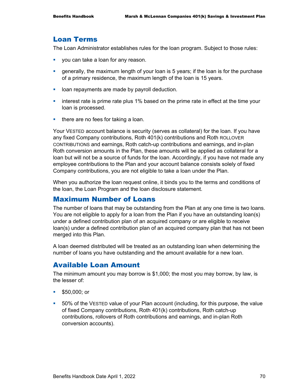#### Loan Terms

The Loan Administrator establishes rules for the loan program. Subject to those rules:

- **v** you can take a loan for any reason.
- generally, the maximum length of your loan is 5 years; if the loan is for the purchase of a primary residence, the maximum length of the loan is 15 years.
- **-** loan repayments are made by payroll deduction.
- **EXED** interest rate is prime rate plus 1% based on the prime rate in effect at the time your loan is processed.
- **there are no fees for taking a loan.**

Your VESTED account balance is security (serves as collateral) for the loan. If you have any fixed Company contributions, Roth 401(k) contributions and Roth ROLLOVER CONTRIBUTIONS and earnings, Roth catch-up contributions and earnings, and in-plan Roth conversion amounts in the Plan, these amounts will be applied as collateral for a loan but will not be a source of funds for the loan. Accordingly, if you have not made any employee contributions to the Plan and your account balance consists solely of fixed Company contributions, you are not eligible to take a loan under the Plan.

When you authorize the loan request online, it binds you to the terms and conditions of the loan, the Loan Program and the loan disclosure statement.

#### Maximum Number of Loans

The number of loans that may be outstanding from the Plan at any one time is two loans. You are not eligible to apply for a loan from the Plan if you have an outstanding loan(s) under a defined contribution plan of an acquired company or are eligible to receive loan(s) under a defined contribution plan of an acquired company plan that has not been merged into this Plan.

A loan deemed distributed will be treated as an outstanding loan when determining the number of loans you have outstanding and the amount available for a new loan.

#### Available Loan Amount

The minimum amount you may borrow is \$1,000; the most you may borrow, by law, is the lesser of:

- $\bullet$  \$50,000; or
- 50% of the VESTED value of your Plan account (including, for this purpose, the value of fixed Company contributions, Roth 401(k) contributions, Roth catch-up contributions, rollovers of Roth contributions and earnings, and in-plan Roth conversion accounts).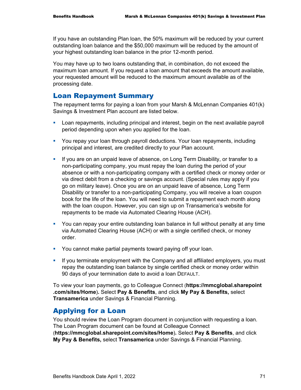If you have an outstanding Plan loan, the 50% maximum will be reduced by your current outstanding loan balance and the \$50,000 maximum will be reduced by the amount of your highest outstanding loan balance in the prior 12-month period.

You may have up to two loans outstanding that, in combination, do not exceed the maximum loan amount. If you request a loan amount that exceeds the amount available, your requested amount will be reduced to the maximum amount available as of the processing date.

#### Loan Repayment Summary

The repayment terms for paying a loan from your Marsh & McLennan Companies 401(k) Savings & Investment Plan account are listed below.

- Loan repayments, including principal and interest, begin on the next available payroll period depending upon when you applied for the loan.
- You repay your loan through payroll deductions. Your loan repayments, including principal and interest, are credited directly to your Plan account.
- If you are on an unpaid leave of absence, on Long Term Disability, or transfer to a non-participating company, you must repay the loan during the period of your absence or with a non-participating company with a certified check or money order or via direct debit from a checking or savings account. (Special rules may apply if you go on military leave). Once you are on an unpaid leave of absence, Long Term Disability or transfer to a non-participating Company, you will receive a loan coupon book for the life of the loan. You will need to submit a repayment each month along with the loan coupon. However, you can sign up on Transamerica's website for repayments to be made via Automated Clearing House (ACH).
- **You can repay your entire outstanding loan balance in full without penalty at any time** via Automated Clearing House (ACH) or with a single certified check, or money order.
- **You cannot make partial payments toward paying off your loan.**
- If you terminate employment with the Company and all affiliated employers, you must repay the outstanding loan balance by single certified check or money order within 90 days of your termination date to avoid a loan DEFAULT.

To view your loan payments, go to Colleague Connect (**https://mmcglobal.sharepoint .com/sites/Home**)**.** Select **Pay & Benefits**, and click **My Pay & Benefits,** select **Transamerica** under Savings & Financial Planning.

## Applying for a Loan

You should review the Loan Program document in conjunction with requesting a loan. The Loan Program document can be found at Colleague Connect (**https://mmcglobal.sharepoint.com/sites/Home**)**.** Select **Pay & Benefits**, and click **My Pay & Benefits,** select **Transamerica** under Savings & Financial Planning.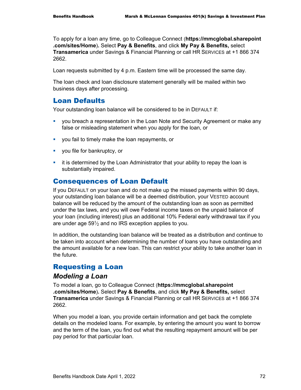To apply for a loan any time, go to Colleague Connect (**https://mmcglobal.sharepoint .com/sites/Home**)**.** Select **Pay & Benefits**, and click **My Pay & Benefits,** select **Transamerica** under Savings & Financial Planning or call HR SERVICES at +1 866 374 2662.

Loan requests submitted by 4 p.m. Eastern time will be processed the same day.

The loan check and loan disclosure statement generally will be mailed within two business days after processing.

#### Loan Defaults

Your outstanding loan balance will be considered to be in DEFAULT if:

- you breach a representation in the Loan Note and Security Agreement or make any false or misleading statement when you apply for the loan, or
- you fail to timely make the loan repayments, or
- **v** you file for bankruptcy, or
- **•** it is determined by the Loan Administrator that your ability to repay the loan is substantially impaired.

#### Consequences of Loan Default

If you DEFAULT on your loan and do not make up the missed payments within 90 days, your outstanding loan balance will be a deemed distribution, your VESTED account balance will be reduced by the amount of the outstanding loan as soon as permitted under the tax laws, and you will owe Federal income taxes on the unpaid balance of your loan (including interest) plus an additional 10% Federal early withdrawal tax if you are under age  $59\frac{1}{2}$  and no IRS exception applies to you.

In addition, the outstanding loan balance will be treated as a distribution and continue to be taken into account when determining the number of loans you have outstanding and the amount available for a new loan. This can restrict your ability to take another loan in the future.

#### Requesting a Loan

#### *Modeling a Loan*

To model a loan, go to Colleague Connect (**https://mmcglobal.sharepoint .com/sites/Home**)**.** Select **Pay & Benefits**, and click **My Pay & Benefits,** select **Transamerica** under Savings & Financial Planning or call HR SERVICES at +1 866 374 2662.

When you model a loan, you provide certain information and get back the complete details on the modeled loans. For example, by entering the amount you want to borrow and the term of the loan, you find out what the resulting repayment amount will be per pay period for that particular loan.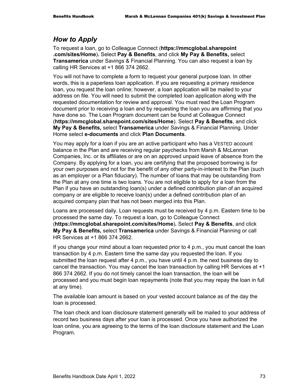## *How to Apply*

To request a loan, go to Colleague Connect (**https://mmcglobal.sharepoint .com/sites/Home**)**.** Select **Pay & Benefits**, and click **My Pay & Benefits,** select **Transamerica** under Savings & Financial Planning. You can also request a loan by calling HR Services at +1 866 374 2662.

You will not have to complete a form to request your general purpose loan. In other words, this is a paperless loan application. If you are requesting a primary residence loan, you request the loan online; however, a loan application will be mailed to your address on file. You will need to submit the completed loan application along with the requested documentation for review and approval. You must read the Loan Program document prior to receiving a loan and by requesting the loan you are affirming that you have done so. The Loan Program document can be found at Colleague Connect (**https://mmcglobal.sharepoint.com/sites/Home**). Select **Pay & Benefits**, and click **My Pay & Benefits,** select **Transamerica** under Savings & Financial Planning. Under Home select **e-documents** and click **Plan Documents**.

You may apply for a loan if you are an active participant who has a VESTED account balance in the Plan and are receiving regular paychecks from Marsh & McLennan Companies, Inc. or its affiliates or are on an approved unpaid leave of absence from the Company. By applying for a loan, you are certifying that the proposed borrowing is for your own purposes and not for the benefit of any other party-in-interest to the Plan (such as an employer or a Plan fiduciary). The number of loans that may be outstanding from the Plan at any one time is two loans. You are not eligible to apply for a loan from the Plan if you have an outstanding loan(s) under a defined contribution plan of an acquired company or are eligible to receive loan(s) under a defined contribution plan of an acquired company plan that has not been merged into this Plan.

Loans are processed daily. Loan requests must be received by 4 p.m. Eastern time to be processed the same day. To request a loan, go to Colleague Connect (**https://mmcglobal.sharepoint.com/sites/Home**)**.** Select **Pay & Benefits**, and click **My Pay & Benefits,** select **Transamerica** under Savings & Financial Planning or call HR Services at +1 866 374 2662.

If you change your mind about a loan requested prior to 4 p.m., you must cancel the loan transaction by 4 p.m. Eastern time the same day you requested the loan. If you submitted the loan request after 4 p.m., you have until 4 p.m. the next business day to cancel the transaction. You may cancel the loan transaction by calling HR Services at +1 866 374 2662. If you do not timely cancel the loan transaction, the loan will be processed and you must begin loan repayments (note that you may repay the loan in full at any time).

The available loan amount is based on your vested account balance as of the day the loan is processed.

The loan check and loan disclosure statement generally will be mailed to your address of record two business days after your loan is processed. Once you have authorized the loan online, you are agreeing to the terms of the loan disclosure statement and the Loan Program.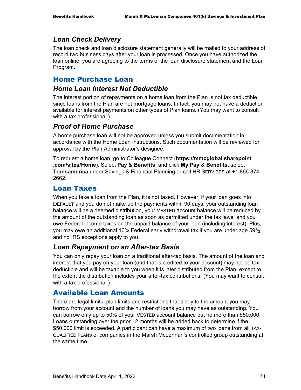## *Loan Check Delivery*

The loan check and loan disclosure statement generally will be mailed to your address of record two business days after your loan is processed. Once you have authorized the loan online, you are agreeing to the terms of the loan disclosure statement and the Loan Program.

## Home Purchase Loan

#### *Home Loan Interest Not Deductible*

The interest portion of repayments on a home loan from the Plan is not tax deductible, since loans from the Plan are not mortgage loans. In fact, you may not have a deduction available for interest payments on other types of Plan loans. (You may want to consult with a tax professional.)

## *Proof of Home Purchase*

A home purchase loan will not be approved unless you submit documentation in accordance with the Home Loan Instructions. Such documentation will be reviewed for approval by the Plan Administrator's designee.

To request a home loan, go to Colleague Connect (**https://mmcglobal.sharepoint .com/sites/Home**)**.** Select **Pay & Benefits**, and click **My Pay & Benefits,** select **Transamerica** under Savings & Financial Planning or call HR SERVICES at +1 866 374 2662.

#### Loan Taxes

When you take a loan from the Plan, it is not taxed. However, if your loan goes into DEFAULT and you do not make up the payments within 90 days, your outstanding loan balance will be a deemed distribution, your VESTED account balance will be reduced by the amount of the outstanding loan as soon as permitted under the tax laws, and you owe Federal income taxes on the unpaid balance of your loan (including interest). Plus, you may owe an additional 10% Federal early withdrawal tax if you are under age  $59\frac{1}{2}$ and no IRS exceptions apply to you.

## *Loan Repayment on an After-tax Basis*

You can only repay your loan on a traditional after-tax basis. The amount of the loan and interest that you pay on your loan (and that is credited to your account) may not be taxdeductible and will be taxable to you when it is later distributed from the Plan, except to the extent the distribution includes your after-tax contributions. (You may want to consult with a tax professional.)

## Available Loan Amounts

There are legal limits, plan limits and restrictions that apply to the amount you may borrow from your account and the number of loans you may have as outstanding. You can borrow only up to 50% of your VESTED account balance but no more than \$50,000. Loans outstanding over the prior 12 months will be added back to determine if the \$50,000 limit is exceeded. A participant can have a maximum of two loans from all TAX-QUALIFIED PLANs of companies in the Marsh McLennan's controlled group outstanding at the same time.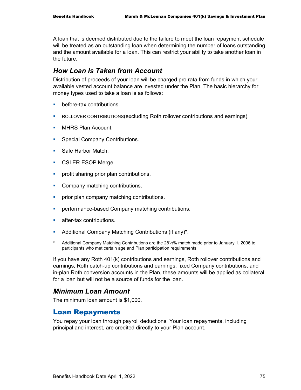A loan that is deemed distributed due to the failure to meet the loan repayment schedule will be treated as an outstanding loan when determining the number of loans outstanding and the amount available for a loan. This can restrict your ability to take another loan in the future.

#### *How Loan Is Taken from Account*

Distribution of proceeds of your loan will be charged pro rata from funds in which your available vested account balance are invested under the Plan. The basic hierarchy for money types used to take a loan is as follows:

- **before-tax contributions**
- ROLLOVER CONTRIBUTIONS(excluding Roth rollover contributions and earnings).
- **MHRS Plan Account.**
- **Special Company Contributions.**
- **Safe Harbor Match.**
- **CSI ER ESOP Merge.**
- **•** profit sharing prior plan contributions.
- Company matching contributions.
- **•** prior plan company matching contributions.
- **PERFOLE PERITM FIGHTER COMPANY MATCHING CONTROLLY FIGHTER**
- **after-tax contributions.**
- Additional Company Matching Contributions (if any)\*.
- \* Additional Company Matching Contributions are the 281⁄3% match made prior to January 1, 2006 to participants who met certain age and Plan participation requirements.

If you have any Roth 401(k) contributions and earnings, Roth rollover contributions and earnings, Roth catch-up contributions and earnings, fixed Company contributions, and in-plan Roth conversion accounts in the Plan, these amounts will be applied as collateral for a loan but will not be a source of funds for the loan.

#### *Minimum Loan Amount*

The minimum loan amount is \$1,000.

#### Loan Repayments

You repay your loan through payroll deductions. Your loan repayments, including principal and interest, are credited directly to your Plan account.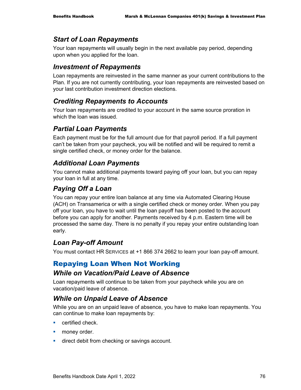## *Start of Loan Repayments*

Your loan repayments will usually begin in the next available pay period, depending upon when you applied for the loan.

## *Investment of Repayments*

Loan repayments are reinvested in the same manner as your current contributions to the Plan. If you are not currently contributing, your loan repayments are reinvested based on your last contribution investment direction elections.

## *Crediting Repayments to Accounts*

Your loan repayments are credited to your account in the same source proration in which the loan was issued.

## *Partial Loan Payments*

Each payment must be for the full amount due for that payroll period. If a full payment can't be taken from your paycheck, you will be notified and will be required to remit a single certified check, or money order for the balance.

## *Additional Loan Payments*

You cannot make additional payments toward paying off your loan, but you can repay your loan in full at any time.

## *Paying Off a Loan*

You can repay your entire loan balance at any time via Automated Clearing House (ACH) on Transamerica or with a single certified check or money order. When you pay off your loan, you have to wait until the loan payoff has been posted to the account before you can apply for another. Payments received by 4 p.m. Eastern time will be processed the same day. There is no penalty if you repay your entire outstanding loan early.

## *Loan Pay-off Amount*

You must contact HR SERVICES at +1 866 374 2662 to learn your loan pay-off amount.

## Repaying Loan When Not Working

#### *While on Vacation/Paid Leave of Absence*

Loan repayments will continue to be taken from your paycheck while you are on vacation/paid leave of absence.

## *While on Unpaid Leave of Absence*

While you are on an unpaid leave of absence, you have to make loan repayments. You can continue to make loan repayments by:

- **E** certified check.
- **money order.**
- **direct debit from checking or savings account.**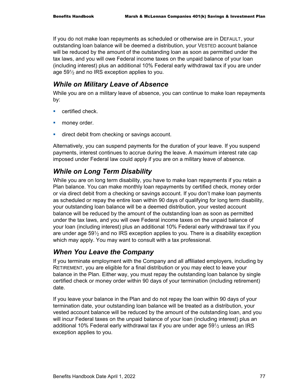If you do not make loan repayments as scheduled or otherwise are in DEFAULT, your outstanding loan balance will be deemed a distribution, your VESTED account balance will be reduced by the amount of the outstanding loan as soon as permitted under the tax laws, and you will owe Federal income taxes on the unpaid balance of your loan (including interest) plus an additional 10% Federal early withdrawal tax if you are under age  $59\frac{1}{2}$  and no IRS exception applies to you.

## *While on Military Leave of Absence*

While you are on a military leave of absence, you can continue to make loan repayments by:

- certified check.
- **money order.**
- **direct debit from checking or savings account.**

Alternatively, you can suspend payments for the duration of your leave. If you suspend payments, interest continues to accrue during the leave. A maximum interest rate cap imposed under Federal law could apply if you are on a military leave of absence.

## *While on Long Term Disability*

While you are on long term disability, you have to make loan repayments if you retain a Plan balance. You can make monthly loan repayments by certified check, money order or via direct debit from a checking or savings account. If you don't make loan payments as scheduled or repay the entire loan within 90 days of qualifying for long term disability, your outstanding loan balance will be a deemed distribution, your vested account balance will be reduced by the amount of the outstanding loan as soon as permitted under the tax laws, and you will owe Federal income taxes on the unpaid balance of your loan (including interest) plus an additional 10% Federal early withdrawal tax if you are under age  $59\frac{1}{2}$  and no IRS exception applies to you. There is a disability exception which may apply. You may want to consult with a tax professional.

## *When You Leave the Company*

If you terminate employment with the Company and all affiliated employers, including by RETIREMENT, you are eligible for a final distribution or you may elect to leave your balance in the Plan. Either way, you must repay the outstanding loan balance by single certified check or money order within 90 days of your termination (including retirement) date.

If you leave your balance in the Plan and do not repay the loan within 90 days of your termination date, your outstanding loan balance will be treated as a distribution, your vested account balance will be reduced by the amount of the outstanding loan, and you will incur Federal taxes on the unpaid balance of your loan (including interest) plus an additional 10% Federal early withdrawal tax if you are under age  $59\frac{1}{2}$  unless an IRS exception applies to you.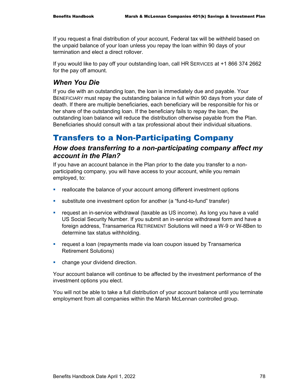If you request a final distribution of your account, Federal tax will be withheld based on the unpaid balance of your loan unless you repay the loan within 90 days of your termination and elect a direct rollover.

If you would like to pay off your outstanding loan, call HR SERVICES at +1 866 374 2662 for the pay off amount.

#### *When You Die*

If you die with an outstanding loan, the loan is immediately due and payable. Your BENEFICIARY must repay the outstanding balance in full within 90 days from your date of death. If there are multiple beneficiaries, each beneficiary will be responsible for his or her share of the outstanding loan. If the beneficiary fails to repay the loan, the outstanding loan balance will reduce the distribution otherwise payable from the Plan. Beneficiaries should consult with a tax professional about their individual situations.

# Transfers to a Non-Participating Company

#### *How does transferring to a non-participating company affect my account in the Plan?*

If you have an account balance in the Plan prior to the date you transfer to a nonparticipating company, you will have access to your account, while you remain employed, to:

- reallocate the balance of your account among different investment options
- substitute one investment option for another (a "fund-to-fund" transfer)
- **•** request an in-service withdrawal (taxable as US income). As long you have a valid US Social Security Number. If you submit an in-service withdrawal form and have a foreign address, Transamerica RETIREMENT Solutions will need a W-9 or W-8Ben to determine tax status withholding.
- **•** request a loan (repayments made via loan coupon issued by Transamerica Retirement Solutions)
- **•** change your dividend direction.

Your account balance will continue to be affected by the investment performance of the investment options you elect.

You will not be able to take a full distribution of your account balance until you terminate employment from all companies within the Marsh McLennan controlled group.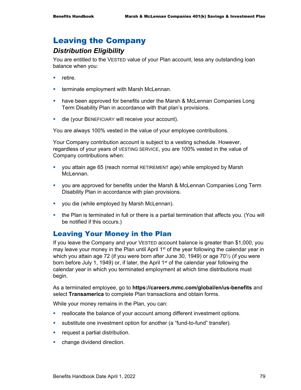## Leaving the Company

### *Distribution Eligibility*

You are entitled to the VESTED value of your Plan account, less any outstanding loan balance when you:

- $\blacksquare$  retire.
- **EXECTE:** terminate employment with Marsh McLennan.
- **have been approved for benefits under the Marsh & McLennan Companies Long** Term Disability Plan in accordance with that plan's provisions.
- die (your BENEFICIARY will receive your account).

You are always 100% vested in the value of your employee contributions.

Your Company contribution account is subject to a vesting schedule. However, regardless of your years of VESTING SERVICE, you are 100% vested in the value of Company contributions when:

- you attain age 65 (reach normal RETIREMENT age) while employed by Marsh McLennan.
- you are approved for benefits under the Marsh & McLennan Companies Long Term Disability Plan in accordance with plan provisions.
- **vou die (while employed by Marsh McLennan).**
- the Plan is terminated in full or there is a partial termination that affects you. (You will be notified if this occurs.)

#### Leaving Your Money in the Plan

If you leave the Company and your VESTED account balance is greater than \$1,000, you may leave your money in the Plan until April  $1<sup>st</sup>$  of the year following the calendar year in which you attain age 72 (if you were born after June 30, 1949) or age 70 $\frac{1}{2}$  (if you were born before July 1, 1949) or, if later, the April 1<sup>st</sup> of the calendar year following the calendar year in which you terminated employment at which time distributions must begin.

As a terminated employee, go to **https://careers.mmc.com/global/en/us-benefits** and select **Transamerica** to complete Plan transactions and obtain forms.

While your money remains in the Plan, you can:

- **•** reallocate the balance of your account among different investment options.
- substitute one investment option for another (a "fund-to-fund" transfer).
- **F** request a partial distribution.
- **•** change dividend direction.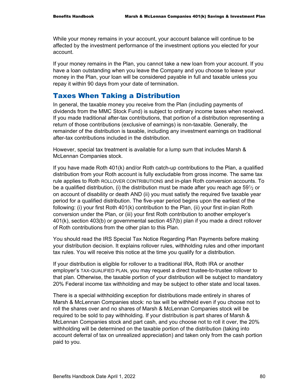While your money remains in your account, your account balance will continue to be affected by the investment performance of the investment options you elected for your account.

If your money remains in the Plan, you cannot take a new loan from your account. If you have a loan outstanding when you leave the Company and you choose to leave your money in the Plan, your loan will be considered payable in full and taxable unless you repay it within 90 days from your date of termination.

#### Taxes When Taking a Distribution

In general, the taxable money you receive from the Plan (including payments of dividends from the MMC Stock Fund) is subject to ordinary income taxes when received. If you made traditional after-tax contributions, that portion of a distribution representing a return of those contributions (exclusive of earnings) is non-taxable. Generally, the remainder of the distribution is taxable, including any investment earnings on traditional after-tax contributions included in the distribution.

However, special tax treatment is available for a lump sum that includes Marsh & McLennan Companies stock.

If you have made Roth 401(k) and/or Roth catch-up contributions to the Plan, a qualified distribution from your Roth account is fully excludable from gross income. The same tax rule applies to Roth ROLLOVER CONTRIBUTIONS and in-plan Roth conversion accounts. To be a qualified distribution, (i) the distribution must be made after you reach age  $59\frac{1}{2}$  or on account of disability or death AND (ii) you must satisfy the required five taxable year period for a qualified distribution. The five-year period begins upon the earliest of the following: (i) your first Roth 401(k) contribution to the Plan, (ii) your first in-plan Roth conversion under the Plan, or (iii) your first Roth contribution to another employer's 401(k), section 403(b) or governmental section 457(b) plan if you made a direct rollover of Roth contributions from the other plan to this Plan.

You should read the IRS Special Tax Notice Regarding Plan Payments before making your distribution decision. It explains rollover rules, withholding rules and other important tax rules. You will receive this notice at the time you qualify for a distribution.

If your distribution is eligible for rollover to a traditional IRA, Roth IRA or another employer's TAX-QUALIFIED PLAN, you may request a direct trustee-to-trustee rollover to that plan. Otherwise, the taxable portion of your distribution will be subject to mandatory 20% Federal income tax withholding and may be subject to other state and local taxes.

There is a special withholding exception for distributions made entirely in shares of Marsh & McLennan Companies stock: no tax will be withheld even if you choose not to roll the shares over and no shares of Marsh & McLennan Companies stock will be required to be sold to pay withholding. If your distribution is part shares of Marsh & McLennan Companies stock and part cash, and you choose not to roll it over, the 20% withholding will be determined on the taxable portion of the distribution (taking into account deferral of tax on unrealized appreciation) and taken only from the cash portion paid to you.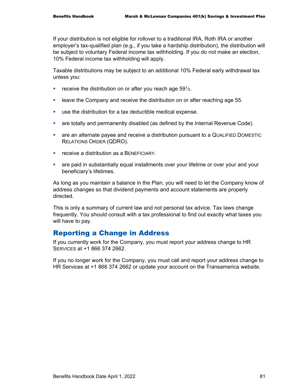If your distribution is not eligible for rollover to a traditional IRA, Roth IRA or another employer's tax-qualified plan (e.g., if you take a hardship distribution), the distribution will be subject to voluntary Federal income tax withholding. If you do not make an election, 10% Federal income tax withholding will apply.

Taxable distributions may be subject to an additional 10% Federal early withdrawal tax unless you:

- receive the distribution on or after you reach age  $59\frac{1}{2}$ .
- **EXECOM** Leave the Company and receive the distribution on or after reaching age 55.
- use the distribution for a tax deductible medical expense.
- are totally and permanently disabled (as defined by the Internal Revenue Code).
- are an alternate payee and receive a distribution pursuant to a QUALIFIED DOMESTIC RELATIONS ORDER (QDRO).
- **F** receive a distribution as a BENEFICIARY.
- are paid in substantially equal installments over your lifetime or over your and your beneficiary's lifetimes.

As long as you maintain a balance in the Plan, you will need to let the Company know of address changes so that dividend payments and account statements are properly directed.

This is only a summary of current law and not personal tax advice. Tax laws change frequently. You should consult with a tax professional to find out exactly what taxes you will have to pay.

#### Reporting a Change in Address

If you currently work for the Company, you must report your address change to HR SERVICES at +1 866 374 2662.

If you no longer work for the Company, you must call and report your address change to HR Services at +1 866 374 2662 or update your account on the Transamerica website.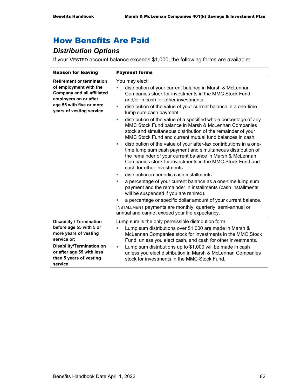# How Benefits Are Paid

## *Distribution Options*

If your VESTED account balance exceeds \$1,000, the following forms are available:

| <b>Reason for leaving</b>                                                                                                                                                                          | <b>Payment forms</b>                                                                                                                                                                                                                                                                                                                                                                                                                                                                                                                                                                                                                                                                                                                                                                                                                                                                                                                                                                                                                                                                                                                                                                                                                                                                          |  |
|----------------------------------------------------------------------------------------------------------------------------------------------------------------------------------------------------|-----------------------------------------------------------------------------------------------------------------------------------------------------------------------------------------------------------------------------------------------------------------------------------------------------------------------------------------------------------------------------------------------------------------------------------------------------------------------------------------------------------------------------------------------------------------------------------------------------------------------------------------------------------------------------------------------------------------------------------------------------------------------------------------------------------------------------------------------------------------------------------------------------------------------------------------------------------------------------------------------------------------------------------------------------------------------------------------------------------------------------------------------------------------------------------------------------------------------------------------------------------------------------------------------|--|
| <b>Retirement or termination</b><br>of employment with the<br><b>Company and all affiliated</b><br>employers on or after<br>age 55 with five or more<br>years of vesting service                   | You may elect:<br>distribution of your current balance in Marsh & McLennan<br>Companies stock for investments in the MMC Stock Fund<br>and/or in cash for other investments.<br>distribution of the value of your current balance in a one-time<br>$\overline{\phantom{a}}$<br>lump sum cash payment.<br>distribution of the value of a specified whole percentage of any<br>ш<br>MMC Stock Fund balance in Marsh & McLennan Companies<br>stock and simultaneous distribution of the remainder of your<br>MMC Stock Fund and current mutual fund balances in cash.<br>distribution of the value of your after-tax contributions in a one-<br>ш<br>time lump sum cash payment and simultaneous distribution of<br>the remainder of your current balance in Marsh & McLennan<br>Companies stock for investments in the MMC Stock Fund and<br>cash for other investments.<br>distribution in periodic cash installments.<br>a percentage of your current balance as a one-time lump sum<br>u,<br>payment and the remainder in installments (cash installments<br>will be suspended if you are rehired).<br>a percentage or specific dollar amount of your current balance.<br>ш<br>INSTALLMENT payments are monthly, quarterly, semi-annual or<br>annual and cannot exceed your life expectancy. |  |
| <b>Disability / Termination</b><br>before age 55 with 5 or<br>more years of vesting<br>service or;<br>Disability/Termination on<br>or after age 55 with less<br>than 5 years of vesting<br>service | Lump sum is the only permissible distribution form.<br>Lump sum distributions over \$1,000 are made in Marsh &<br>McLennan Companies stock for investments in the MMC Stock<br>Fund, unless you elect cash, and cash for other investments.<br>Lump sum distributions up to \$1,000 will be made in cash<br>ш<br>unless you elect distribution in Marsh & McLennan Companies<br>stock for investments in the MMC Stock Fund.                                                                                                                                                                                                                                                                                                                                                                                                                                                                                                                                                                                                                                                                                                                                                                                                                                                                  |  |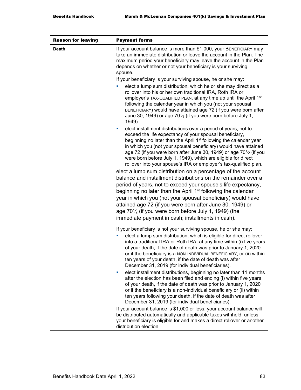| <b>Reason for leaving</b> | <b>Payment forms</b>                                                                                                                                                                                                                                                                                                                                                                                                                                                                                                                                                                                                                                                                                                                                                                                                                                                                                                                                                                                                                              |
|---------------------------|---------------------------------------------------------------------------------------------------------------------------------------------------------------------------------------------------------------------------------------------------------------------------------------------------------------------------------------------------------------------------------------------------------------------------------------------------------------------------------------------------------------------------------------------------------------------------------------------------------------------------------------------------------------------------------------------------------------------------------------------------------------------------------------------------------------------------------------------------------------------------------------------------------------------------------------------------------------------------------------------------------------------------------------------------|
| <b>Death</b>              | If your account balance is more than \$1,000, your BENEFICIARY may<br>take an immediate distribution or leave the account in the Plan. The<br>maximum period your beneficiary may leave the account in the Plan<br>depends on whether or not your beneficiary is your surviving<br>spouse.                                                                                                                                                                                                                                                                                                                                                                                                                                                                                                                                                                                                                                                                                                                                                        |
|                           | If your beneficiary is your surviving spouse, he or she may:<br>elect a lump sum distribution, which he or she may direct as a<br>rollover into his or her own traditional IRA, Roth IRA or<br>employer's TAX-QUALIFIED PLAN, at any time up until the April 1st<br>following the calendar year in which you (not your spousal<br>BENEFICIARY) would have attained age 72 (if you were born after<br>June 30, 1949) or age $70\frac{1}{2}$ (if you were born before July 1,<br>1949).                                                                                                                                                                                                                                                                                                                                                                                                                                                                                                                                                             |
|                           | elect installment distributions over a period of years, not to<br>L.<br>exceed the life expectancy of your spousal beneficiary,<br>beginning no later than the April 1 <sup>st</sup> following the calendar year<br>in which you (not your spousal beneficiary) would have attained<br>age 72 (if you were born after June 30, 1949) or age 70 $\frac{1}{2}$ (if you<br>were born before July 1, 1949), which are eligible for direct<br>rollover into your spouse's IRA or employer's tax-qualified plan.<br>elect a lump sum distribution on a percentage of the account<br>balance and installment distributions on the remainder over a<br>period of years, not to exceed your spouse's life expectancy,<br>beginning no later than the April 1 <sup>st</sup> following the calendar<br>year in which you (not your spousal beneficiary) would have<br>attained age 72 (if you were born after June 30, 1949) or<br>age $70\frac{1}{2}$ (if you were born before July 1, 1949) (the<br>immediate payment in cash; installments in cash).      |
|                           | If your beneficiary is not your surviving spouse, he or she may:<br>elect a lump sum distribution, which is eligible for direct rollover<br>into a traditional IRA or Roth IRA, at any time within (i) five years<br>of your death, if the date of death was prior to January 1, 2020<br>or if the beneficiary is a NON-INDIVIDUAL BENEFICIARY, or (ii) within<br>ten years of your death, if the date of death was after<br>December 31, 2019 (for individual beneficiaries).<br>elect installment distributions, beginning no later than 11 months<br>ш<br>after the election has been filed and ending (i) within five years<br>of your death, if the date of death was prior to January 1, 2020<br>or if the beneficiary is a non-individual beneficiary or (ii) within<br>ten years following your death, if the date of death was after<br>December 31, 2019 (for individual beneficiaries).<br>If your account balance is \$1,000 or less, your account balance will<br>be distributed automatically and applicable taxes withheld, unless |
|                           | your beneficiary is eligible for and makes a direct rollover or another<br>distribution election.                                                                                                                                                                                                                                                                                                                                                                                                                                                                                                                                                                                                                                                                                                                                                                                                                                                                                                                                                 |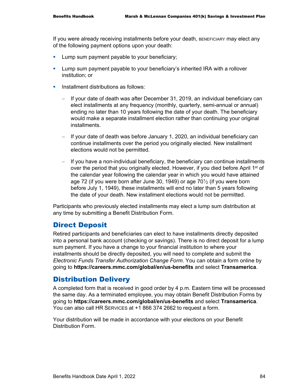If you were already receiving installments before your death, BENEFICIARY may elect any of the following payment options upon your death:

- **Lump sum payment payable to your beneficiary;**
- Lump sum payment payable to your beneficiary's inherited IRA with a rollover institution; or
- **Installment distributions as follows:** 
	- If your date of death was after December 31, 2019, an individual beneficiary can elect installments at any frequency (monthly, quarterly, semi-annual or annual) ending no later than 10 years following the date of your death. The beneficiary would make a separate installment election rather than continuing your original installments.
	- − If your date of death was before January 1, 2020, an individual beneficiary can continue installments over the period you originally elected. New installment elections would not be permitted.
	- If you have a non-individual beneficiary, the beneficiary can continue installments over the period that you originally elected. However, if you died before April 1<sup>st</sup> of the calendar year following the calendar year in which you would have attained age 72 (if you were born after June 30, 1949) or age  $70\frac{1}{2}$  (if you were born before July 1, 1949), these installments will end no later than 5 years following the date of your death. New installment elections would not be permitted.

Participants who previously elected installments may elect a lump sum distribution at any time by submitting a Benefit Distribution Form.

#### Direct Deposit

Retired participants and beneficiaries can elect to have installments directly deposited into a personal bank account (checking or savings). There is no direct deposit for a lump sum payment. If you have a change to your financial institution to where your installments should be directly deposited, you will need to complete and submit the *Electronic Funds Transfer Authorization Change Form*. You can obtain a form online by going to **https://careers.mmc.com/global/en/us-benefits** and select **Transamerica**.

#### Distribution Delivery

A completed form that is received in good order by 4 p.m. Eastern time will be processed the same day. As a terminated employee, you may obtain Benefit Distribution Forms by going to **https://careers.mmc.com/global/en/us-benefits** and select **Transamerica**. You can also call HR SERVICES at +1 866 374 2662 to request a form.

Your distribution will be made in accordance with your elections on your Benefit Distribution Form.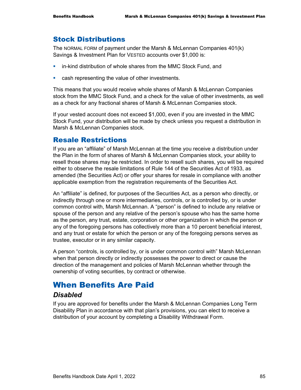## Stock Distributions

The NORMAL FORM of payment under the Marsh & McLennan Companies 401(k) Savings & Investment Plan for VESTED accounts over \$1,000 is:

- **EXEDEE** in-kind distribution of whole shares from the MMC Stock Fund, and
- **EXEC** cash representing the value of other investments.

This means that you would receive whole shares of Marsh & McLennan Companies stock from the MMC Stock Fund, and a check for the value of other investments, as well as a check for any fractional shares of Marsh & McLennan Companies stock.

If your vested account does not exceed \$1,000, even if you are invested in the MMC Stock Fund, your distribution will be made by check unless you request a distribution in Marsh & McLennan Companies stock.

## Resale Restrictions

If you are an "affiliate" of Marsh McLennan at the time you receive a distribution under the Plan in the form of shares of Marsh & McLennan Companies stock, your ability to resell those shares may be restricted. In order to resell such shares, you will be required either to observe the resale limitations of Rule 144 of the Securities Act of 1933, as amended (the Securities Act) or offer your shares for resale in compliance with another applicable exemption from the registration requirements of the Securities Act.

An "affiliate" is defined, for purposes of the Securities Act, as a person who directly, or indirectly through one or more intermediaries, controls, or is controlled by, or is under common control with, Marsh McLennan. A "person" is defined to include any relative or spouse of the person and any relative of the person's spouse who has the same home as the person, any trust, estate, corporation or other organization in which the person or any of the foregoing persons has collectively more than a 10 percent beneficial interest, and any trust or estate for which the person or any of the foregoing persons serves as trustee, executor or in any similar capacity.

A person "controls, is controlled by, or is under common control with" Marsh McLennan when that person directly or indirectly possesses the power to direct or cause the direction of the management and policies of Marsh McLennan whether through the ownership of voting securities, by contract or otherwise.

# When Benefits Are Paid

## *Disabled*

If you are approved for benefits under the Marsh & McLennan Companies Long Term Disability Plan in accordance with that plan's provisions, you can elect to receive a distribution of your account by completing a Disability Withdrawal Form.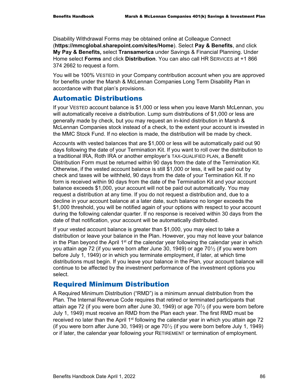Disability Withdrawal Forms may be obtained online at Colleague Connect (**https://mmcglobal.sharepoint.com/sites/Home**). Select **Pay & Benefits**, and click **My Pay & Benefits,** select **Transamerica** under Savings & Financial Planning. Under Home select **Forms** and click **Distribution**. You can also call HR SERVICES at +1 866 374 2662 to request a form.

You will be 100% VESTED in your Company contribution account when you are approved for benefits under the Marsh & McLennan Companies Long Term Disability Plan in accordance with that plan's provisions.

#### Automatic Distributions

If your VESTED account balance is \$1,000 or less when you leave Marsh McLennan, you will automatically receive a distribution. Lump sum distributions of \$1,000 or less are generally made by check, but you may request an in-kind distribution in Marsh & McLennan Companies stock instead of a check, to the extent your account is invested in the MMC Stock Fund. If no election is made, the distribution will be made by check.

Accounts with vested balances that are \$1,000 or less will be automatically paid out 90 days following the date of your Termination Kit. If you want to roll over the distribution to a traditional IRA, Roth IRA or another employer's TAX-QUALIFIED PLAN, a Benefit Distribution Form must be returned within 90 days from the date of the Termination Kit. Otherwise, if the vested account balance is still \$1,000 or less, it will be paid out by check and taxes will be withheld, 90 days from the date of your Termination Kit. If no form is received within 90 days from the date of the Termination Kit and your account balance exceeds \$1,000, your account will not be paid out automatically. You may request a distribution at any time. If you do not request a distribution and, due to a decline in your account balance at a later date, such balance no longer exceeds the \$1,000 threshold, you will be notified again of your options with respect to your account during the following calendar quarter. If no response is received within 30 days from the date of that notification, your account will be automatically distributed.

If your vested account balance is greater than \$1,000, you may elect to take a distribution or leave your balance in the Plan. However, you may not leave your balance in the Plan beyond the April 1<sup>st</sup> of the calendar year following the calendar year in which you attain age 72 (if you were born after June 30, 1949) or age 70 $\frac{1}{2}$  (if you were born before July 1, 1949) or in which you terminate employment, if later, at which time distributions must begin. If you leave your balance in the Plan, your account balance will continue to be affected by the investment performance of the investment options you select.

## Required Minimum Distribution

A Required Minimum Distribution ("RMD") is a minimum annual distribution from the Plan. The Internal Revenue Code requires that retired or terminated participants that attain age 72 (if you were born after June 30, 1949) or age  $70\frac{1}{2}$  (if you were born before July 1, 1949) must receive an RMD from the Plan each year. The first RMD must be received no later than the April  $1<sup>st</sup>$  following the calendar year in which you attain age 72 (if you were born after June 30, 1949) or age  $70\frac{1}{2}$  (if you were born before July 1, 1949) or if later, the calendar year following your RETIREMENT or termination of employment.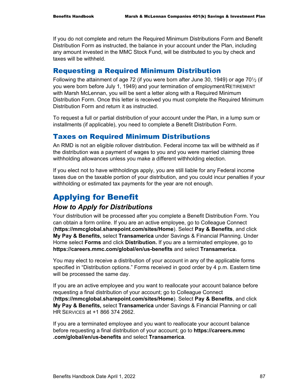If you do not complete and return the Required Minimum Distributions Form and Benefit Distribution Form as instructed, the balance in your account under the Plan, including any amount invested in the MMC Stock Fund, will be distributed to you by check and taxes will be withheld.

#### Requesting a Required Minimum Distribution

Following the attainment of age 72 (if you were born after June 30, 1949) or age 70 $\frac{1}{2}$  (if you were born before July 1, 1949) and your termination of employment/RETIREMENT with Marsh McLennan, you will be sent a letter along with a Required Minimum Distribution Form. Once this letter is received you must complete the Required Minimum Distribution Form and return it as instructed.

To request a full or partial distribution of your account under the Plan, in a lump sum or installments (if applicable), you need to complete a Benefit Distribution Form.

#### Taxes on Required Minimum Distributions

An RMD is not an eligible rollover distribution. Federal income tax will be withheld as if the distribution was a payment of wages to you and you were married claiming three withholding allowances unless you make a different withholding election.

If you elect not to have withholdings apply, you are still liable for any Federal income taxes due on the taxable portion of your distribution, and you could incur penalties if your withholding or estimated tax payments for the year are not enough.

# Applying for Benefit

#### *How to Apply for Distributions*

Your distribution will be processed after you complete a Benefit Distribution Form. You can obtain a form online. If you are an active employee, go to Colleague Connect (**https://mmcglobal.sharepoint.com/sites/Home**). Select **Pay & Benefits**, and click **My Pay & Benefits,** select **Transamerica** under Savings & Financial Planning. Under Home select **Forms** and click **Distribution.** If you are a terminated employee, go to **https://careers.mmc.com/global/en/us-benefits** and select **Transamerica**.

You may elect to receive a distribution of your account in any of the applicable forms specified in "Distribution options." Forms received in good order by 4 p.m. Eastern time will be processed the same day.

If you are an active employee and you want to reallocate your account balance before requesting a final distribution of your account; go to Colleague Connect (**https://mmcglobal.sharepoint.com/sites/Home**). Select **Pay & Benefits**, and click **My Pay & Benefits,** select **Transamerica** under Savings & Financial Planning or call HR SERVICES at +1 866 374 2662.

If you are a terminated employee and you want to reallocate your account balance before requesting a final distribution of your account; go to **https://careers.mmc .com/global/en/us-benefits** and select **Transamerica**.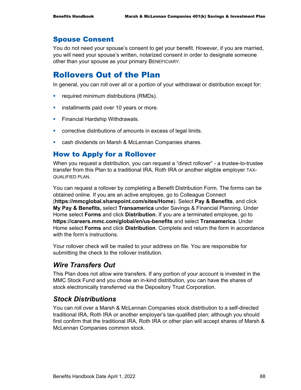## Spouse Consent

You do not need your spouse's consent to get your benefit. However, if you are married, you will need your spouse's written, notarized consent in order to designate someone other than your spouse as your primary BENEFICIARY.

# Rollovers Out of the Plan

In general, you can roll over all or a portion of your withdrawal or distribution except for:

- **•** required minimum distributions (RMDs).
- **installments paid over 10 years or more.**
- **Financial Hardship Withdrawals.**
- corrective distributions of amounts in excess of legal limits.
- cash dividends on Marsh & McLennan Companies shares.

#### How to Apply for a Rollover

When you request a distribution, you can request a "direct rollover" - a trustee-to-trustee transfer from this Plan to a traditional IRA, Roth IRA or another eligible employer TAX-QUALIFIED PLAN.

You can request a rollover by completing a Benefit Distribution Form. The forms can be obtained online. If you are an active employee, go to Colleague Connect (**https://mmcglobal.sharepoint.com/sites/Home**). Select **Pay & Benefits**, and click **My Pay & Benefits,** select **Transamerica** under Savings & Financial Planning. Under Home select **Forms** and click **Distribution**. If you are a terminated employee, go to **https://careers.mmc.com/global/en/us-benefits** and select **Transamerica**. Under Home select **Forms** and click **Distribution**. Complete and return the form in accordance with the form's instructions.

Your rollover check will be mailed to your address on file. You are responsible for submitting the check to the rollover institution.

## *Wire Transfers Out*

This Plan does not allow wire transfers. If any portion of your account is invested in the MMC Stock Fund and you chose an in-kind distribution, you can have the shares of stock electronically transferred via the Depository Trust Corporation.

#### *Stock Distributions*

You can roll over a Marsh & McLennan Companies stock distribution to a self-directed traditional IRA, Roth IRA or another employer's tax-qualified plan; although you should first confirm that the traditional IRA, Roth IRA or other plan will accept shares of Marsh & McLennan Companies common stock.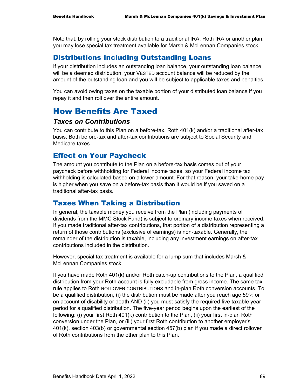Note that, by rolling your stock distribution to a traditional IRA, Roth IRA or another plan, you may lose special tax treatment available for Marsh & McLennan Companies stock.

## Distributions Including Outstanding Loans

If your distribution includes an outstanding loan balance, your outstanding loan balance will be a deemed distribution, your VESTED account balance will be reduced by the amount of the outstanding loan and you will be subject to applicable taxes and penalties.

You can avoid owing taxes on the taxable portion of your distributed loan balance if you repay it and then roll over the entire amount.

# How Benefits Are Taxed

#### *Taxes on Contributions*

You can contribute to this Plan on a before-tax, Roth 401(k) and/or a traditional after-tax basis. Both before-tax and after-tax contributions are subject to Social Security and Medicare taxes.

#### Effect on Your Paycheck

The amount you contribute to the Plan on a before-tax basis comes out of your paycheck before withholding for Federal income taxes, so your Federal income tax withholding is calculated based on a lower amount. For that reason, your take-home pay is higher when you save on a before-tax basis than it would be if you saved on a traditional after-tax basis.

#### Taxes When Taking a Distribution

In general, the taxable money you receive from the Plan (including payments of dividends from the MMC Stock Fund) is subject to ordinary income taxes when received. If you made traditional after-tax contributions, that portion of a distribution representing a return of those contributions (exclusive of earnings) is non-taxable. Generally, the remainder of the distribution is taxable, including any investment earnings on after-tax contributions included in the distribution.

However, special tax treatment is available for a lump sum that includes Marsh & McLennan Companies stock.

If you have made Roth 401(k) and/or Roth catch-up contributions to the Plan, a qualified distribution from your Roth account is fully excludable from gross income. The same tax rule applies to Roth ROLLOVER CONTRIBUTIONS and in-plan Roth conversion accounts. To be a qualified distribution, (i) the distribution must be made after you reach age  $59\frac{1}{2}$  or on account of disability or death AND (ii) you must satisfy the required five taxable year period for a qualified distribution. The five-year period begins upon the earliest of the following: (i) your first Roth 401(k) contribution to the Plan, (ii) your first in-plan Roth conversion under the Plan, or (iii) your first Roth contribution to another employer's 401(k), section 403(b) or governmental section 457(b) plan if you made a direct rollover of Roth contributions from the other plan to this Plan.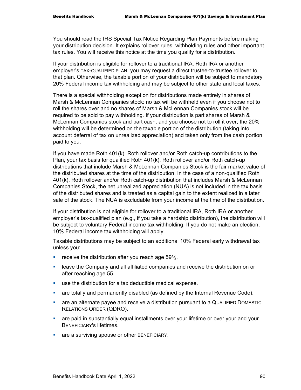You should read the IRS Special Tax Notice Regarding Plan Payments before making your distribution decision. It explains rollover rules, withholding rules and other important tax rules. You will receive this notice at the time you qualify for a distribution.

If your distribution is eligible for rollover to a traditional IRA, Roth IRA or another employer's TAX-QUALIFIED PLAN, you may request a direct trustee-to-trustee rollover to that plan. Otherwise, the taxable portion of your distribution will be subject to mandatory 20% Federal income tax withholding and may be subject to other state and local taxes.

There is a special withholding exception for distributions made entirely in shares of Marsh & McLennan Companies stock: no tax will be withheld even if you choose not to roll the shares over and no shares of Marsh & McLennan Companies stock will be required to be sold to pay withholding. If your distribution is part shares of Marsh & McLennan Companies stock and part cash, and you choose not to roll it over, the 20% withholding will be determined on the taxable portion of the distribution (taking into account deferral of tax on unrealized appreciation) and taken only from the cash portion paid to you.

If you have made Roth 401(k), Roth rollover and/or Roth catch-up contributions to the Plan, your tax basis for qualified Roth 401(k), Roth rollover and/or Roth catch-up distributions that include Marsh & McLennan Companies Stock is the fair market value of the distributed shares at the time of the distribution. In the case of a non-qualified Roth 401(k), Roth rollover and/or Roth catch-up distribution that includes Marsh & McLennan Companies Stock, the net unrealized appreciation (NUA) is not included in the tax basis of the distributed shares and is treated as a capital gain to the extent realized in a later sale of the stock. The NUA is excludable from your income at the time of the distribution.

If your distribution is not eligible for rollover to a traditional IRA, Roth IRA or another employer's tax-qualified plan (e.g., if you take a hardship distribution), the distribution will be subject to voluntary Federal income tax withholding. If you do not make an election, 10% Federal income tax withholding will apply.

Taxable distributions may be subject to an additional 10% Federal early withdrawal tax unless you:

- **•** receive the distribution after you reach age  $59\frac{1}{2}$ .
- **EXED EXEDENT IS 20 IS 20 IS 20 IS 20 IS 20 IS 20 IS 20 IS 20 IS 20 IS 20 IS 20 IS 20 IS 20 IS 20 IS 20 IS 20 IS 20 IS 20 IS 20 IS 20 IS 20 IS 20 IS 20 IS 20 IS 20 IS 20 IS 20 IS 20 IS 20 IS 20 IS 20 IS 20 IS 20 IS 20 IS 2** after reaching age 55.
- use the distribution for a tax deductible medical expense.
- are totally and permanently disabled (as defined by the Internal Revenue Code).
- **EXT** are an alternate payee and receive a distribution pursuant to a QUALIFIED DOMESTIC RELATIONS ORDER (QDRO).
- **EXT** are paid in substantially equal installments over your lifetime or over your and your BENEFICIARY's lifetimes.
- **are a surviving spouse or other BENEFICIARY.**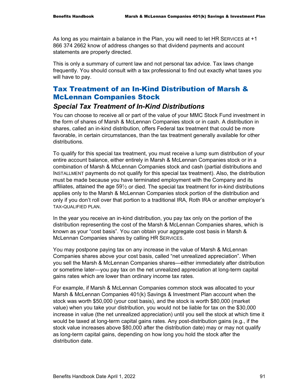As long as you maintain a balance in the Plan, you will need to let HR SERVICES at +1 866 374 2662 know of address changes so that dividend payments and account statements are properly directed.

This is only a summary of current law and not personal tax advice. Tax laws change frequently. You should consult with a tax professional to find out exactly what taxes you will have to pay.

# Tax Treatment of an In-Kind Distribution of Marsh & McLennan Companies Stock

#### *Special Tax Treatment of In-Kind Distributions*

You can choose to receive all or part of the value of your MMC Stock Fund investment in the form of shares of Marsh & McLennan Companies stock or in cash. A distribution in shares, called an in-kind distribution, offers Federal tax treatment that could be more favorable, in certain circumstances, than the tax treatment generally available for other distributions.

To qualify for this special tax treatment, you must receive a lump sum distribution of your entire account balance, either entirely in Marsh & McLennan Companies stock or in a combination of Marsh & McLennan Companies stock and cash (partial distributions and INSTALLMENT payments do not qualify for this special tax treatment). Also, the distribution must be made because you have terminated employment with the Company and its affiliates, attained the age  $59\frac{1}{2}$  or died. The special tax treatment for in-kind distributions applies only to the Marsh & McLennan Companies stock portion of the distribution and only if you don't roll over that portion to a traditional IRA, Roth IRA or another employer's TAX-QUALIFIED PLAN.

In the year you receive an in-kind distribution, you pay tax only on the portion of the distribution representing the cost of the Marsh & McLennan Companies shares, which is known as your "cost basis". You can obtain your aggregate cost basis in Marsh & McLennan Companies shares by calling HR SERVICES.

You may postpone paying tax on any increase in the value of Marsh & McLennan Companies shares above your cost basis, called "net unrealized appreciation". When you sell the Marsh & McLennan Companies shares—either immediately after distribution or sometime later—you pay tax on the net unrealized appreciation at long-term capital gains rates which are lower than ordinary income tax rates.

For example, if Marsh & McLennan Companies common stock was allocated to your Marsh & McLennan Companies 401(k) Savings & Investment Plan account when the stock was worth \$50,000 (your cost basis), and the stock is worth \$80,000 (market value) when you take your distribution, you would not be liable for tax on the \$30,000 increase in value (the net unrealized appreciation) until you sell the stock at which time it would be taxed at long-term capital gains rates. Any post-distribution gains (e.g., if the stock value increases above \$80,000 after the distribution date) may or may not qualify as long-term capital gains, depending on how long you hold the stock after the distribution date.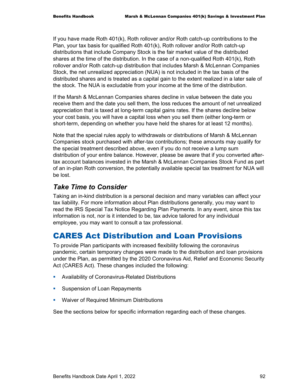If you have made Roth 401(k), Roth rollover and/or Roth catch-up contributions to the Plan, your tax basis for qualified Roth 401(k), Roth rollover and/or Roth catch-up distributions that include Company Stock is the fair market value of the distributed shares at the time of the distribution. In the case of a non-qualified Roth 401(k), Roth rollover and/or Roth catch-up distribution that includes Marsh & McLennan Companies Stock, the net unrealized appreciation (NUA) is not included in the tax basis of the distributed shares and is treated as a capital gain to the extent realized in a later sale of the stock. The NUA is excludable from your income at the time of the distribution.

If the Marsh & McLennan Companies shares decline in value between the date you receive them and the date you sell them, the loss reduces the amount of net unrealized appreciation that is taxed at long-term capital gains rates. If the shares decline below your cost basis, you will have a capital loss when you sell them (either long-term or short-term, depending on whether you have held the shares for at least 12 months).

Note that the special rules apply to withdrawals or distributions of Marsh & McLennan Companies stock purchased with after-tax contributions; these amounts may qualify for the special treatment described above, even if you do not receive a lump sum distribution of your entire balance. However, please be aware that if you converted aftertax account balances invested in the Marsh & McLennan Companies Stock Fund as part of an in-plan Roth conversion, the potentially available special tax treatment for NUA will be lost.

#### *Take Time to Consider*

Taking an in-kind distribution is a personal decision and many variables can affect your tax liability. For more information about Plan distributions generally, you may want to read the IRS Special Tax Notice Regarding Plan Payments. In any event, since this tax information is not, nor is it intended to be, tax advice tailored for any individual employee, you may want to consult a tax professional.

# CARES Act Distribution and Loan Provisions

To provide Plan participants with increased flexibility following the coronavirus pandemic, certain temporary changes were made to the distribution and loan provisions under the Plan, as permitted by the 2020 Coronavirus Aid, Relief and Economic Security Act (CARES Act). These changes included the following:

- **Availability of Coronavirus-Related Distributions**
- **Suspension of Loan Repayments**
- **Waiver of Required Minimum Distributions**

See the sections below for specific information regarding each of these changes.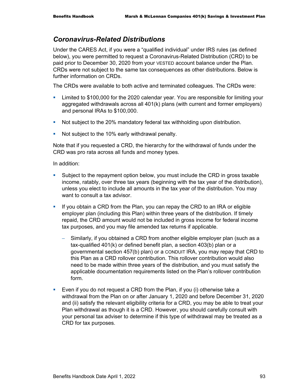### *Coronavirus-Related Distributions*

Under the CARES Act, if you were a "qualified individual" under IRS rules (as defined below), you were permitted to request a Coronavirus-Related Distribution (CRD) to be paid prior to December 30, 2020 from your VESTED account balance under the Plan. CRDs were not subject to the same tax consequences as other distributions. Below is further information on CRDs.

The CRDs were available to both active and terminated colleagues. The CRDs were:

- **EXED** Limited to \$100,000 for the 2020 calendar year. You are responsible for limiting your aggregated withdrawals across all 401(k) plans (with current and former employers) and personal IRAs to \$100,000.
- Not subject to the 20% mandatory federal tax withholding upon distribution.
- Not subject to the 10% early withdrawal penalty.

Note that if you requested a CRD, the hierarchy for the withdrawal of funds under the CRD was pro rata across all funds and money types.

In addition:

- Subject to the repayment option below, you must include the CRD in gross taxable income, ratably, over three tax years (beginning with the tax year of the distribution), unless you elect to include all amounts in the tax year of the distribution. You may want to consult a tax advisor.
- If you obtain a CRD from the Plan, you can repay the CRD to an IRA or eligible employer plan (including this Plan) within three years of the distribution. If timely repaid, the CRD amount would not be included in gross income for federal income tax purposes, and you may file amended tax returns if applicable.
	- Similarly, if you obtained a CRD from another eligible employer plan (such as a tax-qualified 401(k) or defined benefit plan, a section 403(b) plan or a governmental section 457(b) plan) or a CONDUIT IRA, you may repay that CRD to this Plan as a CRD rollover contribution. This rollover contribution would also need to be made within three years of the distribution, and you must satisfy the applicable documentation requirements listed on the Plan's rollover contribution form.
- **Even if you do not request a CRD from the Plan, if you (i) otherwise take a** withdrawal from the Plan on or after January 1, 2020 and before December 31, 2020 and (ii) satisfy the relevant eligibility criteria for a CRD, you may be able to treat your Plan withdrawal as though it is a CRD. However, you should carefully consult with your personal tax adviser to determine if this type of withdrawal may be treated as a CRD for tax purposes.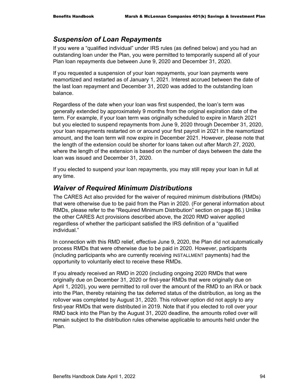### *Suspension of Loan Repayments*

If you were a "qualified individual" under IRS rules (as defined below) and you had an outstanding loan under the Plan, you were permitted to temporarily suspend all of your Plan loan repayments due between June 9, 2020 and December 31, 2020.

If you requested a suspension of your loan repayments, your loan payments were reamortized and restarted as of January 1, 2021. Interest accrued between the date of the last loan repayment and December 31, 2020 was added to the outstanding loan balance.

Regardless of the date when your loan was first suspended, the loan's term was generally extended by approximately 9 months from the original expiration date of the term. For example, if your loan term was originally scheduled to expire in March 2021 but you elected to suspend repayments from June 9, 2020 through December 31, 2020, your loan repayments restarted on or around your first payroll in 2021 in the reamortized amount, and the loan term will now expire in December 2021. However, please note that the length of the extension could be shorter for loans taken out after March 27, 2020, where the length of the extension is based on the number of days between the date the loan was issued and December 31, 2020.

If you elected to suspend your loan repayments, you may still repay your loan in full at any time.

#### *Waiver of Required Minimum Distributions*

The CARES Act also provided for the waiver of required minimum distributions (RMDs) that were otherwise due to be paid from the Plan in 2020. (For general information about RMDs, please refer to the "Required Minimum Distribution" section on page 86.) Unlike the other CARES Act provisions described above, the 2020 RMD waiver applied regardless of whether the participant satisfied the IRS definition of a "qualified individual."

In connection with this RMD relief, effective June 9, 2020, the Plan did not automatically process RMDs that were otherwise due to be paid in 2020. However, participants (including participants who are currently receiving INSTALLMENT payments) had the opportunity to voluntarily elect to receive these RMDs.

If you already received an RMD in 2020 (including ongoing 2020 RMDs that were originally due on December 31, 2020 or first-year RMDs that were originally due on April 1, 2020), you were permitted to roll over the amount of the RMD to an IRA or back into the Plan, thereby retaining the tax deferred status of the distribution, as long as the rollover was completed by August 31, 2020. This rollover option did not apply to any first-year RMDs that were distributed in 2019. Note that if you elected to roll over your RMD back into the Plan by the August 31, 2020 deadline, the amounts rolled over will remain subject to the distribution rules otherwise applicable to amounts held under the Plan.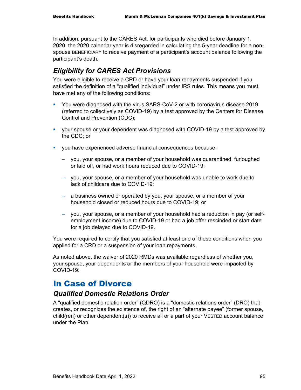In addition, pursuant to the CARES Act, for participants who died before January 1, 2020, the 2020 calendar year is disregarded in calculating the 5-year deadline for a nonspouse BENEFICIARY to receive payment of a participant's account balance following the participant's death.

## *Eligibility for CARES Act Provisions*

You were eligible to receive a CRD or have your loan repayments suspended if you satisfied the definition of a "qualified individual" under IRS rules. This means you must have met any of the following conditions:

- You were diagnosed with the virus SARS-CoV-2 or with coronavirus disease 2019 (referred to collectively as COVID-19) by a test approved by the Centers for Disease Control and Prevention (CDC);
- your spouse or your dependent was diagnosed with COVID-19 by a test approved by the CDC; or
- you have experienced adverse financial consequences because:
	- − you, your spouse, or a member of your household was quarantined, furloughed or laid off, or had work hours reduced due to COVID-19;
	- − you, your spouse, or a member of your household was unable to work due to lack of childcare due to COVID-19;
	- − a business owned or operated by you, your spouse, or a member of your household closed or reduced hours due to COVID-19; or
	- − you, your spouse, or a member of your household had a reduction in pay (or selfemployment income) due to COVID-19 or had a job offer rescinded or start date for a job delayed due to COVID-19.

You were required to certify that you satisfied at least one of these conditions when you applied for a CRD or a suspension of your loan repayments.

As noted above, the waiver of 2020 RMDs was available regardless of whether you, your spouse, your dependents or the members of your household were impacted by COVID-19.

## In Case of Divorce

#### *Qualified Domestic Relations Order*

A "qualified domestic relation order" (QDRO) is a "domestic relations order" (DRO) that creates, or recognizes the existence of, the right of an "alternate payee" (former spouse, child(ren) or other dependent(s)) to receive all or a part of your VESTED account balance under the Plan.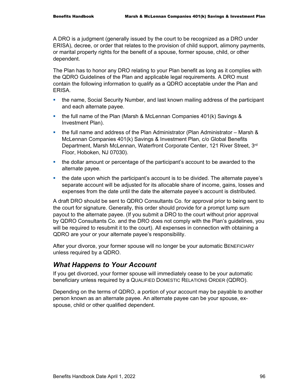A DRO is a judgment (generally issued by the court to be recognized as a DRO under ERISA), decree, or order that relates to the provision of child support, alimony payments, or marital property rights for the benefit of a spouse, former spouse, child, or other dependent.

The Plan has to honor any DRO relating to your Plan benefit as long as it complies with the QDRO Guidelines of the Plan and applicable legal requirements. A DRO must contain the following information to qualify as a QDRO acceptable under the Plan and ERISA.

- the name, Social Security Number, and last known mailing address of the participant and each alternate payee.
- the full name of the Plan (Marsh & McLennan Companies 401(k) Savings & Investment Plan).
- the full name and address of the Plan Administrator (Plan Administrator Marsh & McLennan Companies 401(k) Savings & Investment Plan, c/o Global Benefits Department, Marsh McLennan, Waterfront Corporate Center, 121 River Street, 3rd Floor, Hoboken, NJ 07030).
- the dollar amount or percentage of the participant's account to be awarded to the alternate payee.
- the date upon which the participant's account is to be divided. The alternate payee's separate account will be adjusted for its allocable share of income, gains, losses and expenses from the date until the date the alternate payee's account is distributed.

A draft DRO should be sent to QDRO Consultants Co. for approval prior to being sent to the court for signature. Generally, this order should provide for a prompt lump sum payout to the alternate payee. (If you submit a DRO to the court without prior approval by QDRO Consultants Co. and the DRO does not comply with the Plan's guidelines, you will be required to resubmit it to the court). All expenses in connection with obtaining a QDRO are your or your alternate payee's responsibility.

After your divorce, your former spouse will no longer be your automatic BENEFICIARY unless required by a QDRO.

## *What Happens to Your Account*

If you get divorced, your former spouse will immediately cease to be your automatic beneficiary unless required by a QUALIFIED DOMESTIC RELATIONS ORDER (QDRO).

Depending on the terms of QDRO, a portion of your account may be payable to another person known as an alternate payee. An alternate payee can be your spouse, exspouse, child or other qualified dependent.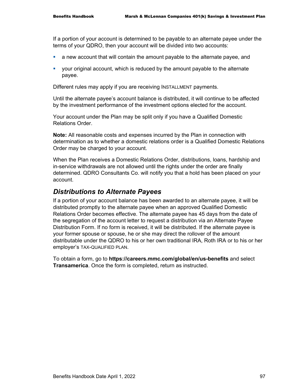If a portion of your account is determined to be payable to an alternate payee under the terms of your QDRO, then your account will be divided into two accounts:

- a new account that will contain the amount payable to the alternate payee, and
- your original account, which is reduced by the amount payable to the alternate payee.

Different rules may apply if you are receiving INSTALLMENT payments.

Until the alternate payee's account balance is distributed, it will continue to be affected by the investment performance of the investment options elected for the account.

Your account under the Plan may be split only if you have a Qualified Domestic Relations Order.

**Note:** All reasonable costs and expenses incurred by the Plan in connection with determination as to whether a domestic relations order is a Qualified Domestic Relations Order may be charged to your account.

When the Plan receives a Domestic Relations Order, distributions, loans, hardship and in-service withdrawals are not allowed until the rights under the order are finally determined. QDRO Consultants Co. will notify you that a hold has been placed on your account.

#### *Distributions to Alternate Payees*

If a portion of your account balance has been awarded to an alternate payee, it will be distributed promptly to the alternate payee when an approved Qualified Domestic Relations Order becomes effective. The alternate payee has 45 days from the date of the segregation of the account letter to request a distribution via an Alternate Payee Distribution Form. If no form is received, it will be distributed. If the alternate payee is your former spouse or spouse, he or she may direct the rollover of the amount distributable under the QDRO to his or her own traditional IRA, Roth IRA or to his or her employer's TAX-QUALIFIED PLAN.

To obtain a form, go to **https://careers.mmc.com/global/en/us-benefits** and select **Transamerica**. Once the form is completed, return as instructed.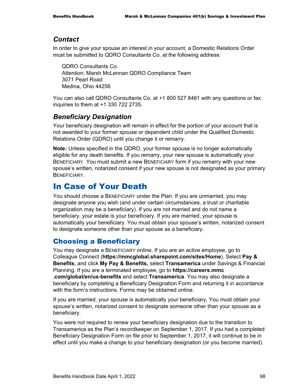#### *Contact*

In order to give your spouse an interest in your account, a Domestic Relations Order must be submitted to QDRO Consultants Co. at the following address:

QDRO Consultants Co. Attention: Marsh McLennan QDRO Compliance Team 3071 Pearl Road Medina, Ohio 44256

You can also call QDRO Consultants Co. at +1 800 527 8481 with any questions or fax inquiries to them at +1 330 722 2735.

#### *Beneficiary Designation*

Your beneficiary designation will remain in effect for the portion of your account that is not awarded to your former spouse or dependent child under the Qualified Domestic Relations Order (QDRO) until you change it or remarry.

**Note:** Unless specified in the QDRO, your former spouse is no longer automatically eligible for any death benefits. If you remarry, your new spouse is automatically your BENEFICIARY. You must submit a new BENEFICIARY form if you remarry with your new spouse's written, notarized consent if your new spouse is not designated as your primary BENEFICIARY.

## In Case of Your Death

You should choose a BENEFICIARY under the Plan. If you are unmarried, you may designate anyone you wish (and under certain circumstances, a trust or charitable organization may be a beneficiary). If you are not married and do not name a beneficiary, your estate is your beneficiary. If you are married, your spouse is automatically your beneficiary. You must obtain your spouse's written, notarized consent to designate someone other than your spouse as a beneficiary.

## Choosing a Beneficiary

You may designate a BENEFICIARY online. If you are an active employee, go to Colleague Connect (**https://mmcglobal.sharepoint.com/sites/Home**). Select **Pay & Benefits**, and click **My Pay & Benefits,** select **Transamerica** under Savings & Financial Planning. If you are a terminated employee, go to **https://careers.mmc .com/global/en/us-benefits** and select **Transamerica**. You may also designate a beneficiary by completing a Beneficiary Designation Form and returning it in accordance with the form's instructions. Forms may be obtained online.

If you are married, your spouse is automatically your beneficiary. You must obtain your spouse's written, notarized consent to designate someone other than your spouse as a beneficiary.

You were not required to renew your beneficiary designation due to the transition to Transamerica as the Plan's recordkeeper on September 1, 2017. If you had a completed Beneficiary Designation Form on file prior to September 1, 2017, it will continue to be in effect until you make a change to your beneficiary designation (or you become married).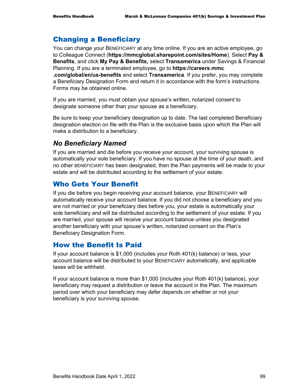## Changing a Beneficiary

You can change your BENEFICIARY at any time online. If you are an active employee, go to Colleague Connect (**https://mmcglobal.sharepoint.com/sites/Home**). Select **Pay & Benefits**, and click **My Pay & Benefits,** select **Transamerica** under Savings & Financial Planning. If you are a terminated employee, go to **https://careers.mmc .com/global/en/us-benefits** and select **Transamerica**. If you prefer, you may complete a Beneficiary Designation Form and return it in accordance with the form's instructions. Forms may be obtained online.

If you are married, you must obtain your spouse's written, notarized consent to designate someone other than your spouse as a beneficiary.

Be sure to keep your beneficiary designation up to date. The last completed Beneficiary designation election on file with the Plan is the exclusive basis upon which the Plan will make a distribution to a beneficiary.

## *No Beneficiary Named*

If you are married and die before you receive your account, your surviving spouse is automatically your sole beneficiary. If you have no spouse at the time of your death, and no other BENEFICIARY has been designated, then the Plan payments will be made to your estate and will be distributed according to the settlement of your estate.

## Who Gets Your Benefit

If you die before you begin receiving your account balance, your BENEFICIARY will automatically receive your account balance. If you did not choose a beneficiary and you are not married or your beneficiary dies before you, your estate is automatically your sole beneficiary and will be distributed according to the settlement of your estate. If you are married, your spouse will receive your account balance unless you designated another beneficiary with your spouse's written, notarized consent on the Plan's Beneficiary Designation Form.

## How the Benefit Is Paid

If your account balance is \$1,000 (includes your Roth 401(k) balance) or less, your account balance will be distributed to your BENEFICIARY automatically, and applicable taxes will be withheld.

If your account balance is more than \$1,000 (includes your Roth 401(k) balance), your beneficiary may request a distribution or leave the account in the Plan. The maximum period over which your beneficiary may defer depends on whether or not your beneficiary is your surviving spouse.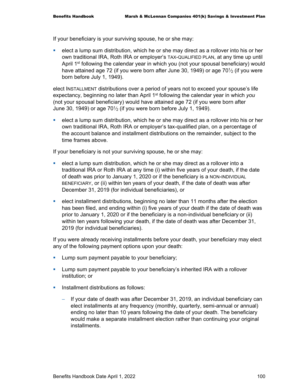If your beneficiary is your surviving spouse, he or she may:

 elect a lump sum distribution, which he or she may direct as a rollover into his or her own traditional IRA, Roth IRA or employer's TAX-QUALIFIED PLAN, at any time up until April 1<sup>st</sup> following the calendar year in which you (not your spousal beneficiary) would have attained age 72 (if you were born after June 30, 1949) or age 70 $\frac{1}{2}$  (if you were born before July 1, 1949).

elect INSTALLMENT distributions over a period of years not to exceed your spouse's life expectancy, beginning no later than April 1st following the calendar year in which *you* (not your spousal beneficiary) would have attained age 72 (if you were born after June 30, 1949) or age  $70\frac{1}{2}$  (if you were born before July 1, 1949).

 elect a lump sum distribution, which he or she may direct as a rollover into his or her own traditional IRA, Roth IRA or employer's tax-qualified plan, on a percentage of the account balance and installment distributions on the remainder, subject to the time frames above.

If your beneficiary is not your surviving spouse, he or she may:

- elect a lump sum distribution, which he or she may direct as a rollover into a traditional IRA or Roth IRA at any time (i) within five years of your death, if the date of death was prior to January 1, 2020 or if the beneficiary is a NON-INDIVIDUAL BENEFICIARY, or (ii) within ten years of your death, if the date of death was after December 31, 2019 (for individual beneficiaries), or
- elect installment distributions, beginning no later than 11 months after the election has been filed, and ending within (i) five years of your death if the date of death was prior to January 1, 2020 or if the beneficiary is a non-individual beneficiary or (ii) within ten years following your death, if the date of death was after December 31, 2019 (for individual beneficiaries).

If you were already receiving installments before your death, your beneficiary may elect any of the following payment options upon your death:

- **Lump sum payment payable to your beneficiary;**
- Lump sum payment payable to your beneficiary's inherited IRA with a rollover institution; or
- **Installment distributions as follows:** 
	- − If your date of death was after December 31, 2019, an individual beneficiary can elect installments at any frequency (monthly, quarterly, semi-annual or annual) ending no later than 10 years following the date of your death. The beneficiary would make a separate installment election rather than continuing your original installments.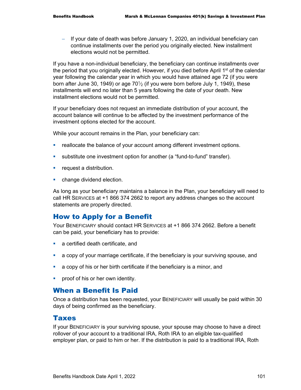If your date of death was before January 1, 2020, an individual beneficiary can continue installments over the period you originally elected. New installment elections would not be permitted.

If you have a non-individual beneficiary, the beneficiary can continue installments over the period that you originally elected. However, if you died before April 1<sup>st</sup> of the calendar year following the calendar year in which you would have attained age 72 (if you were born after June 30, 1949) or age  $70\frac{1}{2}$  (if you were born before July 1, 1949), these installments will end no later than 5 years following the date of your death. New installment elections would not be permitted.

If your beneficiary does not request an immediate distribution of your account, the account balance will continue to be affected by the investment performance of the investment options elected for the account.

While your account remains in the Plan, your beneficiary can:

- reallocate the balance of your account among different investment options.
- substitute one investment option for another (a "fund-to-fund" transfer).
- **•** request a distribution.
- **•** change dividend election.

As long as your beneficiary maintains a balance in the Plan, your beneficiary will need to call HR SERVICES at +1 866 374 2662 to report any address changes so the account statements are properly directed.

# How to Apply for a Benefit

Your BENEFICIARY should contact HR SERVICES at +1 866 374 2662. Before a benefit can be paid, your beneficiary has to provide:

- **a** certified death certificate, and
- a copy of your marriage certificate, if the beneficiary is your surviving spouse, and
- **a** copy of his or her birth certificate if the beneficiary is a minor, and
- **•** proof of his or her own identity.

## When a Benefit Is Paid

Once a distribution has been requested, your BENEFICIARY will usually be paid within 30 days of being confirmed as the beneficiary.

## Taxes

If your BENEFICIARY is your surviving spouse, your spouse may choose to have a direct rollover of your account to a traditional IRA, Roth IRA to an eligible tax-qualified employer plan, or paid to him or her. If the distribution is paid to a traditional IRA, Roth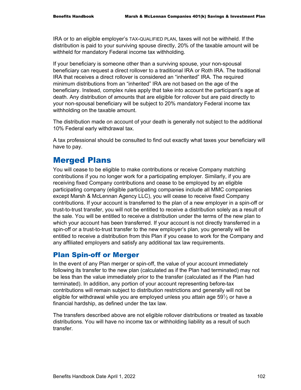IRA or to an eligible employer's TAX-QUALIFIED PLAN, taxes will not be withheld. If the distribution is paid to your surviving spouse directly, 20% of the taxable amount will be withheld for mandatory Federal income tax withholding.

If your beneficiary is someone other than a surviving spouse, your non-spousal beneficiary can request a direct rollover to a traditional IRA or Roth IRA. The traditional IRA that receives a direct rollover is considered an "inherited" IRA. The required minimum distributions from an "inherited" IRA are not based on the age of the beneficiary. Instead, complex rules apply that take into account the participant's age at death. Any distribution of amounts that are eligible for rollover but are paid directly to your non-spousal beneficiary will be subject to 20% mandatory Federal income tax withholding on the taxable amount.

The distribution made on account of your death is generally not subject to the additional 10% Federal early withdrawal tax.

A tax professional should be consulted to find out exactly what taxes your beneficiary will have to pay.

# Merged Plans

You will cease to be eligible to make contributions or receive Company matching contributions if you no longer work for a participating employer. Similarly, if you are receiving fixed Company contributions and cease to be employed by an eligible participating company (eligible participating companies include all MMC companies except Marsh & McLennan Agency LLC), you will cease to receive fixed Company contributions. If your account is transferred to the plan of a new employer in a spin-off or trust-to-trust transfer, you will not be entitled to receive a distribution solely as a result of the sale. You will be entitled to receive a distribution under the terms of the new plan to which your account has been transferred. If your account is not directly transferred in a spin-off or a trust-to-trust transfer to the new employer's plan, you generally will be entitled to receive a distribution from this Plan if you cease to work for the Company and any affiliated employers and satisfy any additional tax law requirements.

# Plan Spin-off or Merger

In the event of any Plan merger or spin-off, the value of your account immediately following its transfer to the new plan (calculated as if the Plan had terminated) may not be less than the value immediately prior to the transfer (calculated as if the Plan had terminated). In addition, any portion of your account representing before-tax contributions will remain subject to distribution restrictions and generally will not be eligible for withdrawal while you are employed unless you attain age 59 $\frac{1}{2}$  or have a financial hardship, as defined under the tax law.

The transfers described above are not eligible rollover distributions or treated as taxable distributions. You will have no income tax or withholding liability as a result of such transfer.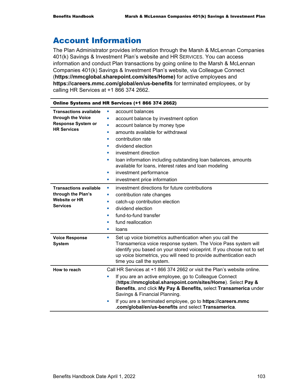# Account Information

The Plan Administrator provides information through the Marsh & McLennan Companies 401(k) Savings & Investment Plan's website and HR SERVICES. You can access information and conduct Plan transactions by going online to the Marsh & McLennan Companies 401(k) Savings & Investment Plan's website, via Colleague Connect (**https://mmcglobal.sharepoint.com/sites/Home)** for active employees and **https://careers.mmc.com/global/en/us-benefits** for terminated employees, or by calling HR Services at +1 866 374 2662.

| Online Systems and HR Services (+1 866 374 2662)                                                      |                                                                                                                                                                                                                                                                                                                                                                                                                                                           |  |
|-------------------------------------------------------------------------------------------------------|-----------------------------------------------------------------------------------------------------------------------------------------------------------------------------------------------------------------------------------------------------------------------------------------------------------------------------------------------------------------------------------------------------------------------------------------------------------|--|
| <b>Transactions available</b><br>through the Voice<br><b>Response System or</b><br><b>HR Services</b> | account balances<br>ш<br>account balance by investment option<br>ш<br>account balance by money type<br>u,<br>amounts available for withdrawal<br>Ľ,<br>contribution rate<br>×<br>dividend election<br><b>CONTRACTOR</b><br>investment direction<br>ш<br>loan information including outstanding loan balances, amounts<br>a.<br>available for loans, interest rates and loan modeling<br>investment performance<br>×<br>investment price information<br>u, |  |
| <b>Transactions available</b><br>through the Plan's<br><b>Website or HR</b><br><b>Services</b>        | investment directions for future contributions<br>×<br>contribution rate changes<br>×<br>catch-up contribution election<br>×<br>dividend election<br>×<br>fund-to-fund transfer<br>Ľ,<br>fund reallocation<br>u,<br>loans<br>×                                                                                                                                                                                                                            |  |
| <b>Voice Response</b><br><b>System</b>                                                                | Set up voice biometrics authentication when you call the<br>×.<br>Transamerica voice response system. The Voice Pass system will<br>identify you based on your stored voiceprint. If you choose not to set<br>up voice biometrics, you will need to provide authentication each<br>time you call the system.                                                                                                                                              |  |
| How to reach                                                                                          | Call HR Services at +1 866 374 2662 or visit the Plan's website online.<br>If you are an active employee, go to Colleague Connect<br>ш<br>(https://mmcglobal.sharepoint.com/sites/Home). Select Pay &<br>Benefits, and click My Pay & Benefits, select Transamerica under<br>Savings & Financial Planning.<br>If you are a terminated employee, go to https://careers.mmc<br>u,<br>.com/global/en/us-benefits and select Transamerica.                    |  |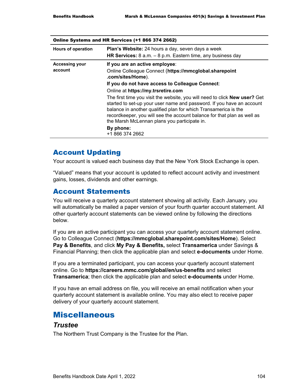| Online Systems and HR Services (+1 866 374 2662) |                                                                                                                                                                                                                                                                                                                                                          |
|--------------------------------------------------|----------------------------------------------------------------------------------------------------------------------------------------------------------------------------------------------------------------------------------------------------------------------------------------------------------------------------------------------------------|
| <b>Hours of operation</b>                        | <b>Plan's Website:</b> 24 hours a day, seven days a week                                                                                                                                                                                                                                                                                                 |
|                                                  | HR Services: $8$ a.m. $-8$ p.m. Eastern time, any business day                                                                                                                                                                                                                                                                                           |
| <b>Accessing your</b>                            | If you are an active employee:                                                                                                                                                                                                                                                                                                                           |
| account                                          | Online Colleague Connect (https://mmcglobal.sharepoint<br>.com/sites/Home).                                                                                                                                                                                                                                                                              |
|                                                  | If you do not have access to Colleague Connect:                                                                                                                                                                                                                                                                                                          |
|                                                  | Online at https://my.trsretire.com                                                                                                                                                                                                                                                                                                                       |
|                                                  | The first time you visit the website, you will need to click <b>New user?</b> Get<br>started to set-up your user name and password. If you have an account<br>balance in another qualified plan for which Transamerica is the<br>recordkeeper, you will see the account balance for that plan as well as<br>the Marsh McLennan plans you participate in. |
|                                                  | By phone:<br>+1 866 374 2662                                                                                                                                                                                                                                                                                                                             |

#### Online Systems and HR Services (+1 866 374 2662)

# Account Updating

Your account is valued each business day that the New York Stock Exchange is open.

"Valued" means that your account is updated to reflect account activity and investment gains, losses, dividends and other earnings.

## Account Statements

You will receive a quarterly account statement showing all activity. Each January, you will automatically be mailed a paper version of your fourth quarter account statement. All other quarterly account statements can be viewed online by following the directions below.

If you are an active participant you can access your quarterly account statement online. Go to Colleague Connect (**https://mmcglobal.sharepoint.com/sites/Home**). Select **Pay & Benefits**, and click **My Pay & Benefits,** select **Transamerica** under Savings & Financial Planning; then click the applicable plan and select **e-documents** under Home.

If you are a terminated participant, you can access your quarterly account statement online. Go to **https://careers.mmc.com/global/en/us-benefits** and select **Transamerica**; then click the applicable plan and select **e-documents** under Home.

If you have an email address on file, you will receive an email notification when your quarterly account statement is available online. You may also elect to receive paper delivery of your quarterly account statement.

# Miscellaneous

## *Trustee*

The Northern Trust Company is the Trustee for the Plan.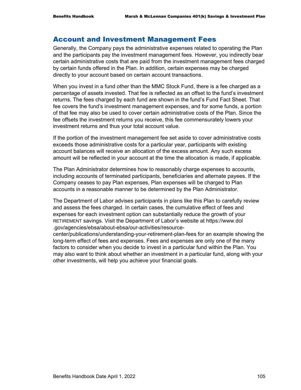# Account and Investment Management Fees

Generally, the Company pays the administrative expenses related to operating the Plan and the participants pay the investment management fees. However, you indirectly bear certain administrative costs that are paid from the investment management fees charged by certain funds offered in the Plan. In addition, certain expenses may be charged directly to your account based on certain account transactions.

When you invest in a fund other than the MMC Stock Fund, there is a fee charged as a percentage of assets invested. That fee is reflected as an offset to the fund's investment returns. The fees charged by each fund are shown in the fund's Fund Fact Sheet. That fee covers the fund's investment management expenses, and for some funds, a portion of that fee may also be used to cover certain administrative costs of the Plan. Since the fee offsets the investment returns you receive, this fee commensurately lowers your investment returns and thus your total account value.

If the portion of the investment management fee set aside to cover administrative costs exceeds those administrative costs for a particular year, participants with existing account balances will receive an allocation of the excess amount. Any such excess amount will be reflected in your account at the time the allocation is made, if applicable.

The Plan Administrator determines how to reasonably charge expenses to accounts, including accounts of terminated participants, beneficiaries and alternate payees. If the Company ceases to pay Plan expenses, Plan expenses will be charged to Plan accounts in a reasonable manner to be determined by the Plan Administrator.

The Department of Labor advises participants in plans like this Plan to carefully review and assess the fees charged. In certain cases, the cumulative effect of fees and expenses for each investment option can substantially reduce the growth of your RETIREMENT savings. Visit the Department of Labor's website at https://www.dol .gov/agencies/ebsa/about-ebsa/our-activities/resource-

center/publications/understanding-your-retirement-plan-fees for an example showing the long-term effect of fees and expenses. Fees and expenses are only one of the many factors to consider when you decide to invest in a particular fund within the Plan. You may also want to think about whether an investment in a particular fund, along with your other investments, will help you achieve your financial goals.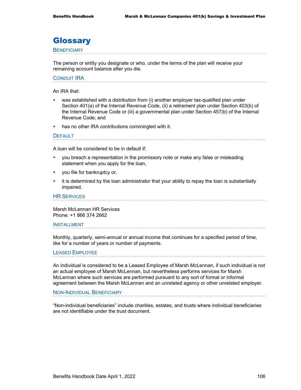# **Glossary**

### **BENEFICIARY**

The person or entity you designate or who, under the terms of the plan will receive your remaining account balance after you die.

### CONDUIT IRA

An IRA that:

- was established with a distribution from (i) another employer tax-qualified plan under Section 401(a) of the Internal Revenue Code, (ii) a retirement plan under Section 403(b) of the Internal Revenue Code or (iii) a governmental plan under Section 457(b) of the Internal Revenue Code; and
- has no other IRA contributions commingled with it.

### **DEFAULT**

A loan will be considered to be in default if:

- you breach a representation in the promissory note or make any false or misleading statement when you apply for the loan,
- **vou file for bankruptcy or,**
- it is determined by the loan administrator that your ability to repay the loan is substantially impaired.

### HR SERVICES

Marsh McLennan HR Services Phone: +1 866 374 2662

#### INSTALLMENT

Monthly, quarterly, semi-annual or annual income that continues for a specified period of time, like for a number of years or number of payments.

#### LEASED EMPLOYEE

An individual is considered to be a Leased Employee of Marsh McLennan, if such individual is not an actual employee of Marsh McLennan, but nevertheless performs services for Marsh McLennan where such services are performed pursuant to any sort of formal or informal agreement between the Marsh McLennan and an unrelated agency or other unrelated employer.

### NON-INDIVIDUAL BENEFICIARY

"Non-individual beneficiaries" include charities, estates, and trusts where individual beneficiaries are not identifiable under the trust document.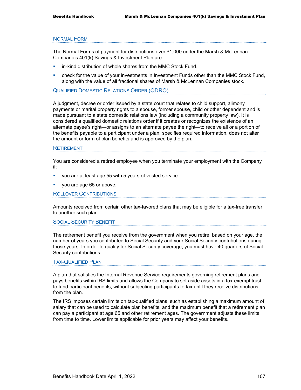#### NORMAL FORM

The Normal Forms of payment for distributions over \$1,000 under the Marsh & McLennan Companies 401(k) Savings & Investment Plan are:

- in-kind distribution of whole shares from the MMC Stock Fund.
- check for the value of your investments in Investment Funds other than the MMC Stock Fund, along with the value of all fractional shares of Marsh & McLennan Companies stock.

#### QUALIFIED DOMESTIC RELATIONS ORDER (QDRO)

A judgment, decree or order issued by a state court that relates to child support, alimony payments or marital property rights to a spouse, former spouse, child or other dependent and is made pursuant to a state domestic relations law (including a community property law). It is considered a qualified domestic relations order if it creates or recognizes the existence of an alternate payee's right—or assigns to an alternate payee the right—to receive all or a portion of the benefits payable to a participant under a plan, specifies required information, does not alter the amount or form of plan benefits and is approved by the plan.

#### **RETIREMENT**

You are considered a retired employee when you terminate your employment with the Company if:

- you are at least age 55 with 5 years of vested service.
- you are age 65 or above.

#### ROLLOVER CONTRIBUTIONS

Amounts received from certain other tax-favored plans that may be eligible for a tax-free transfer to another such plan.

### SOCIAL SECURITY BENEFIT

The retirement benefit you receive from the government when you retire, based on your age, the number of years you contributed to Social Security and your Social Security contributions during those years. In order to qualify for Social Security coverage, you must have 40 quarters of Social Security contributions.

#### TAX-QUALIFIED PLAN

A plan that satisfies the Internal Revenue Service requirements governing retirement plans and pays benefits within IRS limits and allows the Company to set aside assets in a tax-exempt trust to fund participant benefits, without subjecting participants to tax until they receive distributions from the plan.

The IRS imposes certain limits on tax-qualified plans, such as establishing a maximum amount of salary that can be used to calculate plan benefits, and the maximum benefit that a retirement plan can pay a participant at age 65 and other retirement ages. The government adjusts these limits from time to time. Lower limits applicable for prior years may affect your benefits.